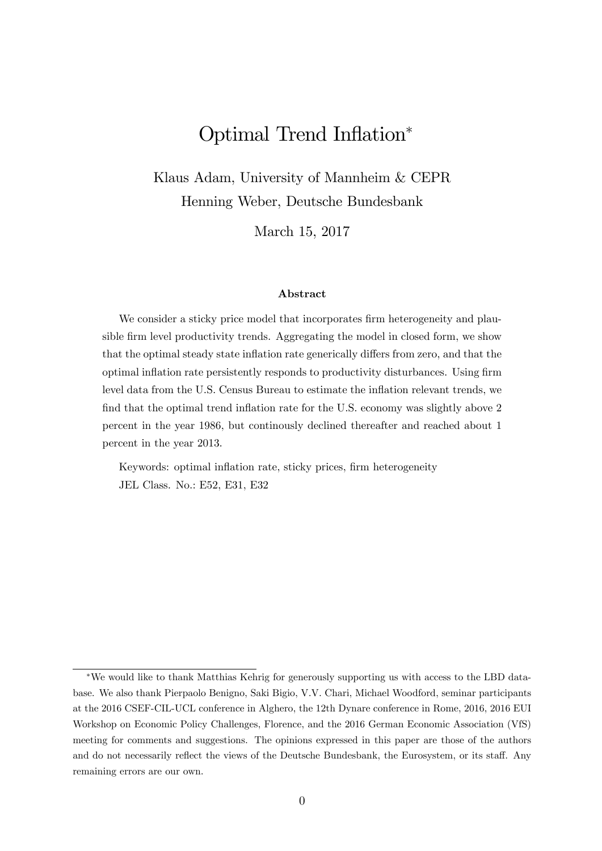# Optimal Trend Inflation\*

Klaus Adam, University of Mannheim & CEPR Henning Weber, Deutsche Bundesbank

March 15, 2017

#### Abstract

We consider a sticky price model that incorporates firm heterogeneity and plausible firm level productivity trends. Aggregating the model in closed form, we show that the optimal steady state inflation rate generically differs from zero, and that the optimal inflation rate persistently responds to productivity disturbances. Using firm level data from the U.S. Census Bureau to estimate the inflation relevant trends, we find that the optimal trend inflation rate for the U.S. economy was slightly above 2 percent in the year 1986, but continously declined thereafter and reached about 1 percent in the year 2013.

Keywords: optimal inflation rate, sticky prices, firm heterogeneity JEL Class. No.: E52, E31, E32

We would like to thank Matthias Kehrig for generously supporting us with access to the LBD database. We also thank Pierpaolo Benigno, Saki Bigio, V.V. Chari, Michael Woodford, seminar participants at the 2016 CSEF-CIL-UCL conference in Alghero, the 12th Dynare conference in Rome, 2016, 2016 EUI Workshop on Economic Policy Challenges, Florence, and the 2016 German Economic Association (VfS) meeting for comments and suggestions. The opinions expressed in this paper are those of the authors and do not necessarily reflect the views of the Deutsche Bundesbank, the Eurosystem, or its staff. Any remaining errors are our own.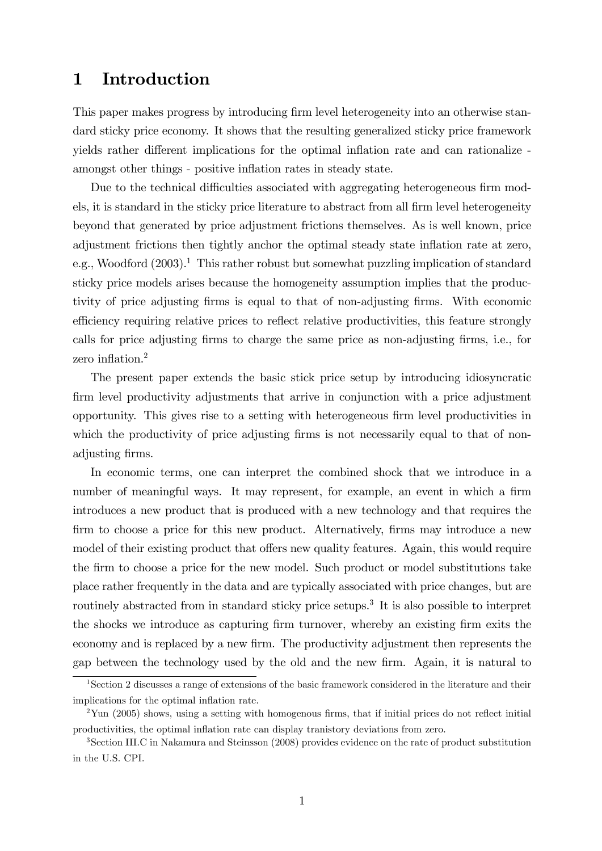## 1 Introduction

This paper makes progress by introducing firm level heterogeneity into an otherwise standard sticky price economy. It shows that the resulting generalized sticky price framework yields rather different implications for the optimal inflation rate and can rationalize amongst other things - positive inflation rates in steady state.

Due to the technical difficulties associated with aggregating heterogeneous firm models, it is standard in the sticky price literature to abstract from all firm level heterogeneity beyond that generated by price adjustment frictions themselves. As is well known, price adjustment frictions then tightly anchor the optimal steady state inflation rate at zero, e.g., Woodford  $(2003)^{1}$ . This rather robust but somewhat puzzling implication of standard sticky price models arises because the homogeneity assumption implies that the productivity of price adjusting Örms is equal to that of non-adjusting Örms. With economic efficiency requiring relative prices to reflect relative productivities, this feature strongly calls for price adjusting firms to charge the same price as non-adjusting firms, i.e., for zero inflation. $<sup>2</sup>$ </sup>

The present paper extends the basic stick price setup by introducing idiosyncratic firm level productivity adjustments that arrive in conjunction with a price adjustment opportunity. This gives rise to a setting with heterogeneous Örm level productivities in which the productivity of price adjusting firms is not necessarily equal to that of nonadjusting firms.

In economic terms, one can interpret the combined shock that we introduce in a number of meaningful ways. It may represent, for example, an event in which a firm introduces a new product that is produced with a new technology and that requires the firm to choose a price for this new product. Alternatively, firms may introduce a new model of their existing product that offers new quality features. Again, this would require the firm to choose a price for the new model. Such product or model substitutions take place rather frequently in the data and are typically associated with price changes, but are routinely abstracted from in standard sticky price setups.<sup>3</sup> It is also possible to interpret the shocks we introduce as capturing firm turnover, whereby an existing firm exits the economy and is replaced by a new firm. The productivity adjustment then represents the gap between the technology used by the old and the new Örm. Again, it is natural to

<sup>&</sup>lt;sup>1</sup>Section 2 discusses a range of extensions of the basic framework considered in the literature and their implications for the optimal inflation rate.

 $2$ Yun (2005) shows, using a setting with homogenous firms, that if initial prices do not reflect initial productivities, the optimal ináation rate can display tranistory deviations from zero.

<sup>3</sup>Section III.C in Nakamura and Steinsson (2008) provides evidence on the rate of product substitution in the U.S. CPI.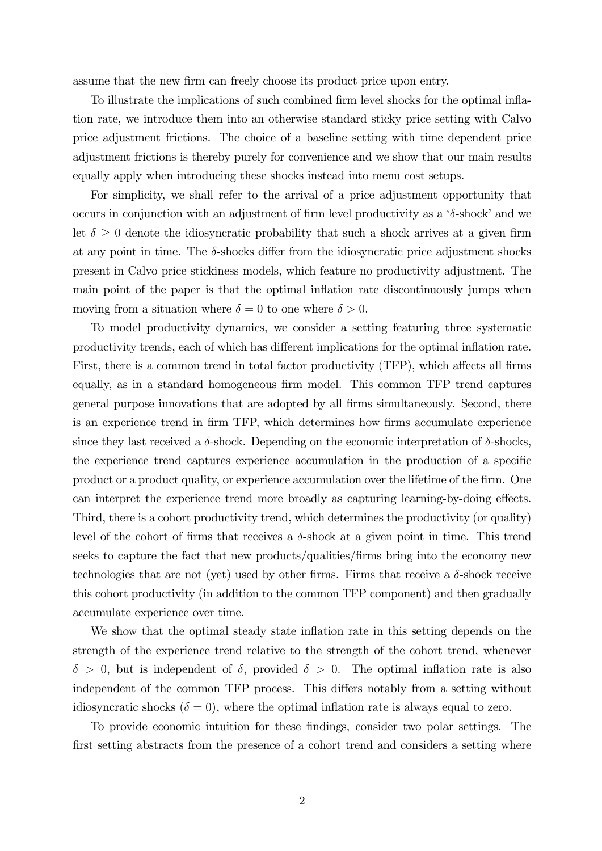assume that the new firm can freely choose its product price upon entry.

To illustrate the implications of such combined firm level shocks for the optimal inflation rate, we introduce them into an otherwise standard sticky price setting with Calvo price adjustment frictions. The choice of a baseline setting with time dependent price adjustment frictions is thereby purely for convenience and we show that our main results equally apply when introducing these shocks instead into menu cost setups.

For simplicity, we shall refer to the arrival of a price adjustment opportunity that occurs in conjunction with an adjustment of firm level productivity as a  $\delta$ -shock' and we let  $\delta \geq 0$  denote the idiosyncratic probability that such a shock arrives at a given firm at any point in time. The  $\delta$ -shocks differ from the idiosyncratic price adjustment shocks present in Calvo price stickiness models, which feature no productivity adjustment. The main point of the paper is that the optimal inflation rate discontinuously jumps when moving from a situation where  $\delta = 0$  to one where  $\delta > 0$ .

To model productivity dynamics, we consider a setting featuring three systematic productivity trends, each of which has different implications for the optimal inflation rate. First, there is a common trend in total factor productivity (TFP), which affects all firms equally, as in a standard homogeneous firm model. This common TFP trend captures general purpose innovations that are adopted by all Örms simultaneously. Second, there is an experience trend in firm TFP, which determines how firms accumulate experience since they last received a  $\delta$ -shock. Depending on the economic interpretation of  $\delta$ -shocks, the experience trend captures experience accumulation in the production of a specific product or a product quality, or experience accumulation over the lifetime of the firm. One can interpret the experience trend more broadly as capturing learning-by-doing effects. Third, there is a cohort productivity trend, which determines the productivity (or quality) level of the cohort of firms that receives a  $\delta$ -shock at a given point in time. This trend seeks to capture the fact that new products/qualities/Örms bring into the economy new technologies that are not (yet) used by other firms. Firms that receive a  $\delta$ -shock receive this cohort productivity (in addition to the common TFP component) and then gradually accumulate experience over time.

We show that the optimal steady state inflation rate in this setting depends on the strength of the experience trend relative to the strength of the cohort trend, whenever  $\delta > 0$ , but is independent of  $\delta$ , provided  $\delta > 0$ . The optimal inflation rate is also independent of the common TFP process. This differs notably from a setting without idiosyncratic shocks ( $\delta = 0$ ), where the optimal inflation rate is always equal to zero.

To provide economic intuition for these Öndings, consider two polar settings. The first setting abstracts from the presence of a cohort trend and considers a setting where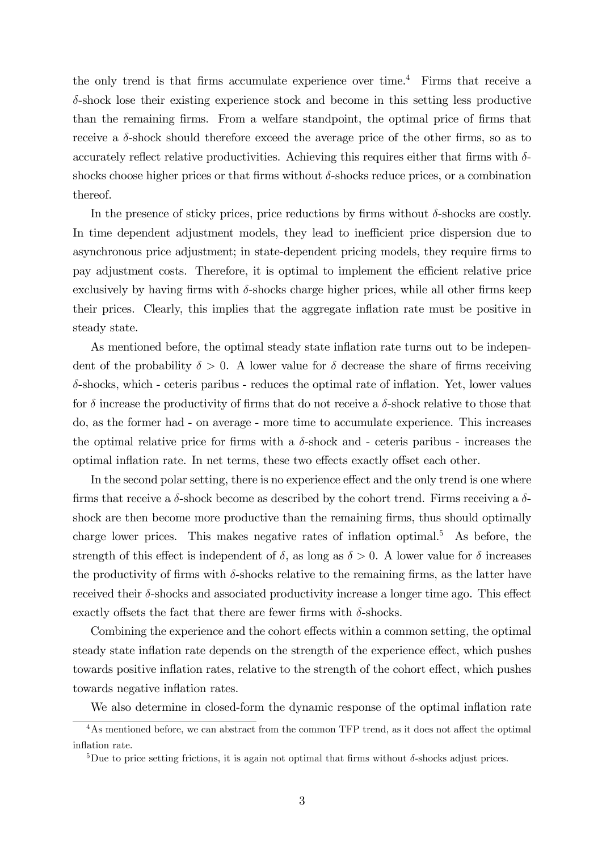the only trend is that firms accumulate experience over time.<sup>4</sup> Firms that receive a  $\delta$ -shock lose their existing experience stock and become in this setting less productive than the remaining firms. From a welfare standpoint, the optimal price of firms that receive a  $\delta$ -shock should therefore exceed the average price of the other firms, so as to accurately reflect relative productivities. Achieving this requires either that firms with  $\delta$ shocks choose higher prices or that firms without  $\delta$ -shocks reduce prices, or a combination thereof.

In the presence of sticky prices, price reductions by firms without  $\delta$ -shocks are costly. In time dependent adjustment models, they lead to inefficient price dispersion due to asynchronous price adjustment; in state-dependent pricing models, they require Örms to pay adjustment costs. Therefore, it is optimal to implement the efficient relative price exclusively by having firms with  $\delta$ -shocks charge higher prices, while all other firms keep their prices. Clearly, this implies that the aggregate inflation rate must be positive in steady state.

As mentioned before, the optimal steady state inflation rate turns out to be independent of the probability  $\delta > 0$ . A lower value for  $\delta$  decrease the share of firms receiving  $\delta$ -shocks, which - ceteris paribus - reduces the optimal rate of inflation. Yet, lower values for  $\delta$  increase the productivity of firms that do not receive a  $\delta$ -shock relative to those that do, as the former had - on average - more time to accumulate experience. This increases the optimal relative price for firms with a  $\delta$ -shock and - ceteris paribus - increases the optimal inflation rate. In net terms, these two effects exactly offset each other.

In the second polar setting, there is no experience effect and the only trend is one where firms that receive a  $\delta$ -shock become as described by the cohort trend. Firms receiving a  $\delta$ shock are then become more productive than the remaining firms, thus should optimally charge lower prices. This makes negative rates of inflation optimal.<sup>5</sup> As before, the strength of this effect is independent of  $\delta$ , as long as  $\delta > 0$ . A lower value for  $\delta$  increases the productivity of firms with  $\delta$ -shocks relative to the remaining firms, as the latter have received their  $\delta$ -shocks and associated productivity increase a longer time ago. This effect exactly offsets the fact that there are fewer firms with  $\delta$ -shocks.

Combining the experience and the cohort effects within a common setting, the optimal steady state inflation rate depends on the strength of the experience effect, which pushes towards positive inflation rates, relative to the strength of the cohort effect, which pushes towards negative inflation rates.

We also determine in closed-form the dynamic response of the optimal inflation rate

 $\overline{^{4}$ As mentioned before, we can abstract from the common TFP trend, as it does not affect the optimal inflation rate.

<sup>&</sup>lt;sup>5</sup>Due to price setting frictions, it is again not optimal that firms without  $\delta$ -shocks adjust prices.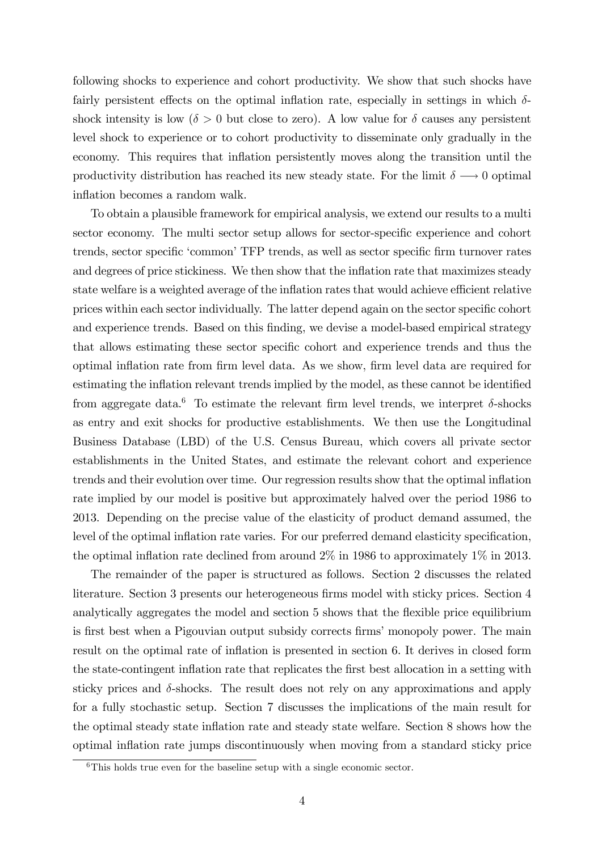following shocks to experience and cohort productivity. We show that such shocks have fairly persistent effects on the optimal inflation rate, especially in settings in which  $\delta$ shock intensity is low ( $\delta > 0$  but close to zero). A low value for  $\delta$  causes any persistent level shock to experience or to cohort productivity to disseminate only gradually in the economy. This requires that inflation persistently moves along the transition until the productivity distribution has reached its new steady state. For the limit  $\delta \longrightarrow 0$  optimal inflation becomes a random walk.

To obtain a plausible framework for empirical analysis, we extend our results to a multi sector economy. The multi sector setup allows for sector-specific experience and cohort trends, sector specific 'common' TFP trends, as well as sector specific firm turnover rates and degrees of price stickiness. We then show that the inflation rate that maximizes steady state welfare is a weighted average of the inflation rates that would achieve efficient relative prices within each sector individually. The latter depend again on the sector specific cohort and experience trends. Based on this finding, we devise a model-based empirical strategy that allows estimating these sector specific cohort and experience trends and thus the optimal inflation rate from firm level data. As we show, firm level data are required for estimating the inflation relevant trends implied by the model, as these cannot be identified from aggregate data.<sup>6</sup> To estimate the relevant firm level trends, we interpret  $\delta$ -shocks as entry and exit shocks for productive establishments. We then use the Longitudinal Business Database (LBD) of the U.S. Census Bureau, which covers all private sector establishments in the United States, and estimate the relevant cohort and experience trends and their evolution over time. Our regression results show that the optimal inflation rate implied by our model is positive but approximately halved over the period 1986 to 2013. Depending on the precise value of the elasticity of product demand assumed, the level of the optimal inflation rate varies. For our preferred demand elasticity specification, the optimal inflation rate declined from around  $2\%$  in 1986 to approximately 1% in 2013.

The remainder of the paper is structured as follows. Section 2 discusses the related literature. Section 3 presents our heterogeneous firms model with sticky prices. Section 4 analytically aggregates the model and section 5 shows that the flexible price equilibrium is first best when a Pigouvian output subsidy corrects firms' monopoly power. The main result on the optimal rate of ináation is presented in section 6. It derives in closed form the state-contingent inflation rate that replicates the first best allocation in a setting with sticky prices and  $\delta$ -shocks. The result does not rely on any approximations and apply for a fully stochastic setup. Section 7 discusses the implications of the main result for the optimal steady state inflation rate and steady state welfare. Section 8 shows how the optimal inflation rate jumps discontinuously when moving from a standard sticky price

 ${}^{6}$ This holds true even for the baseline setup with a single economic sector.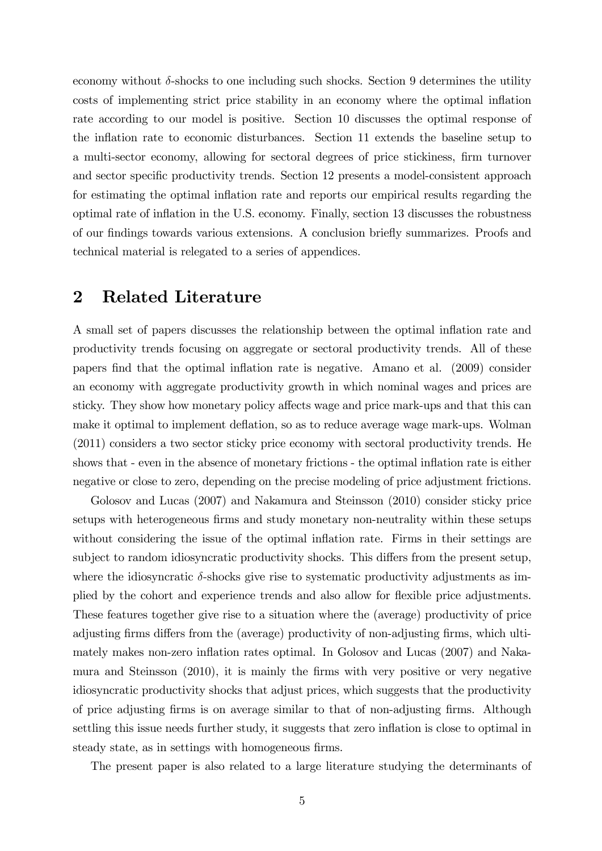economy without  $\delta$ -shocks to one including such shocks. Section 9 determines the utility costs of implementing strict price stability in an economy where the optimal ináation rate according to our model is positive. Section 10 discusses the optimal response of the inflation rate to economic disturbances. Section 11 extends the baseline setup to a multi-sector economy, allowing for sectoral degrees of price stickiness, firm turnover and sector specific productivity trends. Section 12 presents a model-consistent approach for estimating the optimal inflation rate and reports our empirical results regarding the optimal rate of inflation in the U.S. economy. Finally, section 13 discusses the robustness of our findings towards various extensions. A conclusion briefly summarizes. Proofs and technical material is relegated to a series of appendices.

### 2 Related Literature

A small set of papers discusses the relationship between the optimal inflation rate and productivity trends focusing on aggregate or sectoral productivity trends. All of these papers Önd that the optimal ináation rate is negative. Amano et al. (2009) consider an economy with aggregate productivity growth in which nominal wages and prices are sticky. They show how monetary policy affects wage and price mark-ups and that this can make it optimal to implement deflation, so as to reduce average wage mark-ups. Wolman (2011) considers a two sector sticky price economy with sectoral productivity trends. He shows that - even in the absence of monetary frictions - the optimal inflation rate is either negative or close to zero, depending on the precise modeling of price adjustment frictions.

Golosov and Lucas (2007) and Nakamura and Steinsson (2010) consider sticky price setups with heterogeneous firms and study monetary non-neutrality within these setups without considering the issue of the optimal inflation rate. Firms in their settings are subject to random idiosyncratic productivity shocks. This differs from the present setup, where the idiosyncratic  $\delta$ -shocks give rise to systematic productivity adjustments as implied by the cohort and experience trends and also allow for flexible price adjustments. These features together give rise to a situation where the (average) productivity of price adjusting firms differs from the (average) productivity of non-adjusting firms, which ultimately makes non-zero inflation rates optimal. In Golosov and Lucas (2007) and Nakamura and Steinsson (2010), it is mainly the Örms with very positive or very negative idiosyncratic productivity shocks that adjust prices, which suggests that the productivity of price adjusting Örms is on average similar to that of non-adjusting Örms. Although settling this issue needs further study, it suggests that zero inflation is close to optimal in steady state, as in settings with homogeneous firms.

The present paper is also related to a large literature studying the determinants of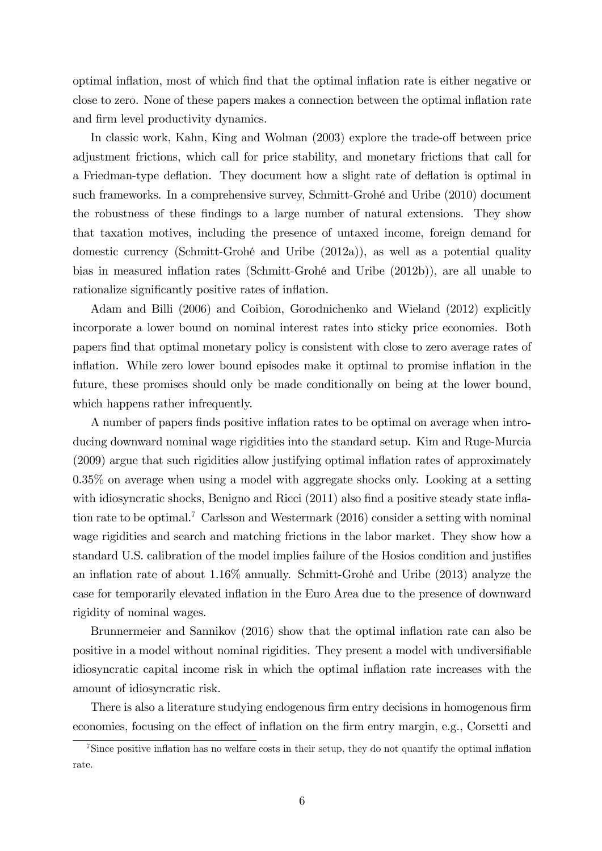optimal inflation, most of which find that the optimal inflation rate is either negative or close to zero. None of these papers makes a connection between the optimal ináation rate and firm level productivity dynamics.

In classic work, Kahn, King and Wolman (2003) explore the trade-off between price adjustment frictions, which call for price stability, and monetary frictions that call for a Friedman-type deflation. They document how a slight rate of deflation is optimal in such frameworks. In a comprehensive survey, Schmitt-Grohé and Uribe (2010) document the robustness of these findings to a large number of natural extensions. They show that taxation motives, including the presence of untaxed income, foreign demand for domestic currency (Schmitt-GrohÈ and Uribe (2012a)), as well as a potential quality bias in measured inflation rates (Schmitt-Grohé and Uribe (2012b)), are all unable to rationalize significantly positive rates of inflation.

Adam and Billi (2006) and Coibion, Gorodnichenko and Wieland (2012) explicitly incorporate a lower bound on nominal interest rates into sticky price economies. Both papers Önd that optimal monetary policy is consistent with close to zero average rates of inflation. While zero lower bound episodes make it optimal to promise inflation in the future, these promises should only be made conditionally on being at the lower bound, which happens rather infrequently.

A number of papers finds positive inflation rates to be optimal on average when introducing downward nominal wage rigidities into the standard setup. Kim and Ruge-Murcia (2009) argue that such rigidities allow justifying optimal inflation rates of approximately 0.35% on average when using a model with aggregate shocks only. Looking at a setting with idiosyncratic shocks, Benigno and Ricci  $(2011)$  also find a positive steady state inflation rate to be optimal.<sup>7</sup> Carlsson and Westermark (2016) consider a setting with nominal wage rigidities and search and matching frictions in the labor market. They show how a standard U.S. calibration of the model implies failure of the Hosios condition and justifies an inflation rate of about  $1.16\%$  annually. Schmitt-Grohé and Uribe (2013) analyze the case for temporarily elevated ináation in the Euro Area due to the presence of downward rigidity of nominal wages.

Brunnermeier and Sannikov (2016) show that the optimal inflation rate can also be positive in a model without nominal rigidities. They present a model with undiversifiable idiosyncratic capital income risk in which the optimal ináation rate increases with the amount of idiosyncratic risk.

There is also a literature studying endogenous firm entry decisions in homogenous firm economies, focusing on the effect of inflation on the firm entry margin, e.g., Corsetti and

<sup>&</sup>lt;sup>7</sup>Since positive inflation has no welfare costs in their setup, they do not quantify the optimal inflation rate.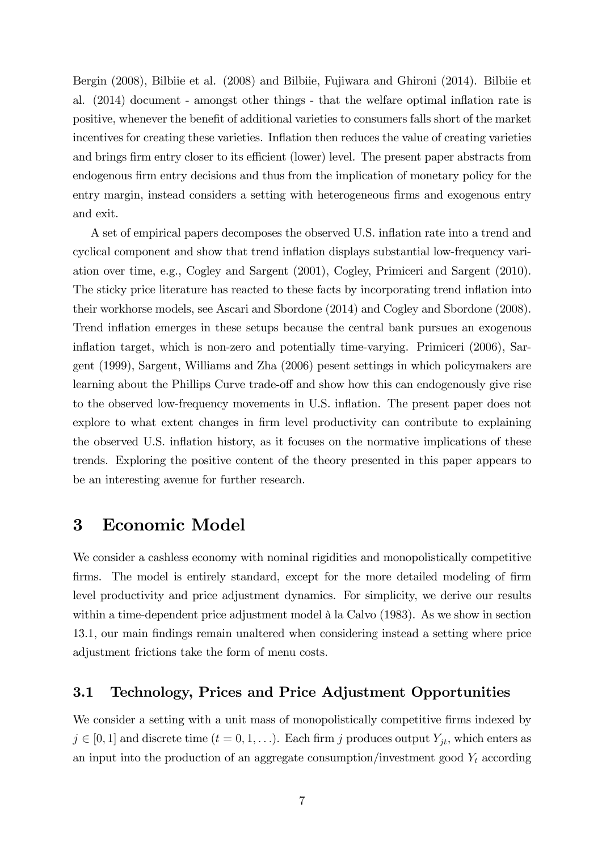Bergin (2008), Bilbiie et al. (2008) and Bilbiie, Fujiwara and Ghironi (2014). Bilbiie et al. (2014) document - amongst other things - that the welfare optimal inflation rate is positive, whenever the benefit of additional varieties to consumers falls short of the market incentives for creating these varieties. Inflation then reduces the value of creating varieties and brings firm entry closer to its efficient (lower) level. The present paper abstracts from endogenous firm entry decisions and thus from the implication of monetary policy for the entry margin, instead considers a setting with heterogeneous firms and exogenous entry and exit.

A set of empirical papers decomposes the observed U.S. ináation rate into a trend and cyclical component and show that trend ináation displays substantial low-frequency variation over time, e.g., Cogley and Sargent (2001), Cogley, Primiceri and Sargent (2010). The sticky price literature has reacted to these facts by incorporating trend inflation into their workhorse models, see Ascari and Sbordone (2014) and Cogley and Sbordone (2008). Trend inflation emerges in these setups because the central bank pursues an exogenous inflation target, which is non-zero and potentially time-varying. Primiceri (2006), Sargent (1999), Sargent, Williams and Zha (2006) pesent settings in which policymakers are learning about the Phillips Curve trade-off and show how this can endogenously give rise to the observed low-frequency movements in U.S. ináation. The present paper does not explore to what extent changes in firm level productivity can contribute to explaining the observed U.S. inflation history, as it focuses on the normative implications of these trends. Exploring the positive content of the theory presented in this paper appears to be an interesting avenue for further research.

### 3 Economic Model

We consider a cashless economy with nominal rigidities and monopolistically competitive firms. The model is entirely standard, except for the more detailed modeling of firm level productivity and price adjustment dynamics. For simplicity, we derive our results within a time-dependent price adjustment model  $\hat{a}$  la Calvo (1983). As we show in section 13.1, our main Öndings remain unaltered when considering instead a setting where price adjustment frictions take the form of menu costs.

### 3.1 Technology, Prices and Price Adjustment Opportunities

We consider a setting with a unit mass of monopolistically competitive firms indexed by  $j \in [0, 1]$  and discrete time  $(t = 0, 1, \ldots)$ . Each firm j produces output  $Y_{jt}$ , which enters as an input into the production of an aggregate consumption/investment good  $Y_t$  according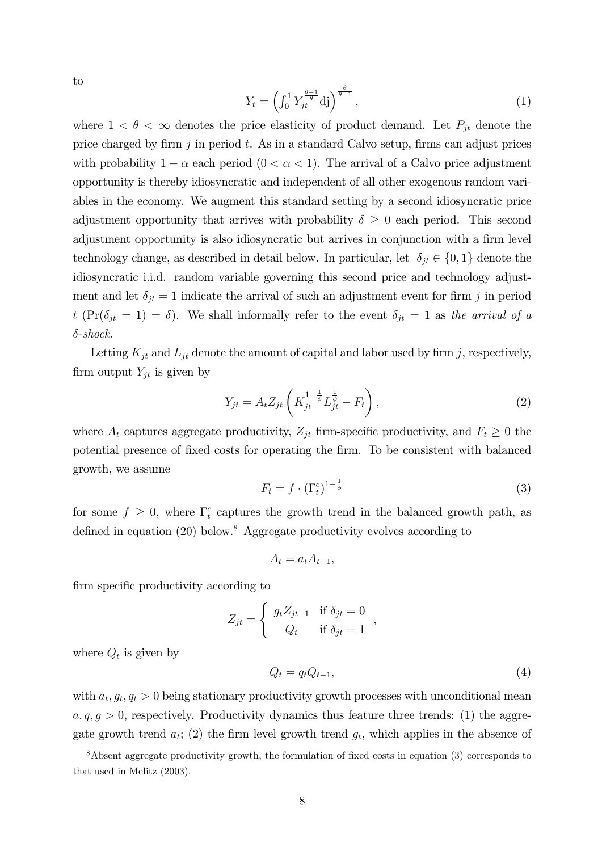to

$$
Y_t = \left(\int_0^1 Y_{jt}^{\frac{\theta - 1}{\theta}} d\mathbf{j}\right)^{\frac{\theta}{\theta - 1}},\tag{1}
$$

where  $1 < \theta < \infty$  denotes the price elasticity of product demand. Let  $P_{jt}$  denote the price charged by firm j in period t. As in a standard Calvo setup, firms can adjust prices with probability  $1 - \alpha$  each period  $(0 < \alpha < 1)$ . The arrival of a Calvo price adjustment opportunity is thereby idiosyncratic and independent of all other exogenous random variables in the economy. We augment this standard setting by a second idiosyncratic price adjustment opportunity that arrives with probability  $\delta \geq 0$  each period. This second adjustment opportunity is also idiosyncratic but arrives in conjunction with a firm level technology change, as described in detail below. In particular, let  $\delta_{jt} \in \{0, 1\}$  denote the idiosyncratic i.i.d. random variable governing this second price and technology adjustment and let  $\delta_{jt} = 1$  indicate the arrival of such an adjustment event for firm j in period t (Pr( $\delta_{jt} = 1$ ) =  $\delta$ ). We shall informally refer to the event  $\delta_{jt} = 1$  as the arrival of a  $\delta$ -shock.

Letting  $K_{jt}$  and  $L_{jt}$  denote the amount of capital and labor used by firm j, respectively, firm output  $Y_{it}$  is given by

$$
Y_{jt} = A_t Z_{jt} \left( K_{jt}^{1 - \frac{1}{\phi}} L_{jt}^{\frac{1}{\phi}} - F_t \right),
$$
\n(2)

where  $A_t$  captures aggregate productivity,  $Z_{jt}$  firm-specific productivity, and  $F_t \geq 0$  the potential presence of Öxed costs for operating the Örm. To be consistent with balanced growth, we assume

$$
F_t = f \cdot (\Gamma_t^e)^{1 - \frac{1}{\phi}} \tag{3}
$$

for some  $f \geq 0$ , where  $\Gamma_t^e$  captures the growth trend in the balanced growth path, as defined in equation  $(20)$  below.<sup>8</sup> Aggregate productivity evolves according to

$$
A_t = a_t A_{t-1},
$$

firm specific productivity according to

$$
Z_{jt} = \begin{cases} g_t Z_{jt-1} & \text{if } \delta_{jt} = 0 \\ Q_t & \text{if } \delta_{jt} = 1 \end{cases}
$$

where  $Q_t$  is given by

$$
Q_t = q_t Q_{t-1},\tag{4}
$$

with  $a_t, g_t, q_t > 0$  being stationary productivity growth processes with unconditional mean  $a, q, g > 0$ , respectively. Productivity dynamics thus feature three trends: (1) the aggregate growth trend  $a_t$ ; (2) the firm level growth trend  $g_t$ , which applies in the absence of

 $8$ Absent aggregate productivity growth, the formulation of fixed costs in equation (3) corresponds to that used in Melitz (2003).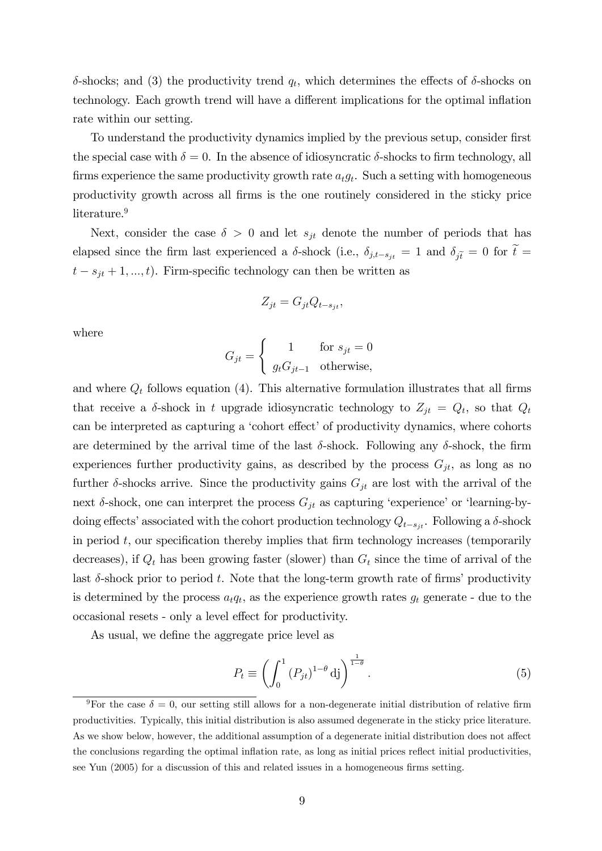$\delta$ -shocks; and (3) the productivity trend  $q_t$ , which determines the effects of  $\delta$ -shocks on technology. Each growth trend will have a different implications for the optimal inflation rate within our setting.

To understand the productivity dynamics implied by the previous setup, consider first the special case with  $\delta = 0$ . In the absence of idiosyncratic  $\delta$ -shocks to firm technology, all firms experience the same productivity growth rate  $a_t g_t$ . Such a setting with homogeneous productivity growth across all Örms is the one routinely considered in the sticky price literature.<sup>9</sup>

Next, consider the case  $\delta > 0$  and let  $s_{jt}$  denote the number of periods that has elapsed since the firm last experienced a  $\delta$ -shock (i.e.,  $\delta_{j,t-s_{jt}} = 1$  and  $\delta_{j\tilde{t}} = 0$  for  $\tilde{t} =$  $t - s_{jt} + 1, ..., t$ ). Firm-specific technology can then be written as

$$
Z_{jt} = G_{jt} Q_{t-s_{jt}},
$$

where

$$
G_{jt} = \begin{cases} 1 & \text{for } s_{jt} = 0\\ g_t G_{jt-1} & \text{otherwise,} \end{cases}
$$

and where  $Q_t$  follows equation (4). This alternative formulation illustrates that all firms that receive a  $\delta$ -shock in t upgrade idiosyncratic technology to  $Z_{jt} = Q_t$ , so that  $Q_t$ can be interpreted as capturing a 'cohort effect' of productivity dynamics, where cohorts are determined by the arrival time of the last  $\delta$ -shock. Following any  $\delta$ -shock, the firm experiences further productivity gains, as described by the process  $G_{jt}$ , as long as no further  $\delta$ -shocks arrive. Since the productivity gains  $G_{jt}$  are lost with the arrival of the next  $\delta$ -shock, one can interpret the process  $G_{jt}$  as capturing 'experience' or 'learning-bydoing effects' associated with the cohort production technology  $Q_{t-s_{jt}}$ . Following a  $\delta$ -shock in period  $t$ , our specification thereby implies that firm technology increases (temporarily decreases), if  $Q_t$  has been growing faster (slower) than  $G_t$  since the time of arrival of the last  $\delta$ -shock prior to period t. Note that the long-term growth rate of firms' productivity is determined by the process  $a_t q_t$ , as the experience growth rates  $g_t$  generate - due to the occasional resets - only a level effect for productivity.

As usual, we define the aggregate price level as

$$
P_t \equiv \left( \int_0^1 \left( P_{jt} \right)^{1-\theta} \mathrm{d}j \right)^{\frac{1}{1-\theta}}.
$$
\n
$$
(5)
$$

<sup>&</sup>lt;sup>9</sup>For the case  $\delta = 0$ , our setting still allows for a non-degenerate initial distribution of relative firm productivities. Typically, this initial distribution is also assumed degenerate in the sticky price literature. As we show below, however, the additional assumption of a degenerate initial distribution does not affect the conclusions regarding the optimal inflation rate, as long as initial prices reflect initial productivities, see Yun (2005) for a discussion of this and related issues in a homogeneous firms setting.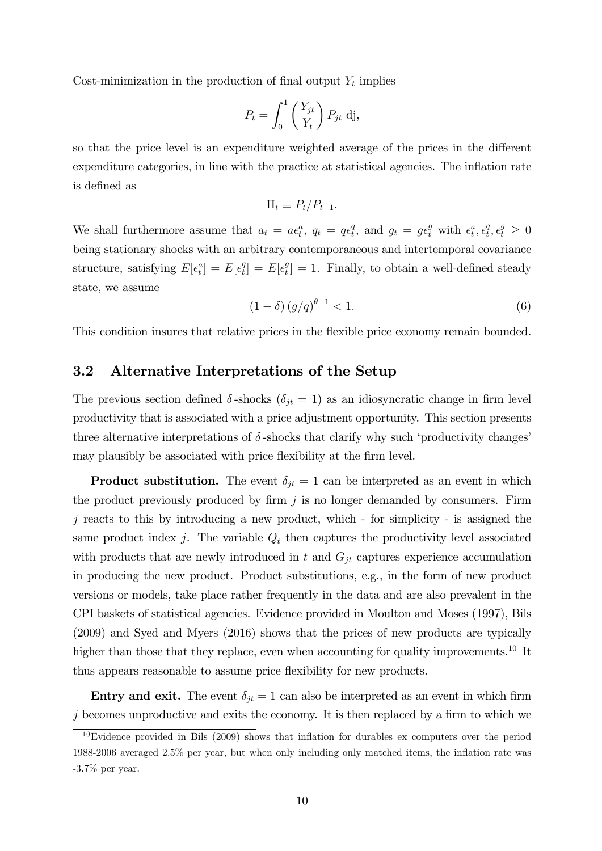Cost-minimization in the production of final output  $Y_t$  implies

$$
P_t = \int_0^1 \left(\frac{Y_{jt}}{Y_t}\right) P_{jt} \, \mathrm{d} \mathbf{j},
$$

so that the price level is an expenditure weighted average of the prices in the different expenditure categories, in line with the practice at statistical agencies. The inflation rate is defined as

$$
\Pi_t \equiv P_t/P_{t-1}.
$$

We shall furthermore assume that  $a_t = a\epsilon_t^a$ ,  $q_t = q\epsilon_t^a$  $t_t^q$ , and  $g_t = g \epsilon_t^g$  with  $\epsilon_t^a, \epsilon_t^q$  $t^q, \epsilon^g_t \geq 0$ being stationary shocks with an arbitrary contemporaneous and intertemporal covariance structure, satisfying  $E[\epsilon_t^a] = E[\epsilon_t^a]$  $\mathcal{E}[t] = E[\epsilon_t^g]$  $t_i^g$  = 1. Finally, to obtain a well-defined steady state, we assume

$$
(1 - \delta) (g/q)^{\theta - 1} < 1. \tag{6}
$$

This condition insures that relative prices in the flexible price economy remain bounded.

#### 3.2 Alternative Interpretations of the Setup

The previous section defined  $\delta$ -shocks  $(\delta_{jt} = 1)$  as an idiosyncratic change in firm level productivity that is associated with a price adjustment opportunity. This section presents three alternative interpretations of  $\delta$ -shocks that clarify why such 'productivity changes' may plausibly be associated with price flexibility at the firm level.

**Product substitution.** The event  $\delta_{jt} = 1$  can be interpreted as an event in which the product previously produced by firm  $j$  is no longer demanded by consumers. Firm  $j$  reacts to this by introducing a new product, which - for simplicity - is assigned the same product index j. The variable  $Q_t$  then captures the productivity level associated with products that are newly introduced in t and  $G_{it}$  captures experience accumulation in producing the new product. Product substitutions, e.g., in the form of new product versions or models, take place rather frequently in the data and are also prevalent in the CPI baskets of statistical agencies. Evidence provided in Moulton and Moses (1997), Bils (2009) and Syed and Myers (2016) shows that the prices of new products are typically higher than those that they replace, even when accounting for quality improvements.<sup>10</sup> It thus appears reasonable to assume price áexibility for new products.

**Entry and exit.** The event  $\delta_{it} = 1$  can also be interpreted as an event in which firm  $j$  becomes unproductive and exits the economy. It is then replaced by a firm to which we

 $10$ Evidence provided in Bils (2009) shows that inflation for durables ex computers over the period 1988-2006 averaged 2.5% per year, but when only including only matched items, the ináation rate was -3.7% per year.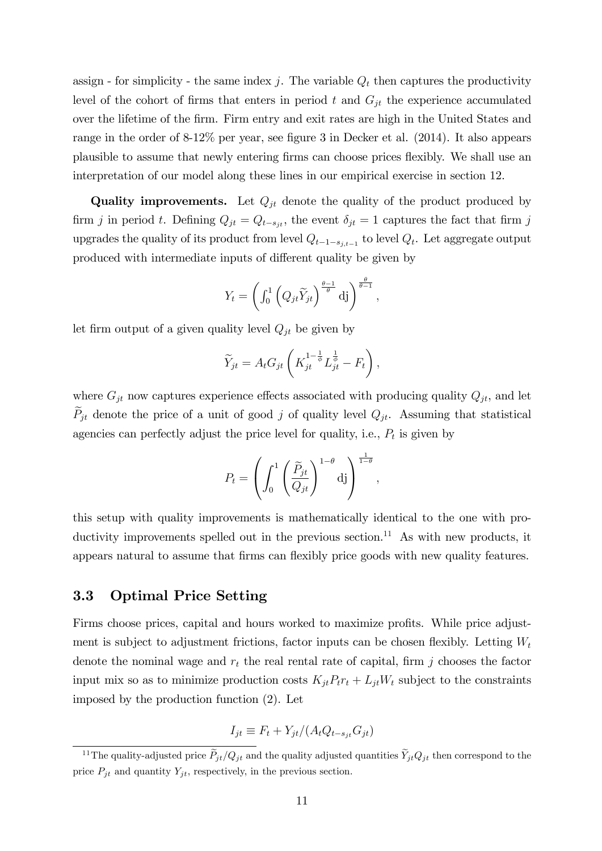assign - for simplicity - the same index j. The variable  $Q_t$  then captures the productivity level of the cohort of firms that enters in period t and  $G_{jt}$  the experience accumulated over the lifetime of the Örm. Firm entry and exit rates are high in the United States and range in the order of  $8-12\%$  per year, see figure 3 in Decker et al. (2014). It also appears plausible to assume that newly entering Örms can choose prices áexibly. We shall use an interpretation of our model along these lines in our empirical exercise in section 12.

**Quality improvements.** Let  $Q_{it}$  denote the quality of the product produced by firm j in period t. Defining  $Q_{jt} = Q_{t-s_{jt}}$ , the event  $\delta_{jt} = 1$  captures the fact that firm j upgrades the quality of its product from level  $Q_{t-1-s_{j,t-1}}$  to level  $Q_t$ . Let aggregate output produced with intermediate inputs of different quality be given by

$$
Y_t = \left(\int_0^1 \left(Q_{jt}\widetilde{Y}_{jt}\right)^{\frac{\theta-1}{\theta}} \mathrm{d}j\right)^{\frac{\theta}{\theta-1}},
$$

let firm output of a given quality level  $Q_{it}$  be given by

$$
\widetilde{Y}_{jt} = A_t G_{jt} \left( K_{jt}^{1-\frac{1}{\phi}} L_{jt}^{\frac{1}{\phi}} - F_t \right),
$$

where  $G_{jt}$  now captures experience effects associated with producing quality  $Q_{jt}$ , and let  $\widetilde{P}_{jt}$  denote the price of a unit of good j of quality level  $Q_{jt}$ . Assuming that statistical agencies can perfectly adjust the price level for quality, i.e.,  $P_t$  is given by

$$
P_t = \left(\int_0^1 \left(\frac{\widetilde{P}_{jt}}{Q_{jt}}\right)^{1-\theta} d\mathbf{j}\right)^{\frac{1}{1-\theta}},
$$

this setup with quality improvements is mathematically identical to the one with productivity improvements spelled out in the previous section.<sup>11</sup> As with new products, it appears natural to assume that firms can flexibly price goods with new quality features.

#### 3.3 Optimal Price Setting

Firms choose prices, capital and hours worked to maximize profits. While price adjustment is subject to adjustment frictions, factor inputs can be chosen flexibly. Letting  $W_t$ denote the nominal wage and  $r_t$  the real rental rate of capital, firm j chooses the factor input mix so as to minimize production costs  $K_{jt}P_tr_t + L_{jt}W_t$  subject to the constraints imposed by the production function (2). Let

$$
I_{jt} \equiv F_t + Y_{jt} / (A_t Q_{t-s_{jt}} G_{jt})
$$

<sup>&</sup>lt;sup>11</sup>The quality-adjusted price  $\tilde{P}_{jt}/Q_{jt}$  and the quality adjusted quantities  $\tilde{Y}_{jt}Q_{jt}$  then correspond to the price  $P_{jt}$  and quantity  $Y_{jt}$ , respectively, in the previous section.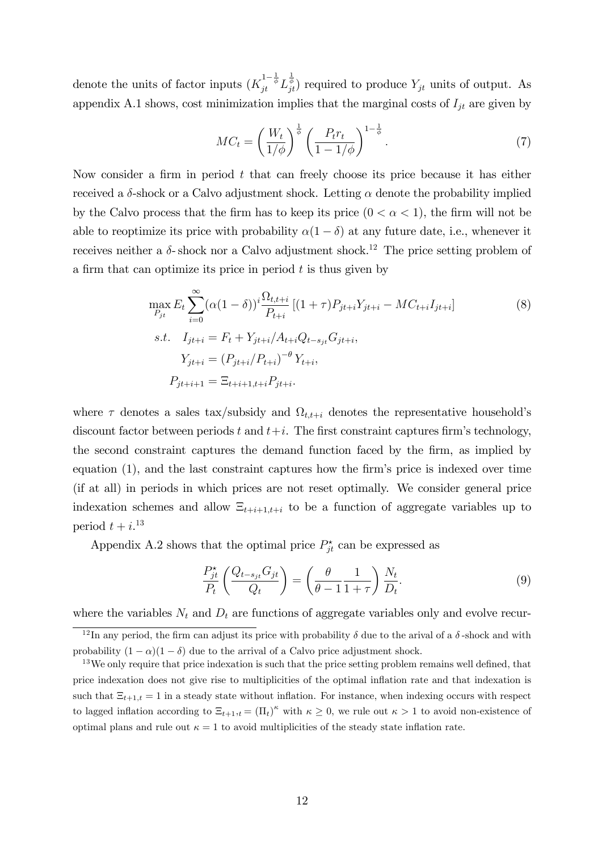denote the units of factor inputs  $(K_{jt}^{1-\frac{1}{\phi}} L_{jt}^{\frac{1}{\phi}})$  required to produce  $Y_{jt}$  units of output. As appendix A.1 shows, cost minimization implies that the marginal costs of  $I_{jt}$  are given by

$$
MC_t = \left(\frac{W_t}{1/\phi}\right)^{\frac{1}{\phi}} \left(\frac{P_t r_t}{1 - 1/\phi}\right)^{1 - \frac{1}{\phi}}.\tag{7}
$$

Now consider a firm in period  $t$  that can freely choose its price because it has either received a  $\delta$ -shock or a Calvo adjustment shock. Letting  $\alpha$  denote the probability implied by the Calvo process that the firm has to keep its price  $(0 < \alpha < 1)$ , the firm will not be able to reoptimize its price with probability  $\alpha(1 - \delta)$  at any future date, i.e., whenever it receives neither a  $\delta$ - shock nor a Calvo adjustment shock.<sup>12</sup> The price setting problem of a firm that can optimize its price in period  $t$  is thus given by

$$
\max_{P_{jt}} E_t \sum_{i=0}^{\infty} (\alpha (1 - \delta))^i \frac{\Omega_{t,t+i}}{P_{t+i}} [(1 + \tau) P_{jt+i} Y_{jt+i} - MC_{t+i} I_{jt+i}]
$$
\n
$$
s.t. \quad I_{jt+i} = F_t + Y_{j t+i} / A_{t+i} Q_{t-s_{jt}} G_{jt+i},
$$
\n
$$
Y_{jt+i} = (P_{jt+i} / P_{t+i})^{-\theta} Y_{t+i},
$$
\n
$$
P_{jt+i+1} = \Xi_{t+i+1,t+i} P_{jt+i}.
$$
\n(8)

where  $\tau$  denotes a sales tax/subsidy and  $\Omega_{t,t+i}$  denotes the representative household's discount factor between periods t and  $t+i$ . The first constraint captures firm's technology, the second constraint captures the demand function faced by the firm, as implied by equation  $(1)$ , and the last constraint captures how the firm's price is indexed over time (if at all) in periods in which prices are not reset optimally. We consider general price indexation schemes and allow  $\Xi_{t+i+1,t+i}$  to be a function of aggregate variables up to period  $t + i$ <sup>13</sup>

Appendix A.2 shows that the optimal price  $P_{jt}^{\star}$  can be expressed as

$$
\frac{P_{jt}^{\star}}{P_t} \left( \frac{Q_{t-s_{jt}} G_{jt}}{Q_t} \right) = \left( \frac{\theta}{\theta - 1} \frac{1}{1 + \tau} \right) \frac{N_t}{D_t}.
$$
\n(9)

where the variables  $N_t$  and  $D_t$  are functions of aggregate variables only and evolve recur-

<sup>&</sup>lt;sup>12</sup>In any period, the firm can adjust its price with probability  $\delta$  due to the arival of a  $\delta$ -shock and with probability  $(1 - \alpha)(1 - \delta)$  due to the arrival of a Calvo price adjustment shock.

<sup>&</sup>lt;sup>13</sup>We only require that price indexation is such that the price setting problem remains well defined, that price indexation does not give rise to multiplicities of the optimal ináation rate and that indexation is such that  $\Xi_{t+1,t} = 1$  in a steady state without inflation. For instance, when indexing occurs with respect to lagged inflation according to  $\Xi_{t+1,t} = (\Pi_t)^{\kappa}$  with  $\kappa \geq 0$ , we rule out  $\kappa > 1$  to avoid non-existence of optimal plans and rule out  $\kappa = 1$  to avoid multiplicities of the steady state inflation rate.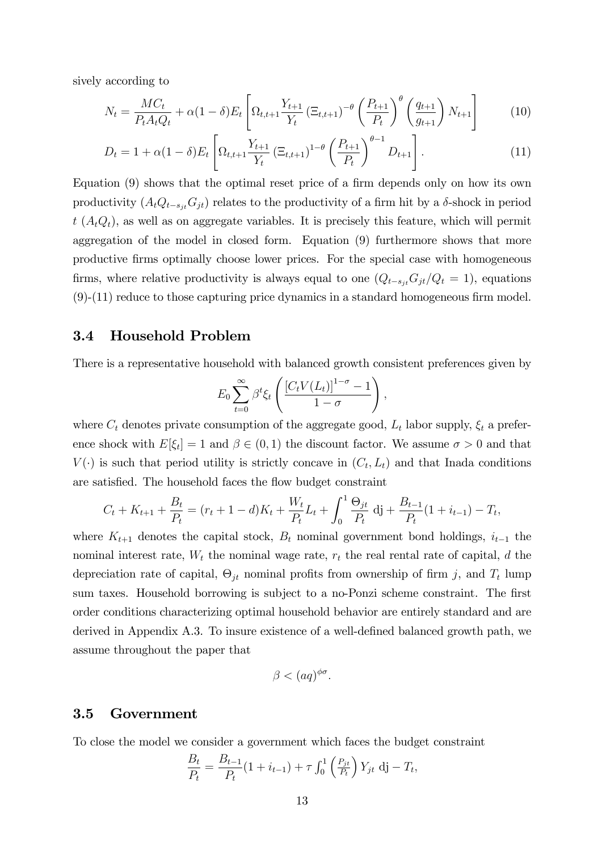sively according to

$$
N_t = \frac{MC_t}{P_t A_t Q_t} + \alpha (1 - \delta) E_t \left[ \Omega_{t, t+1} \frac{Y_{t+1}}{Y_t} \left( \Xi_{t, t+1} \right)^{-\theta} \left( \frac{P_{t+1}}{P_t} \right)^{\theta} \left( \frac{q_{t+1}}{g_{t+1}} \right) N_{t+1} \right]
$$
(10)

$$
D_t = 1 + \alpha (1 - \delta) E_t \left[ \Omega_{t, t+1} \frac{Y_{t+1}}{Y_t} \left( \Xi_{t, t+1} \right)^{1-\theta} \left( \frac{P_{t+1}}{P_t} \right)^{\theta-1} D_{t+1} \right]. \tag{11}
$$

Equation  $(9)$  shows that the optimal reset price of a firm depends only on how its own productivity  $(A_tQ_{t-s}G_{jt})$  relates to the productivity of a firm hit by a  $\delta$ -shock in period  $t(A_tQ_t)$ , as well as on aggregate variables. It is precisely this feature, which will permit aggregation of the model in closed form. Equation (9) furthermore shows that more productive Örms optimally choose lower prices. For the special case with homogeneous firms, where relative productivity is always equal to one  $(Q_{t-s_{jt}}G_{jt}/Q_t = 1)$ , equations  $(9)-(11)$  reduce to those capturing price dynamics in a standard homogeneous firm model.

#### 3.4 Household Problem

There is a representative household with balanced growth consistent preferences given by

$$
E_0 \sum_{t=0}^{\infty} \beta^t \xi_t \left( \frac{\left[C_t V(L_t)\right]^{1-\sigma} - 1}{1-\sigma} \right),
$$

where  $C_t$  denotes private consumption of the aggregate good,  $L_t$  labor supply,  $\xi_t$  a preference shock with  $E[\xi_t] = 1$  and  $\beta \in (0, 1)$  the discount factor. We assume  $\sigma > 0$  and that  $V(\cdot)$  is such that period utility is strictly concave in  $(C_t, L_t)$  and that Inada conditions are satisfied. The household faces the flow budget constraint

$$
C_t + K_{t+1} + \frac{B_t}{P_t} = (r_t + 1 - d)K_t + \frac{W_t}{P_t}L_t + \int_0^1 \frac{\Theta_{jt}}{P_t} \, \mathrm{d}j + \frac{B_{t-1}}{P_t} (1 + i_{t-1}) - T_t,
$$

where  $K_{t+1}$  denotes the capital stock,  $B_t$  nominal government bond holdings,  $i_{t-1}$  the nominal interest rate,  $W_t$  the nominal wage rate,  $r_t$  the real rental rate of capital, d the depreciation rate of capital,  $\Theta_{jt}$  nominal profits from ownership of firm j, and  $T_t$  lump sum taxes. Household borrowing is subject to a no-Ponzi scheme constraint. The first order conditions characterizing optimal household behavior are entirely standard and are derived in Appendix  $A.3$ . To insure existence of a well-defined balanced growth path, we assume throughout the paper that

$$
\beta < (aq)^{\phi\sigma}.
$$

#### 3.5 Government

To close the model we consider a government which faces the budget constraint

$$
\frac{B_t}{P_t} = \frac{B_{t-1}}{P_t} (1 + i_{t-1}) + \tau \int_0^1 \left( \frac{P_{jt}}{P_t} \right) Y_{jt} \, \mathrm{d}j - T_t,
$$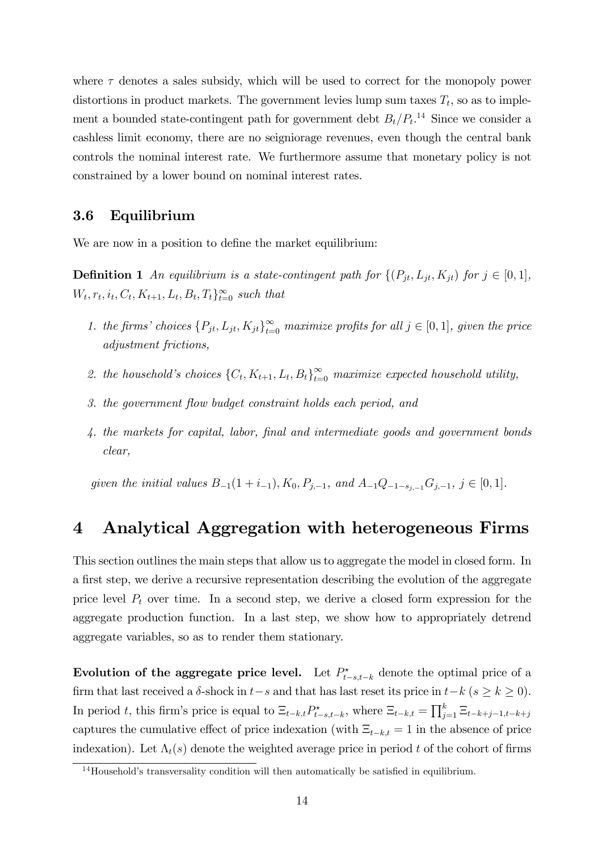where  $\tau$  denotes a sales subsidy, which will be used to correct for the monopoly power distortions in product markets. The government levies lump sum taxes  $T_t$ , so as to implement a bounded state-contingent path for government debt  $B_t/P_t$ <sup>14</sup>. Since we consider a cashless limit economy, there are no seigniorage revenues, even though the central bank controls the nominal interest rate. We furthermore assume that monetary policy is not constrained by a lower bound on nominal interest rates.

#### 3.6 Equilibrium

We are now in a position to define the market equilibrium:

**Definition 1** An equilibrium is a state-contingent path for  $\{(P_{jt}, L_{jt}, K_{jt})$  for  $j \in [0, 1],$  $W_t, r_t, i_t, C_t, K_{t+1}, L_t, B_t, T_t\}_{t=0}^{\infty}$  such that

- 1. the firms' choices  $\{P_{jt}, L_{jt}, K_{jt}\}_{t=0}^{\infty}$  maximize profits for all  $j \in [0, 1]$ , given the price adjustment frictions,
- 2. the household's choices  $\{C_t, K_{t+1}, L_t, B_t\}_{t=0}^{\infty}$  maximize expected household utility,
- 3. the government flow budget constraint holds each period, and
- 4. the markets for capital, labor, final and intermediate goods and government bonds clear,

given the initial values  $B_{-1}(1 + i_{-1}), K_0, P_{j,-1},$  and  $A_{-1}Q_{-1-s_{j-1}}G_{j,-1}, j \in [0, 1].$ 

## 4 Analytical Aggregation with heterogeneous Firms

This section outlines the main steps that allow us to aggregate the model in closed form. In a first step, we derive a recursive representation describing the evolution of the aggregate price level  $P_t$  over time. In a second step, we derive a closed form expression for the aggregate production function. In a last step, we show how to appropriately detrend aggregate variables, so as to render them stationary.

Evolution of the aggregate price level. Let  $P_{t-s,t-k}^{\star}$  denote the optimal price of a firm that last received a  $\delta$ -shock in  $t-s$  and that has last reset its price in  $t-k$  ( $s \ge k \ge 0$ ). In period t, this firm's price is equal to  $\Xi_{t-k,t} P_{t-s,t-k}^*$ , where  $\Xi_{t-k,t} = \prod_{j=1}^k \Xi_{t-k+j-1,t-k+j}$ captures the cumulative effect of price indexation (with  $\Xi_{t-k,t} = 1$  in the absence of price indexation). Let  $\Lambda_t(s)$  denote the weighted average price in period t of the cohort of firms

 $14$ Household's transversality condition will then automatically be satisfied in equilibrium.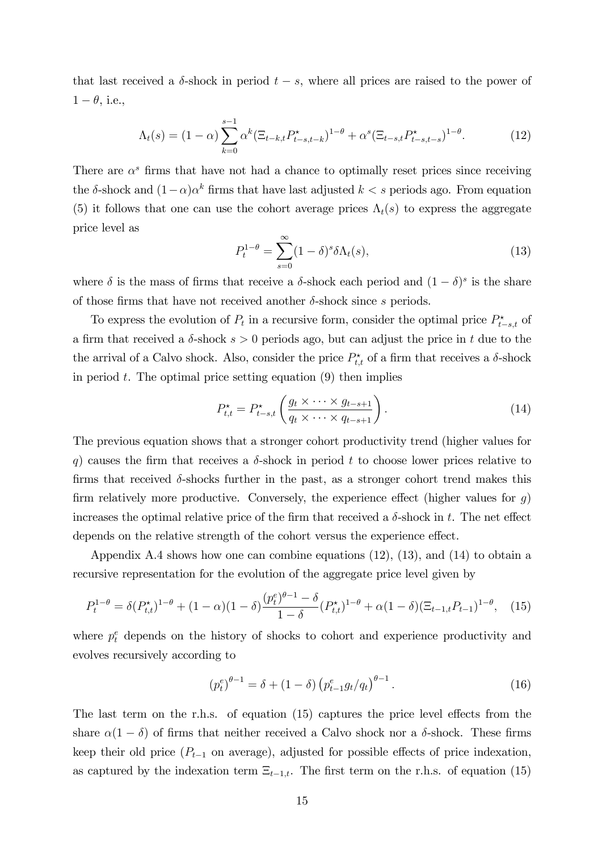that last received a  $\delta$ -shock in period  $t - s$ , where all prices are raised to the power of  $1 - \theta$ , i.e.,

$$
\Lambda_t(s) = (1 - \alpha) \sum_{k=0}^{s-1} \alpha^k (\Xi_{t-k,t} P_{t-s,t-k}^*)^{1-\theta} + \alpha^s (\Xi_{t-s,t} P_{t-s,t-s}^*)^{1-\theta}.
$$
 (12)

There are  $\alpha^s$  firms that have not had a chance to optimally reset prices since receiving the  $\delta$ -shock and  $(1-\alpha)\alpha^k$  firms that have last adjusted  $k < s$  periods ago. From equation (5) it follows that one can use the cohort average prices  $\Lambda_t(s)$  to express the aggregate price level as

$$
P_t^{1-\theta} = \sum_{s=0}^{\infty} (1-\delta)^s \delta \Lambda_t(s),\tag{13}
$$

where  $\delta$  is the mass of firms that receive a  $\delta$ -shock each period and  $(1 - \delta)^s$  is the share of those firms that have not received another  $\delta$ -shock since s periods.

To express the evolution of  $P_t$  in a recursive form, consider the optimal price  $P_{t-s,t}^*$  of a firm that received a  $\delta$ -shock  $s > 0$  periods ago, but can adjust the price in t due to the the arrival of a Calvo shock. Also, consider the price  $P_{t,t}^{\star}$  of a firm that receives a  $\delta$ -shock in period  $t$ . The optimal price setting equation  $(9)$  then implies

$$
P_{t,t}^* = P_{t-s,t}^* \left( \frac{g_t \times \cdots \times g_{t-s+1}}{q_t \times \cdots \times q_{t-s+1}} \right).
$$
 (14)

The previous equation shows that a stronger cohort productivity trend (higher values for q) causes the firm that receives a  $\delta$ -shock in period t to choose lower prices relative to firms that received  $\delta$ -shocks further in the past, as a stronger cohort trend makes this firm relatively more productive. Conversely, the experience effect (higher values for  $g$ ) increases the optimal relative price of the firm that received a  $\delta$ -shock in t. The net effect depends on the relative strength of the cohort versus the experience effect.

Appendix A.4 shows how one can combine equations (12), (13), and (14) to obtain a recursive representation for the evolution of the aggregate price level given by

$$
P_t^{1-\theta} = \delta(P_{t,t}^{\star})^{1-\theta} + (1-\alpha)(1-\delta)\frac{(p_t^e)^{\theta-1} - \delta}{1-\delta}(P_{t,t}^{\star})^{1-\theta} + \alpha(1-\delta)(\Xi_{t-1,t}P_{t-1})^{1-\theta}, \quad (15)
$$

where  $p_t^e$  depends on the history of shocks to cohort and experience productivity and evolves recursively according to

$$
(p_t^e)^{\theta - 1} = \delta + (1 - \delta) \left( p_{t-1}^e g_t / q_t \right)^{\theta - 1}.
$$
 (16)

The last term on the r.h.s. of equation  $(15)$  captures the price level effects from the share  $\alpha(1 - \delta)$  of firms that neither received a Calvo shock nor a  $\delta$ -shock. These firms keep their old price  $(P_{t-1}$  on average), adjusted for possible effects of price indexation, as captured by the indexation term  $\Xi_{t-1,t}$ . The first term on the r.h.s. of equation (15)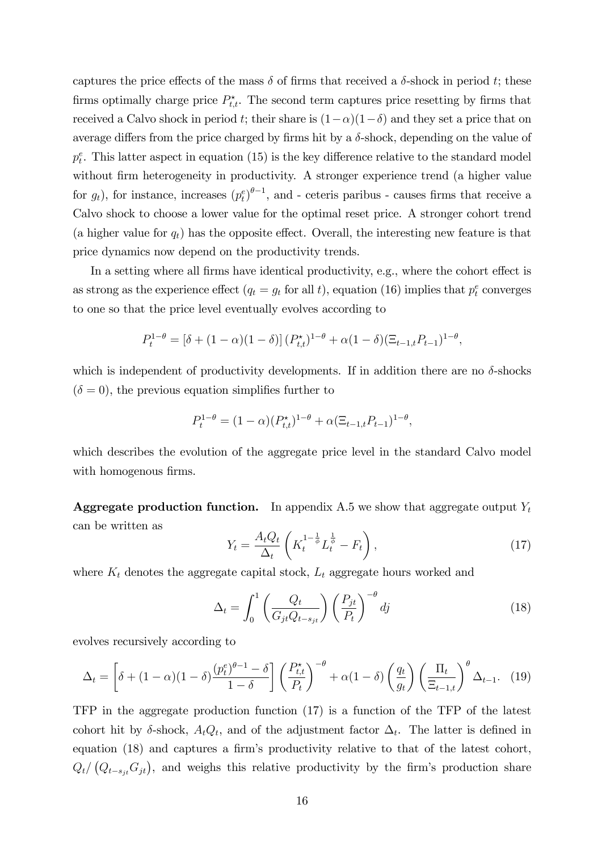captures the price effects of the mass  $\delta$  of firms that received a  $\delta$ -shock in period t; these firms optimally charge price  $P_{t,t}^{\star}$ . The second term captures price resetting by firms that received a Calvo shock in period t; their share is  $(1-\alpha)(1-\delta)$  and they set a price that on average differs from the price charged by firms hit by a  $\delta$ -shock, depending on the value of  $p_t^e$ . This latter aspect in equation (15) is the key difference relative to the standard model without firm heterogeneity in productivity. A stronger experience trend (a higher value for  $g_t$ ), for instance, increases  $(p_t^e)^{\theta-1}$ , and - ceteris paribus - causes firms that receive a Calvo shock to choose a lower value for the optimal reset price. A stronger cohort trend (a higher value for  $q_t$ ) has the opposite effect. Overall, the interesting new feature is that price dynamics now depend on the productivity trends.

In a setting where all firms have identical productivity, e.g., where the cohort effect is as strong as the experience effect  $(q_t = g_t \text{ for all } t)$ , equation (16) implies that  $p_t^e$  converges to one so that the price level eventually evolves according to

$$
P_t^{1-\theta} = [\delta + (1-\alpha)(1-\delta)] (P_{t,t}^{\star})^{1-\theta} + \alpha(1-\delta)(\Xi_{t-1,t}P_{t-1})^{1-\theta},
$$

which is independent of productivity developments. If in addition there are no  $\delta$ -shocks  $(\delta = 0)$ , the previous equation simplifies further to

$$
P_t^{1-\theta} = (1-\alpha)(P_{t,t}^*)^{1-\theta} + \alpha(\Xi_{t-1,t}P_{t-1})^{1-\theta},
$$

which describes the evolution of the aggregate price level in the standard Calvo model with homogenous firms.

**Aggregate production function.** In appendix A.5 we show that aggregate output  $Y_t$ can be written as

$$
Y_t = \frac{A_t Q_t}{\Delta_t} \left( K_t^{1 - \frac{1}{\phi}} L_t^{\frac{1}{\phi}} - F_t \right),\tag{17}
$$

where  $K_t$  denotes the aggregate capital stock,  $L_t$  aggregate hours worked and

$$
\Delta_t = \int_0^1 \left( \frac{Q_t}{G_{jt} Q_{t - s_{jt}}} \right) \left( \frac{P_{jt}}{P_t} \right)^{-\theta} dj \tag{18}
$$

evolves recursively according to

$$
\Delta_t = \left[ \delta + (1 - \alpha)(1 - \delta) \frac{(p_t^e)^{\theta - 1} - \delta}{1 - \delta} \right] \left( \frac{P_{t,t}^*}{P_t} \right)^{-\theta} + \alpha (1 - \delta) \left( \frac{q_t}{g_t} \right) \left( \frac{\Pi_t}{\Xi_{t-1,t}} \right)^{\theta} \Delta_{t-1}.
$$
 (19)

TFP in the aggregate production function (17) is a function of the TFP of the latest cohort hit by  $\delta$ -shock,  $A_t Q_t$ , and of the adjustment factor  $\Delta_t$ . The latter is defined in equation  $(18)$  and captures a firm's productivity relative to that of the latest cohort,  $Q_t/(Q_{t-s_{jt}}G_{jt}),$  and weighs this relative productivity by the firm's production share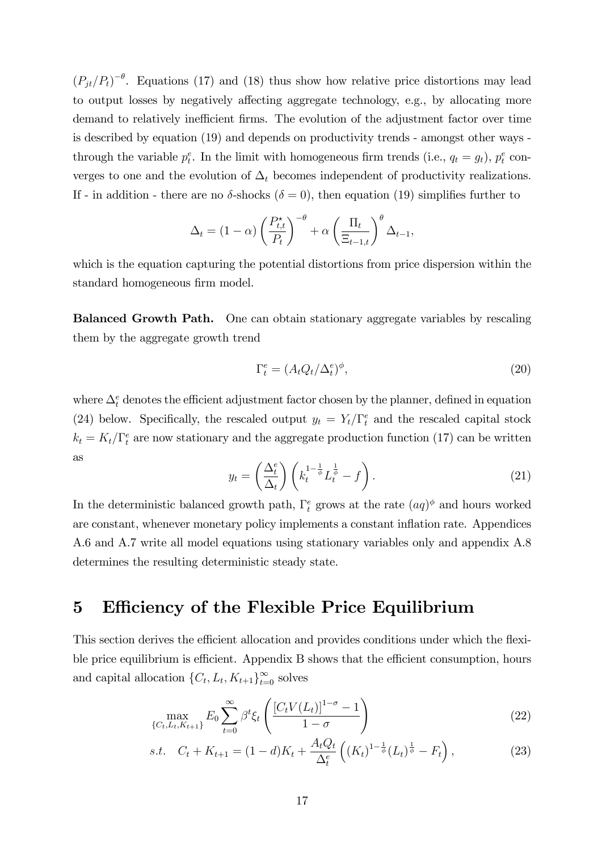$(P_{jt}/P_t)^{-\theta}$ . Equations (17) and (18) thus show how relative price distortions may lead to output losses by negatively affecting aggregate technology, e.g., by allocating more demand to relatively inefficient firms. The evolution of the adjustment factor over time is described by equation (19) and depends on productivity trends - amongst other ways through the variable  $p_t^e$ . In the limit with homogeneous firm trends (i.e.,  $q_t = g_t$ ),  $p_t^e$  converges to one and the evolution of  $\Delta_t$  becomes independent of productivity realizations. If - in addition - there are no  $\delta$ -shocks ( $\delta = 0$ ), then equation (19) simplifies further to

$$
\Delta_t = (1 - \alpha) \left(\frac{P_{t,t}^{\star}}{P_t}\right)^{-\theta} + \alpha \left(\frac{\Pi_t}{\Xi_{t-1,t}}\right)^{\theta} \Delta_{t-1},
$$

which is the equation capturing the potential distortions from price dispersion within the standard homogeneous firm model.

Balanced Growth Path. One can obtain stationary aggregate variables by rescaling them by the aggregate growth trend

$$
\Gamma_t^e = (A_t Q_t / \Delta_t^e)^{\phi},\tag{20}
$$

where  $\Delta_t^e$  denotes the efficient adjustment factor chosen by the planner, defined in equation (24) below. Specifically, the rescaled output  $y_t = Y_t/\Gamma_t^e$  and the rescaled capital stock  $k_t = K_t/\Gamma_t^e$  are now stationary and the aggregate production function (17) can be written as

$$
y_t = \left(\frac{\Delta_t^e}{\Delta_t}\right) \left(k_t^{1-\frac{1}{\phi}} L_t^{\frac{1}{\phi}} - f\right). \tag{21}
$$

In the deterministic balanced growth path,  $\Gamma_t^e$  grows at the rate  $(aq)$ <sup> $\phi$ </sup> and hours worked are constant, whenever monetary policy implements a constant inflation rate. Appendices A.6 and A.7 write all model equations using stationary variables only and appendix A.8 determines the resulting deterministic steady state.

## 5 Efficiency of the Flexible Price Equilibrium

This section derives the efficient allocation and provides conditions under which the flexible price equilibrium is efficient. Appendix B shows that the efficient consumption, hours and capital allocation  $\{C_t, L_t, K_{t+1}\}_{t=0}^{\infty}$  solves

$$
\max_{\{C_t, L_t, K_{t+1}\}} E_0 \sum_{t=0}^{\infty} \beta^t \xi_t \left( \frac{[C_t V(L_t)]^{1-\sigma} - 1}{1-\sigma} \right)
$$
 (22)

s.t. 
$$
C_t + K_{t+1} = (1 - d)K_t + \frac{A_t Q_t}{\Delta_t^e} \left( (K_t)^{1 - \frac{1}{\phi}} (L_t)^{\frac{1}{\phi}} - F_t \right),
$$
 (23)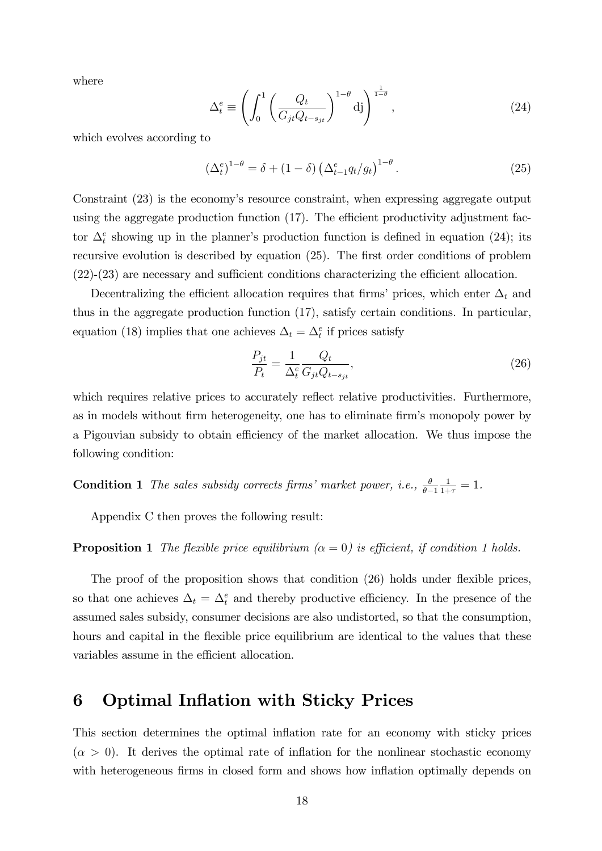where

$$
\Delta_t^e \equiv \left( \int_0^1 \left( \frac{Q_t}{G_{jt} Q_{t-s_{jt}}} \right)^{1-\theta} d\mathbf{j} \right)^{\frac{1}{1-\theta}}, \qquad (24)
$$

which evolves according to

$$
\left(\Delta_t^e\right)^{1-\theta} = \delta + (1-\delta) \left(\Delta_{t-1}^e q_t / g_t\right)^{1-\theta}.
$$
\n(25)

Constraint (23) is the economy's resource constraint, when expressing aggregate output using the aggregate production function  $(17)$ . The efficient productivity adjustment factor  $\Delta_t^e$  showing up in the planner's production function is defined in equation (24); its recursive evolution is described by equation  $(25)$ . The first order conditions of problem  $(22)-(23)$  are necessary and sufficient conditions characterizing the efficient allocation.

Decentralizing the efficient allocation requires that firms' prices, which enter  $\Delta_t$  and thus in the aggregate production function (17), satisfy certain conditions. In particular, equation (18) implies that one achieves  $\Delta_t = \Delta_t^e$  if prices satisfy

$$
\frac{P_{jt}}{P_t} = \frac{1}{\Delta_t^e} \frac{Q_t}{G_{jt} Q_{t-s_{jt}}},\tag{26}
$$

which requires relative prices to accurately reflect relative productivities. Furthermore, as in models without firm heterogeneity, one has to eliminate firm's monopoly power by a Pigouvian subsidy to obtain efficiency of the market allocation. We thus impose the following condition:

**Condition 1** The sales subsidy corrects firms' market power, i.e.,  $\frac{\theta}{\theta-1}$  $\frac{1}{1+\tau} = 1.$ 

Appendix C then proves the following result:

#### **Proposition 1** The flexible price equilibrium  $(\alpha = 0)$  is efficient, if condition 1 holds.

The proof of the proposition shows that condition (26) holds under flexible prices, so that one achieves  $\Delta_t = \Delta_t^e$  and thereby productive efficiency. In the presence of the assumed sales subsidy, consumer decisions are also undistorted, so that the consumption, hours and capital in the flexible price equilibrium are identical to the values that these variables assume in the efficient allocation.

### 6 Optimal Inflation with Sticky Prices

This section determines the optimal inflation rate for an economy with sticky prices  $(\alpha > 0)$ . It derives the optimal rate of inflation for the nonlinear stochastic economy with heterogeneous firms in closed form and shows how inflation optimally depends on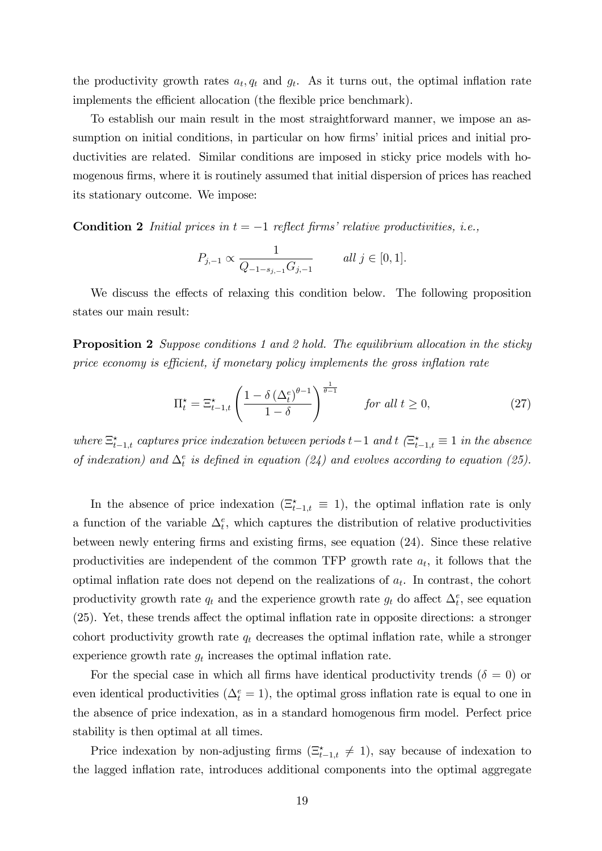the productivity growth rates  $a_t, q_t$  and  $g_t$ . As it turns out, the optimal inflation rate implements the efficient allocation (the flexible price benchmark).

To establish our main result in the most straightforward manner, we impose an assumption on initial conditions, in particular on how firms' initial prices and initial productivities are related. Similar conditions are imposed in sticky price models with homogenous firms, where it is routinely assumed that initial dispersion of prices has reached its stationary outcome. We impose:

**Condition 2** Initial prices in  $t = -1$  reflect firms' relative productivities, i.e.,

$$
P_{j,-1} \propto \frac{1}{Q_{-1-s_{j,-1}}G_{j,-1}} \qquad all \ j \in [0,1].
$$

We discuss the effects of relaxing this condition below. The following proposition states our main result:

**Proposition 2** Suppose conditions 1 and 2 hold. The equilibrium allocation in the sticky price economy is efficient, if monetary policy implements the gross inflation rate

$$
\Pi_t^* = \Xi_{t-1,t}^* \left( \frac{1 - \delta \left( \Delta_t^e \right)^{\theta - 1}}{1 - \delta} \right)^{\frac{1}{\theta - 1}} \qquad \text{for all } t \ge 0,
$$
\n
$$
(27)
$$

where  $\Xi_{t-1,t}^{\star}$  captures price indexation between periods  $t-1$  and  $t$  ( $\Xi_{t-1,t}^{\star} \equiv 1$  in the absence of indexation) and  $\Delta_t^e$  is defined in equation (24) and evolves according to equation (25).

In the absence of price indexation  $(\Xi_{t-1,t}^* \equiv 1)$ , the optimal inflation rate is only a function of the variable  $\Delta_t^e$ , which captures the distribution of relative productivities between newly entering Örms and existing Örms, see equation (24). Since these relative productivities are independent of the common TFP growth rate  $a_t$ , it follows that the optimal inflation rate does not depend on the realizations of  $a_t$ . In contrast, the cohort productivity growth rate  $q_t$  and the experience growth rate  $g_t$  do affect  $\Delta_t^e$ , see equation  $(25)$ . Yet, these trends affect the optimal inflation rate in opposite directions: a stronger cohort productivity growth rate  $q_t$  decreases the optimal inflation rate, while a stronger experience growth rate  $g_t$  increases the optimal inflation rate.

For the special case in which all firms have identical productivity trends ( $\delta = 0$ ) or even identical productivities  $(\Delta_t^e = 1)$ , the optimal gross inflation rate is equal to one in the absence of price indexation, as in a standard homogenous firm model. Perfect price stability is then optimal at all times.

Price indexation by non-adjusting firms  $(\Xi_{t-1,t}^* \neq 1)$ , say because of indexation to the lagged ináation rate, introduces additional components into the optimal aggregate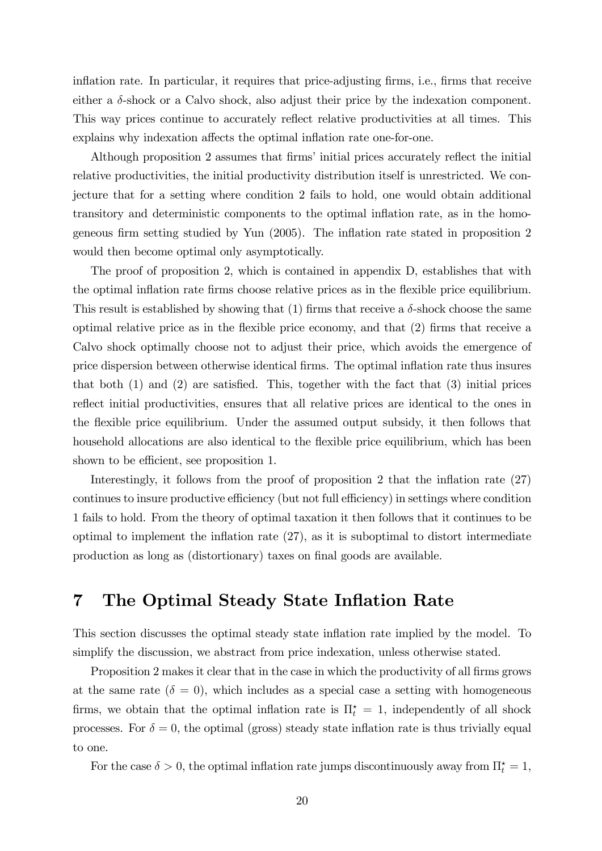inflation rate. In particular, it requires that price-adjusting firms, i.e., firms that receive either a  $\delta$ -shock or a Calvo shock, also adjust their price by the indexation component. This way prices continue to accurately reflect relative productivities at all times. This explains why indexation affects the optimal inflation rate one-for-one.

Although proposition 2 assumes that firms' initial prices accurately reflect the initial relative productivities, the initial productivity distribution itself is unrestricted. We conjecture that for a setting where condition 2 fails to hold, one would obtain additional transitory and deterministic components to the optimal inflation rate, as in the homogeneous firm setting studied by Yun (2005). The inflation rate stated in proposition 2 would then become optimal only asymptotically.

The proof of proposition 2, which is contained in appendix D, establishes that with the optimal inflation rate firms choose relative prices as in the flexible price equilibrium. This result is established by showing that (1) firms that receive a  $\delta$ -shock choose the same optimal relative price as in the flexible price economy, and that  $(2)$  firms that receive a Calvo shock optimally choose not to adjust their price, which avoids the emergence of price dispersion between otherwise identical Örms. The optimal ináation rate thus insures that both  $(1)$  and  $(2)$  are satisfied. This, together with the fact that  $(3)$  initial prices reflect initial productivities, ensures that all relative prices are identical to the ones in the flexible price equilibrium. Under the assumed output subsidy, it then follows that household allocations are also identical to the flexible price equilibrium, which has been shown to be efficient, see proposition 1.

Interestingly, it follows from the proof of proposition 2 that the inflation rate  $(27)$ continues to insure productive efficiency (but not full efficiency) in settings where condition 1 fails to hold. From the theory of optimal taxation it then follows that it continues to be optimal to implement the inflation rate  $(27)$ , as it is suboptimal to distort intermediate production as long as (distortionary) taxes on final goods are available.

## 7 The Optimal Steady State Inflation Rate

This section discusses the optimal steady state inflation rate implied by the model. To simplify the discussion, we abstract from price indexation, unless otherwise stated.

Proposition 2 makes it clear that in the case in which the productivity of all firms grows at the same rate  $(\delta = 0)$ , which includes as a special case a setting with homogeneous firms, we obtain that the optimal inflation rate is  $\Pi_t^* = 1$ , independently of all shock processes. For  $\delta = 0$ , the optimal (gross) steady state inflation rate is thus trivially equal to one.

For the case  $\delta > 0$ , the optimal inflation rate jumps discontinuously away from  $\Pi_t^* = 1$ ,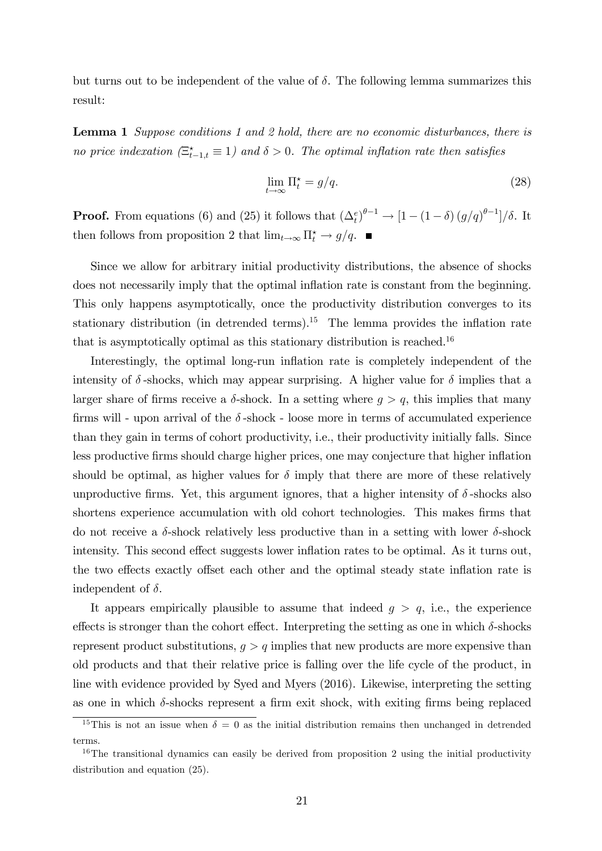but turns out to be independent of the value of  $\delta$ . The following lemma summarizes this result:

**Lemma 1** Suppose conditions 1 and 2 hold, there are no economic disturbances, there is no price indexation  $(\Xi_{t-1,t}^* \equiv 1)$  and  $\delta > 0$ . The optimal inflation rate then satisfies

$$
\lim_{t \to \infty} \Pi_t^* = g/q. \tag{28}
$$

**Proof.** From equations (6) and (25) it follows that  $(\Delta_t^e)^{\theta-1} \to [1 - (1 - \delta) (g/q)^{\theta-1}]/\delta$ . It then follows from proposition 2 that  $\lim_{t\to\infty} \prod_{t=1}^{\infty}$   $\frac{1}{t}$   $\frac{1}{t}$   $\frac{1}{t}$ 

Since we allow for arbitrary initial productivity distributions, the absence of shocks does not necessarily imply that the optimal inflation rate is constant from the beginning. This only happens asymptotically, once the productivity distribution converges to its stationary distribution (in detrended terms).<sup>15</sup> The lemma provides the inflation rate that is asymptotically optimal as this stationary distribution is reached.<sup>16</sup>

Interestingly, the optimal long-run inflation rate is completely independent of the intensity of  $\delta$ -shocks, which may appear surprising. A higher value for  $\delta$  implies that a larger share of firms receive a  $\delta$ -shock. In a setting where  $g > q$ , this implies that many firms will - upon arrival of the  $\delta$ -shock - loose more in terms of accumulated experience than they gain in terms of cohort productivity, i.e., their productivity initially falls. Since less productive firms should charge higher prices, one may conjecture that higher inflation should be optimal, as higher values for  $\delta$  imply that there are more of these relatively unproductive firms. Yet, this argument ignores, that a higher intensity of  $\delta$ -shocks also shortens experience accumulation with old cohort technologies. This makes firms that do not receive a  $\delta$ -shock relatively less productive than in a setting with lower  $\delta$ -shock intensity. This second effect suggests lower inflation rates to be optimal. As it turns out, the two effects exactly offset each other and the optimal steady state inflation rate is independent of  $\delta$ .

It appears empirically plausible to assume that indeed  $g > q$ , i.e., the experience effects is stronger than the cohort effect. Interpreting the setting as one in which  $\delta$ -shocks represent product substitutions,  $q > q$  implies that new products are more expensive than old products and that their relative price is falling over the life cycle of the product, in line with evidence provided by Syed and Myers (2016). Likewise, interpreting the setting as one in which  $\delta$ -shocks represent a firm exit shock, with exiting firms being replaced

<sup>&</sup>lt;sup>15</sup>This is not an issue when  $\delta = 0$  as the initial distribution remains then unchanged in detrended terms.

 $16$ The transitional dynamics can easily be derived from proposition 2 using the initial productivity distribution and equation  $(25)$ .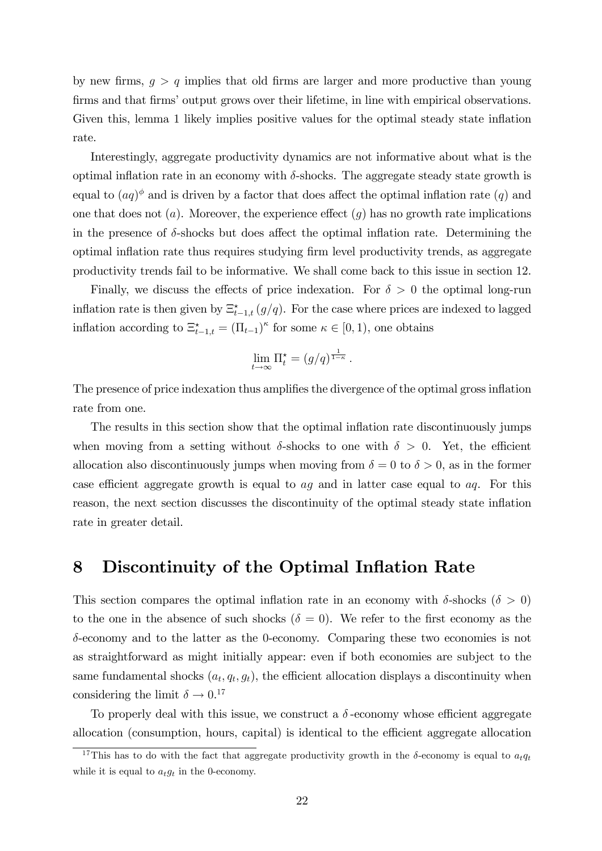by new firms,  $g > q$  implies that old firms are larger and more productive than young firms and that firms' output grows over their lifetime, in line with empirical observations. Given this, lemma 1 likely implies positive values for the optimal steady state inflation rate.

Interestingly, aggregate productivity dynamics are not informative about what is the optimal inflation rate in an economy with  $\delta$ -shocks. The aggregate steady state growth is equal to  $(aq)$ <sup> $\phi$ </sup> and is driven by a factor that does affect the optimal inflation rate  $(q)$  and one that does not  $(a)$ . Moreover, the experience effect  $(g)$  has no growth rate implications in the presence of  $\delta$ -shocks but does affect the optimal inflation rate. Determining the optimal inflation rate thus requires studying firm level productivity trends, as aggregate productivity trends fail to be informative. We shall come back to this issue in section 12.

Finally, we discuss the effects of price indexation. For  $\delta > 0$  the optimal long-run inflation rate is then given by  $\Xi_{t-1,t}^{\star}(g/q)$ . For the case where prices are indexed to lagged inflation according to  $\Xi_{t-1,t}^* = (\Pi_{t-1})^\kappa$  for some  $\kappa \in [0,1)$ , one obtains

$$
\lim_{t \to \infty} \Pi_t^* = (g/q)^{\frac{1}{1-\kappa}}.
$$

The presence of price indexation thus amplifies the divergence of the optimal gross inflation rate from one.

The results in this section show that the optimal inflation rate discontinuously jumps when moving from a setting without  $\delta$ -shocks to one with  $\delta > 0$ . Yet, the efficient allocation also discontinuously jumps when moving from  $\delta = 0$  to  $\delta > 0$ , as in the former case efficient aggregate growth is equal to  $aq$  and in latter case equal to  $aq$ . For this reason, the next section discusses the discontinuity of the optimal steady state inflation rate in greater detail.

### 8 Discontinuity of the Optimal Inflation Rate

This section compares the optimal inflation rate in an economy with  $\delta$ -shocks ( $\delta > 0$ ) to the one in the absence of such shocks ( $\delta = 0$ ). We refer to the first economy as the  $\delta$ -economy and to the latter as the 0-economy. Comparing these two economies is not as straightforward as might initially appear: even if both economies are subject to the same fundamental shocks  $(a_t, q_t, g_t)$ , the efficient allocation displays a discontinuity when considering the limit  $\delta \to 0.17$ 

To properly deal with this issue, we construct a  $\delta$ -economy whose efficient aggregate allocation (consumption, hours, capital) is identical to the efficient aggregate allocation

<sup>&</sup>lt;sup>17</sup>This has to do with the fact that aggregate productivity growth in the  $\delta$ -economy is equal to  $a_t q_t$ while it is equal to  $a_t g_t$  in the 0-economy.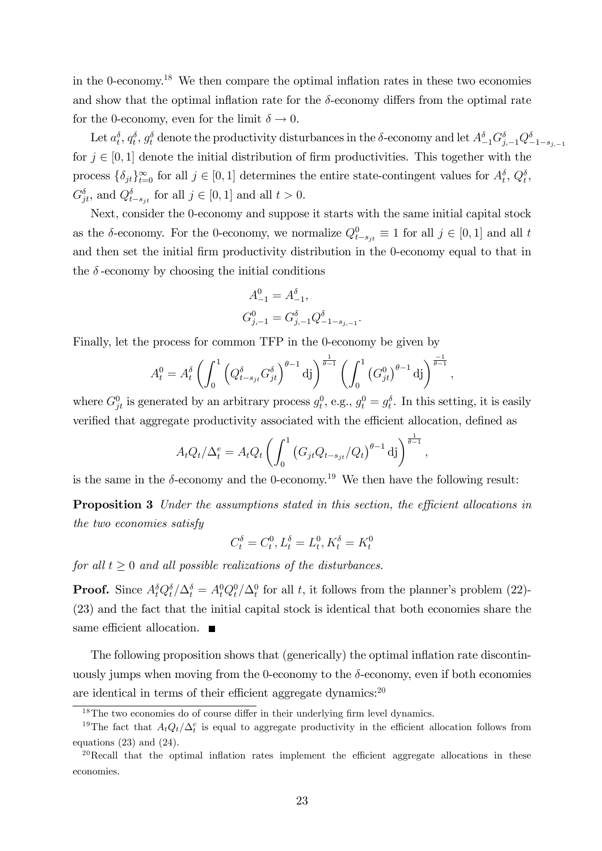in the 0-economy.<sup>18</sup> We then compare the optimal inflation rates in these two economies and show that the optimal inflation rate for the  $\delta$ -economy differs from the optimal rate for the 0-economy, even for the limit  $\delta \to 0$ .

Let  $a_t^{\delta}, q_t^{\delta}, g_t^{\delta}$  denote the productivity disturbances in the  $\delta$ -economy and let  $A_{-1}^{\delta}G_{j,-1}^{\delta}Q_{-1-s_{j,-1}}^{\delta}$ for  $j \in [0, 1]$  denote the initial distribution of firm productivities. This together with the process  $\{\delta_{jt}\}_{t=0}^{\infty}$  for all  $j \in [0,1]$  determines the entire state-contingent values for  $A_t^{\delta}, Q_t^{\delta}$ ,  $G_{jt}^{\delta}$ , and  $Q_{t-s_{jt}}^{\delta}$  for all  $j \in [0,1]$  and all  $t > 0$ .

Next, consider the 0-economy and suppose it starts with the same initial capital stock as the  $\delta$ -economy. For the 0-economy, we normalize  $Q_{t-s_{jt}}^0 \equiv 1$  for all  $j \in [0, 1]$  and all t and then set the initial firm productivity distribution in the 0-economy equal to that in the  $\delta$ -economy by choosing the initial conditions

$$
A_{-1}^{0} = A_{-1}^{\delta},
$$
  
\n
$$
G_{j,-1}^{0} = G_{j,-1}^{\delta} Q_{-1-s_{j,-1}}^{\delta}.
$$

Finally, let the process for common TFP in the 0-economy be given by

$$
A_t^0 = A_t^{\delta} \left( \int_0^1 \left( Q_{t-s_{jt}}^{\delta} G_{jt}^{\delta} \right)^{\theta-1} \mathrm{d}j \right)^{\frac{1}{\theta-1}} \left( \int_0^1 \left( G_{jt}^0 \right)^{\theta-1} \mathrm{d}j \right)^{\frac{-1}{\theta-1}},
$$

where  $G_{jt}^0$  is generated by an arbitrary process  $g_t^0$ , e.g.,  $g_t^0 = g_t^{\delta}$ . In this setting, it is easily verified that aggregate productivity associated with the efficient allocation, defined as

$$
A_t Q_t / \Delta_t^e = A_t Q_t \left( \int_0^1 \left( G_{jt} Q_{t-s_{jt}} / Q_t \right)^{\theta-1} \mathrm{d}j \right)^{\frac{1}{\theta-1}}
$$

;

is the same in the  $\delta$ -economy and the 0-economy.<sup>19</sup> We then have the following result:

**Proposition 3** Under the assumptions stated in this section, the efficient allocations in the two economies satisfy

$$
C_t^{\delta} = C_t^0, L_t^{\delta} = L_t^0, K_t^{\delta} = K_t^0
$$

for all  $t > 0$  and all possible realizations of the disturbances.

**Proof.** Since  $A_t^{\delta} Q_t^{\delta}/\Delta_t^{\delta} = A_t^0 Q_t^0/\Delta_t^0$  for all t, it follows from the planner's problem (22)-(23) and the fact that the initial capital stock is identical that both economies share the same efficient allocation.  $\blacksquare$ 

The following proposition shows that (generically) the optimal inflation rate discontinuously jumps when moving from the 0-economy to the  $\delta$ -economy, even if both economies are identical in terms of their efficient aggregate dynamics: $20$ 

 $18$ The two economies do of course differ in their underlying firm level dynamics.

<sup>&</sup>lt;sup>19</sup>The fact that  $A_t Q_t/\Delta_t^e$  is equal to aggregate productivity in the efficient allocation follows from equations (23) and (24).

 $20$ Recall that the optimal inflation rates implement the efficient aggregate allocations in these economies.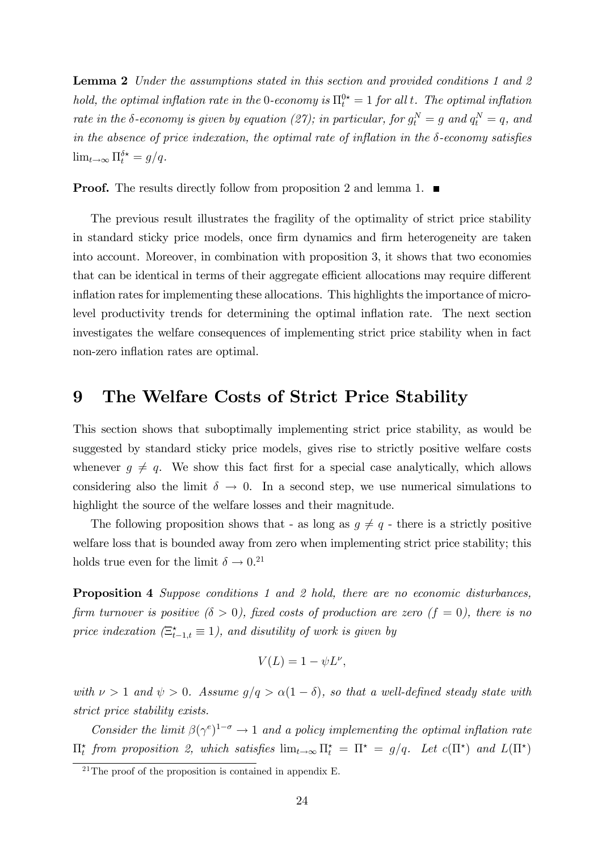**Lemma 2** Under the assumptions stated in this section and provided conditions 1 and 2 hold, the optimal inflation rate in the 0-economy is  $\Pi_t^0 = 1$  for all t. The optimal inflation rate in the  $\delta$ -economy is given by equation (27); in particular, for  $g_t^N = g$  and  $q_t^N = q$ , and in the absence of price indexation, the optimal rate of inflation in the  $\delta$ -economy satisfies  $\lim_{t \to \infty} \Pi_t^{\delta \star} = g/q.$ 

**Proof.** The results directly follow from proposition 2 and lemma 1.  $\blacksquare$ 

The previous result illustrates the fragility of the optimality of strict price stability in standard sticky price models, once firm dynamics and firm heterogeneity are taken into account. Moreover, in combination with proposition 3, it shows that two economies that can be identical in terms of their aggregate efficient allocations may require different inflation rates for implementing these allocations. This highlights the importance of microlevel productivity trends for determining the optimal ináation rate. The next section investigates the welfare consequences of implementing strict price stability when in fact non-zero inflation rates are optimal.

## 9 The Welfare Costs of Strict Price Stability

This section shows that suboptimally implementing strict price stability, as would be suggested by standard sticky price models, gives rise to strictly positive welfare costs whenever  $g \neq q$ . We show this fact first for a special case analytically, which allows considering also the limit  $\delta \to 0$ . In a second step, we use numerical simulations to highlight the source of the welfare losses and their magnitude.

The following proposition shows that - as long as  $g \neq q$  - there is a strictly positive welfare loss that is bounded away from zero when implementing strict price stability; this holds true even for the limit  $\delta \to 0.^{21}$ 

Proposition 4 Suppose conditions 1 and 2 hold, there are no economic disturbances, firm turnover is positive  $(\delta > 0)$ , fixed costs of production are zero  $(f = 0)$ , there is no price indexation  $(\Xi_{t-1,t}^* \equiv 1)$ , and disutility of work is given by

$$
V(L) = 1 - \psi L^{\nu},
$$

with  $\nu > 1$  and  $\psi > 0$ . Assume  $g/q > \alpha(1 - \delta)$ , so that a well-defined steady state with strict price stability exists.

Consider the limit  $\beta(\gamma^e)^{1-\sigma} \to 1$  and a policy implementing the optimal inflation rate  $\Pi_t^{\star}$  from proposition 2, which satisfies  $\lim_{t\to\infty} \Pi_t^{\star} = \Pi^{\star} = g/q$ . Let  $c(\Pi^{\star})$  and  $L(\Pi^{\star})$ 

 $^{21}$ The proof of the proposition is contained in appendix E.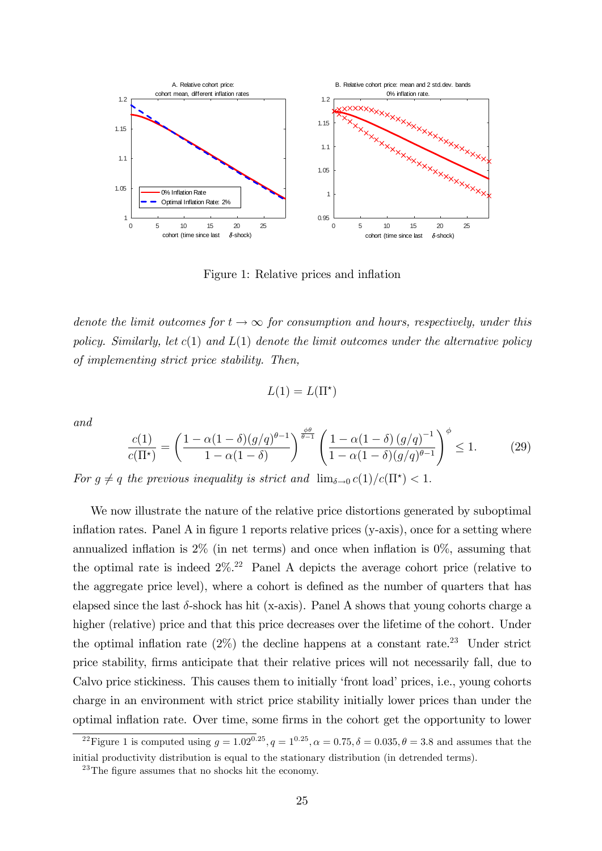

Figure 1: Relative prices and inflation

denote the limit outcomes for  $t \to \infty$  for consumption and hours, respectively, under this policy. Similarly, let  $c(1)$  and  $L(1)$  denote the limit outcomes under the alternative policy of implementing strict price stability. Then,

$$
L(1) = L(\Pi^*)
$$

and

$$
\frac{c(1)}{c(\Pi^*)} = \left(\frac{1-\alpha(1-\delta)(g/q)^{\theta-1}}{1-\alpha(1-\delta)}\right)^{\frac{\phi\theta}{\theta-1}} \left(\frac{1-\alpha(1-\delta)(g/q)^{-1}}{1-\alpha(1-\delta)(g/q)^{\theta-1}}\right)^{\phi} \le 1.
$$
 (29)

For  $g \neq q$  the previous inequality is strict and  $\lim_{\delta \to 0} c(1)/c(\Pi^*) < 1$ .

We now illustrate the nature of the relative price distortions generated by suboptimal inflation rates. Panel A in figure 1 reports relative prices  $(y-axis)$ , once for a setting where annualized inflation is  $2\%$  (in net terms) and once when inflation is  $0\%$ , assuming that the optimal rate is indeed  $2\%$ <sup>22</sup> Panel A depicts the average cohort price (relative to the aggregate price level), where a cohort is defined as the number of quarters that has elapsed since the last  $\delta$ -shock has hit (x-axis). Panel A shows that young cohorts charge a higher (relative) price and that this price decreases over the lifetime of the cohort. Under the optimal inflation rate  $(2\%)$  the decline happens at a constant rate.<sup>23</sup> Under strict price stability, Örms anticipate that their relative prices will not necessarily fall, due to Calvo price stickiness. This causes them to initially 'front load' prices, i.e., young cohorts charge in an environment with strict price stability initially lower prices than under the optimal inflation rate. Over time, some firms in the cohort get the opportunity to lower

<sup>&</sup>lt;sup>22</sup>Figure 1 is computed using  $q = 1.02^{0.25}$ ,  $q = 1^{0.25}$ ,  $\alpha = 0.75$ ,  $\delta = 0.035$ ,  $\theta = 3.8$  and assumes that the initial productivity distribution is equal to the stationary distribution (in detrended terms).

 $^{23}$ The figure assumes that no shocks hit the economy.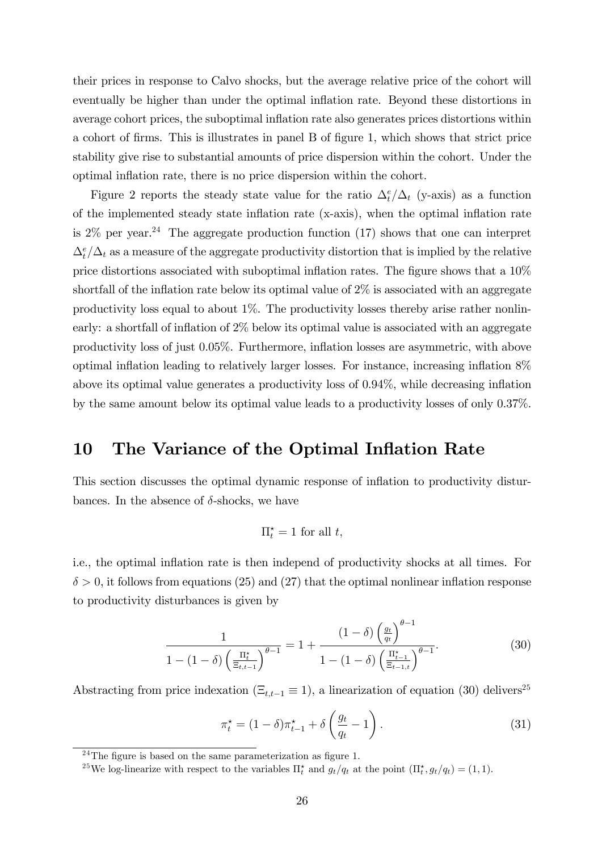their prices in response to Calvo shocks, but the average relative price of the cohort will eventually be higher than under the optimal ináation rate. Beyond these distortions in average cohort prices, the suboptimal ináation rate also generates prices distortions within a cohort of Örms. This is illustrates in panel B of Ögure 1, which shows that strict price stability give rise to substantial amounts of price dispersion within the cohort. Under the optimal inflation rate, there is no price dispersion within the cohort.

Figure 2 reports the steady state value for the ratio  $\Delta_t^e/\Delta_t$  (y-axis) as a function of the implemented steady state inflation rate (x-axis), when the optimal inflation rate is  $2\%$  per year.<sup>24</sup> The aggregate production function (17) shows that one can interpret  $\Delta_t^e/\Delta_t$  as a measure of the aggregate productivity distortion that is implied by the relative price distortions associated with suboptimal inflation rates. The figure shows that a  $10\%$ shortfall of the inflation rate below its optimal value of  $2\%$  is associated with an aggregate productivity loss equal to about 1%. The productivity losses thereby arise rather nonlinearly: a shortfall of inflation of  $2\%$  below its optimal value is associated with an aggregate productivity loss of just 0.05%. Furthermore, ináation losses are asymmetric, with above optimal inflation leading to relatively larger losses. For instance, increasing inflation  $8\%$ above its optimal value generates a productivity loss of  $0.94\%$ , while decreasing inflation by the same amount below its optimal value leads to a productivity losses of only 0.37%.

## 10 The Variance of the Optimal Inflation Rate

This section discusses the optimal dynamic response of inflation to productivity disturbances. In the absence of  $\delta$ -shocks, we have

$$
\Pi_t^\star=1\ \text{for all}\ t,
$$

i.e., the optimal inflation rate is then independ of productivity shocks at all times. For  $\delta > 0$ , it follows from equations (25) and (27) that the optimal nonlinear inflation response to productivity disturbances is given by

$$
\frac{1}{1 - (1 - \delta) \left(\frac{\Pi_t^*}{\Xi_{t,t-1}}\right)^{\theta - 1}} = 1 + \frac{(1 - \delta) \left(\frac{g_t}{q_t}\right)^{\theta - 1}}{1 - (1 - \delta) \left(\frac{\Pi_{t-1}^*}{\Xi_{t-1,t}}\right)^{\theta - 1}}.
$$
(30)

Abstracting from price indexation  $(\Xi_{t,t-1} \equiv 1)$ , a linearization of equation (30) delivers<sup>25</sup>

$$
\pi_t^* = (1 - \delta)\pi_{t-1}^* + \delta\left(\frac{g_t}{q_t} - 1\right). \tag{31}
$$

 $24$ The figure is based on the same parameterization as figure 1.

<sup>&</sup>lt;sup>25</sup>We log-linearize with respect to the variables  $\Pi_t^*$  and  $g_t/q_t$  at the point  $(\Pi_t^*, g_t/q_t) = (1, 1)$ .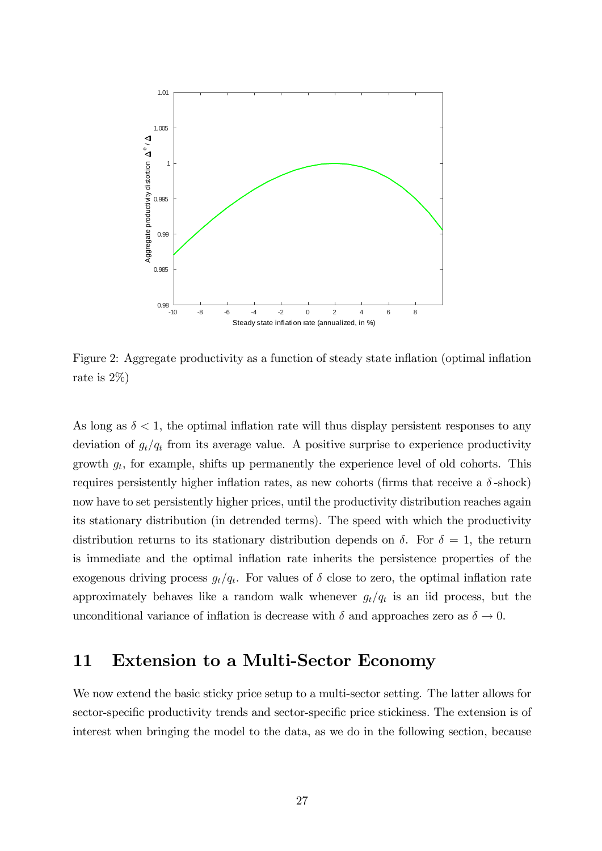

Figure 2: Aggregate productivity as a function of steady state inflation (optimal inflation rate is 2%)

As long as  $\delta < 1$ , the optimal inflation rate will thus display persistent responses to any deviation of  $g_t/q_t$  from its average value. A positive surprise to experience productivity growth  $g_t$ , for example, shifts up permanently the experience level of old cohorts. This requires persistently higher inflation rates, as new cohorts (firms that receive a  $\delta$ -shock) now have to set persistently higher prices, until the productivity distribution reaches again its stationary distribution (in detrended terms). The speed with which the productivity distribution returns to its stationary distribution depends on  $\delta$ . For  $\delta = 1$ , the return is immediate and the optimal inflation rate inherits the persistence properties of the exogenous driving process  $g_t/q_t$ . For values of  $\delta$  close to zero, the optimal inflation rate approximately behaves like a random walk whenever  $g_t/q_t$  is an iid process, but the unconditional variance of inflation is decrease with  $\delta$  and approaches zero as  $\delta \to 0$ .

## 11 Extension to a Multi-Sector Economy

We now extend the basic sticky price setup to a multi-sector setting. The latter allows for sector-specific productivity trends and sector-specific price stickiness. The extension is of interest when bringing the model to the data, as we do in the following section, because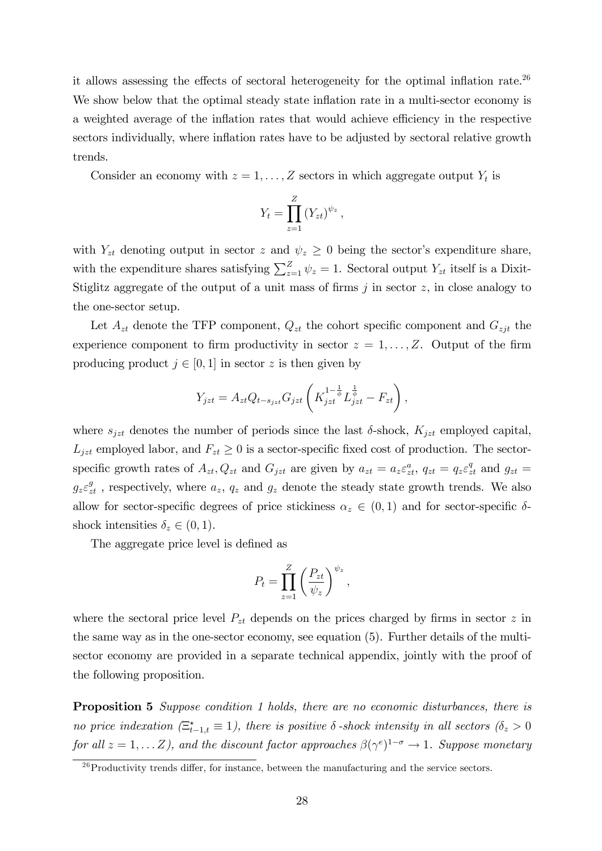it allows assessing the effects of sectoral heterogeneity for the optimal inflation rate.<sup>26</sup> We show below that the optimal steady state inflation rate in a multi-sector economy is a weighted average of the inflation rates that would achieve efficiency in the respective sectors individually, where inflation rates have to be adjusted by sectoral relative growth trends.

Consider an economy with  $z = 1, \ldots, Z$  sectors in which aggregate output  $Y_t$  is

$$
Y_t = \prod_{z=1}^Z (Y_{zt})^{\psi_z},
$$

with  $Y_{zt}$  denoting output in sector z and  $\psi_z \geq 0$  being the sector's expenditure share, with the expenditure shares satisfying  $\sum_{z=1}^{Z} \psi_z = 1$ . Sectoral output  $Y_{zt}$  itself is a Dixit-Stiglitz aggregate of the output of a unit mass of firms  $j$  in sector  $z$ , in close analogy to the one-sector setup.

Let  $A_{zt}$  denote the TFP component,  $Q_{zt}$  the cohort specific component and  $G_{zjt}$  the experience component to firm productivity in sector  $z = 1, \ldots, Z$ . Output of the firm producing product  $j \in [0, 1]$  in sector z is then given by

$$
Y_{jzt} = A_{zt}Q_{t-s_{jzt}}G_{jzt}\left(K_{jzt}^{1-\frac{1}{\phi}}L_{jzt}^{\frac{1}{\phi}} - F_{zt}\right),
$$

where  $s_{jzt}$  denotes the number of periods since the last  $\delta$ -shock,  $K_{jzt}$  employed capital,  $L_{jzt}$  employed labor, and  $F_{zt} \geq 0$  is a sector-specific fixed cost of production. The sectorspecific growth rates of  $A_{zt}$ ,  $Q_{zt}$  and  $G_{jzt}$  are given by  $a_{zt} = a_z \varepsilon_{zt}^a$ ,  $q_{zt} = q_z \varepsilon_{zt}^q$  and  $g_{zt} =$  $g_z \varepsilon_{zt}^g$ , respectively, where  $a_z$ ,  $q_z$  and  $g_z$  denote the steady state growth trends. We also allow for sector-specific degrees of price stickiness  $\alpha_z \in (0,1)$  and for sector-specific  $\delta$ shock intensities  $\delta_z \in (0, 1)$ .

The aggregate price level is defined as

$$
P_t = \prod_{z=1}^{Z} \left(\frac{P_{zt}}{\psi_z}\right)^{\psi_z},
$$

where the sectoral price level  $P_{zt}$  depends on the prices charged by firms in sector z in the same way as in the one-sector economy, see equation (5). Further details of the multisector economy are provided in a separate technical appendix, jointly with the proof of the following proposition.

Proposition 5 Suppose condition 1 holds, there are no economic disturbances, there is no price indexation  $(\Xi_{t-1,t}^* \equiv 1)$ , there is positive  $\delta$ -shock intensity in all sectors  $(\delta_z > 0)$ for all  $z = 1, \ldots Z$ ), and the discount factor approaches  $\beta(\gamma^e)^{1-\sigma} \to 1$ . Suppose monetary

 $^{26}$ Productivity trends differ, for instance, between the manufacturing and the service sectors.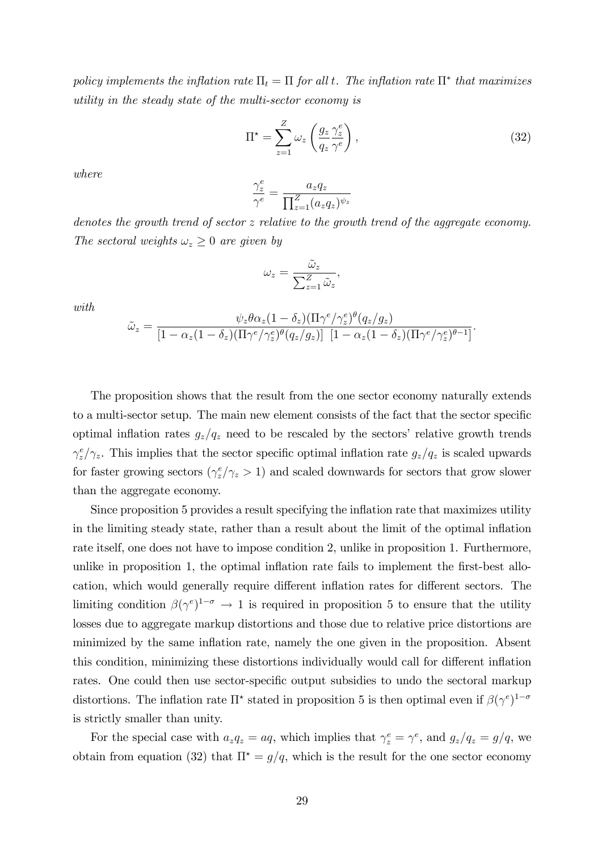policy implements the inflation rate  $\Pi_t = \Pi$  for all t. The inflation rate  $\Pi^*$  that maximizes utility in the steady state of the multi-sector economy is

$$
\Pi^* = \sum_{z=1}^Z \omega_z \left( \frac{g_z}{q_z} \frac{\gamma_z^e}{\gamma^e} \right),\tag{32}
$$

:

where

$$
\frac{\gamma_z^e}{\gamma^e} = \frac{a_z q_z}{\prod_{z=1}^Z (a_z q_z)^{\psi_z}}
$$

denotes the growth trend of sector  $z$  relative to the growth trend of the aggregate economy. The sectoral weights  $\omega_z \geq 0$  are given by

$$
\omega_z=\frac{\widetilde{\omega}_z}{\sum_{z=1}^Z\widetilde{\omega}_z},
$$

with

$$
\tilde{\omega}_z = \frac{\psi_z \theta \alpha_z (1 - \delta_z) (\Pi \gamma^e / \gamma_z^e)^{\theta} (q_z / g_z)}{[1 - \alpha_z (1 - \delta_z) (\Pi \gamma^e / \gamma_z^e)^{\theta} (q_z / g_z)] \left[1 - \alpha_z (1 - \delta_z) (\Pi \gamma^e / \gamma_z^e)^{\theta - 1}\right]}
$$

The proposition shows that the result from the one sector economy naturally extends to a multi-sector setup. The main new element consists of the fact that the sector specific optimal inflation rates  $g_z/q_z$  need to be rescaled by the sectors' relative growth trends  $\gamma_z^e/\gamma_z$ . This implies that the sector specific optimal inflation rate  $g_z/q_z$  is scaled upwards for faster growing sectors  $(\gamma_z^e/\gamma_z > 1)$  and scaled downwards for sectors that grow slower than the aggregate economy.

Since proposition 5 provides a result specifying the inflation rate that maximizes utility in the limiting steady state, rather than a result about the limit of the optimal inflation rate itself, one does not have to impose condition 2, unlike in proposition 1. Furthermore, unlike in proposition 1, the optimal inflation rate fails to implement the first-best allocation, which would generally require different inflation rates for different sectors. The limiting condition  $\beta(\gamma^e)^{1-\sigma} \to 1$  is required in proposition 5 to ensure that the utility losses due to aggregate markup distortions and those due to relative price distortions are minimized by the same ináation rate, namely the one given in the proposition. Absent this condition, minimizing these distortions individually would call for different inflation rates. One could then use sector-specific output subsidies to undo the sectoral markup distortions. The inflation rate  $\Pi^*$  stated in proposition 5 is then optimal even if  $\beta(\gamma^e)^{1-\sigma}$ is strictly smaller than unity.

For the special case with  $a_z q_z = aq$ , which implies that  $\gamma_z^e = \gamma^e$ , and  $g_z/q_z = g/q$ , we obtain from equation (32) that  $\Pi^* = g/q$ , which is the result for the one sector economy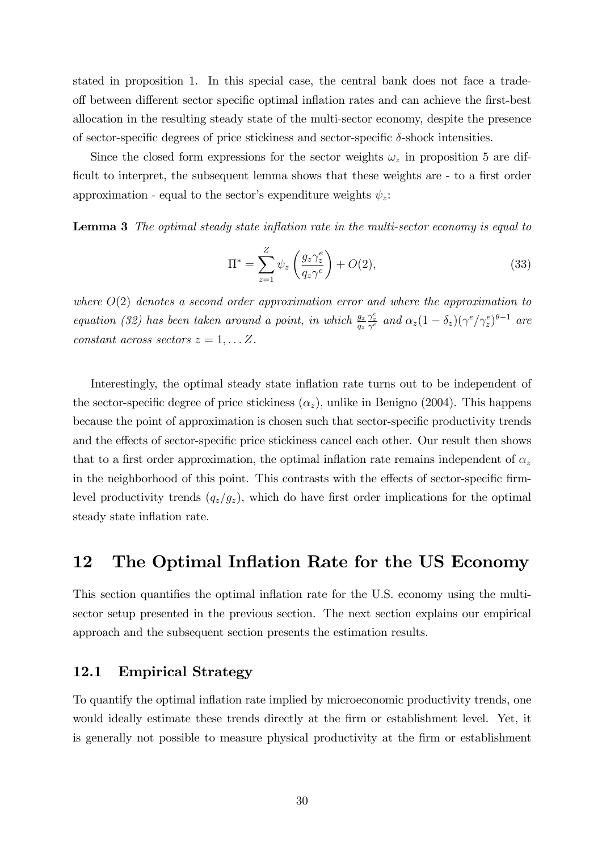stated in proposition 1. In this special case, the central bank does not face a tradeoff between different sector specific optimal inflation rates and can achieve the first-best allocation in the resulting steady state of the multi-sector economy, despite the presence of sector-specific degrees of price stickiness and sector-specific  $\delta$ -shock intensities.

Since the closed form expressions for the sector weights  $\omega_z$  in proposition 5 are difficult to interpret, the subsequent lemma shows that these weights are - to a first order approximation - equal to the sector's expenditure weights  $\psi_z$ .

**Lemma 3** The optimal steady state inflation rate in the multi-sector economy is equal to

$$
\Pi^* = \sum_{z=1}^Z \psi_z \left(\frac{g_z \gamma_z^e}{q_z \gamma^e}\right) + O(2),\tag{33}
$$

where  $O(2)$  denotes a second order approximation error and where the approximation to equation (32) has been taken around a point, in which  $\frac{g_2}{g_2}$  $\frac{\gamma_z^e}{\gamma^e}$  and  $\alpha_z(1-\delta_z)(\gamma^e/\gamma_z^e)^{\theta-1}$  are constant across sectors  $z = 1, \ldots Z$ .

Interestingly, the optimal steady state inflation rate turns out to be independent of the sector-specific degree of price stickiness  $(\alpha_z)$ , unlike in Benigno (2004). This happens because the point of approximation is chosen such that sector-specific productivity trends and the effects of sector-specific price stickiness cancel each other. Our result then shows that to a first order approximation, the optimal inflation rate remains independent of  $\alpha_z$ in the neighborhood of this point. This contrasts with the effects of sector-specific firmlevel productivity trends  $(q_z/g_z)$ , which do have first order implications for the optimal steady state inflation rate.

### 12 The Optimal Inflation Rate for the US Economy

This section quantifies the optimal inflation rate for the U.S. economy using the multisector setup presented in the previous section. The next section explains our empirical approach and the subsequent section presents the estimation results.

#### 12.1 Empirical Strategy

To quantify the optimal inflation rate implied by microeconomic productivity trends, one would ideally estimate these trends directly at the firm or establishment level. Yet, it is generally not possible to measure physical productivity at the firm or establishment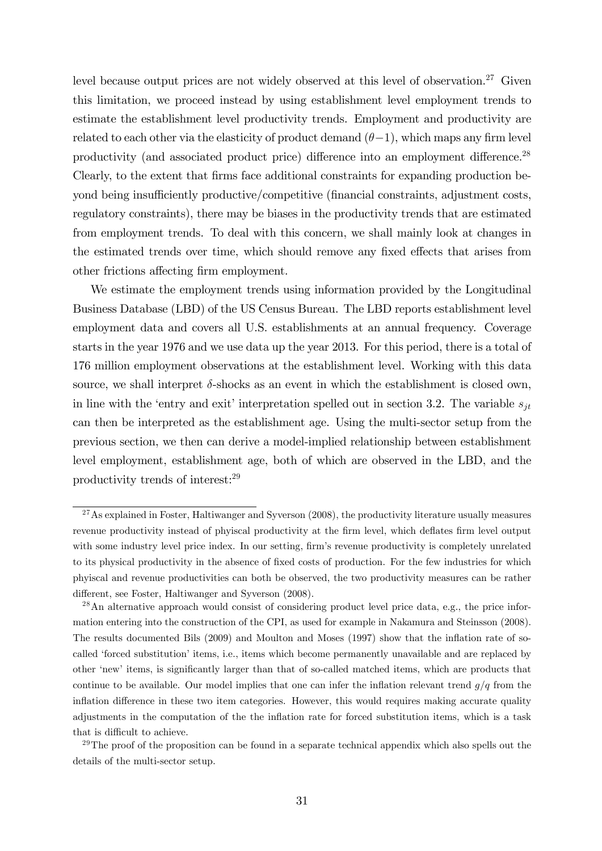level because output prices are not widely observed at this level of observation.<sup>27</sup> Given this limitation, we proceed instead by using establishment level employment trends to estimate the establishment level productivity trends. Employment and productivity are related to each other via the elasticity of product demand  $(\theta-1)$ , which maps any firm level productivity (and associated product price) difference into an employment difference.<sup>28</sup> Clearly, to the extent that Örms face additional constraints for expanding production beyond being insufficiently productive/competitive (financial constraints, adjustment costs, regulatory constraints), there may be biases in the productivity trends that are estimated from employment trends. To deal with this concern, we shall mainly look at changes in the estimated trends over time, which should remove any fixed effects that arises from other frictions affecting firm employment.

We estimate the employment trends using information provided by the Longitudinal Business Database (LBD) of the US Census Bureau. The LBD reports establishment level employment data and covers all U.S. establishments at an annual frequency. Coverage starts in the year 1976 and we use data up the year 2013. For this period, there is a total of 176 million employment observations at the establishment level. Working with this data source, we shall interpret  $\delta$ -shocks as an event in which the establishment is closed own, in line with the 'entry and exit' interpretation spelled out in section 3.2. The variable  $s_{it}$ can then be interpreted as the establishment age. Using the multi-sector setup from the previous section, we then can derive a model-implied relationship between establishment level employment, establishment age, both of which are observed in the LBD, and the productivity trends of interest:<sup>29</sup>

 $27$ As explained in Foster, Haltiwanger and Syverson (2008), the productivity literature usually measures revenue productivity instead of phyiscal productivity at the firm level, which deflates firm level output with some industry level price index. In our setting, firm's revenue productivity is completely unrelated to its physical productivity in the absence of fixed costs of production. For the few industries for which phyiscal and revenue productivities can both be observed, the two productivity measures can be rather different, see Foster, Haltiwanger and Syverson (2008).

<sup>&</sup>lt;sup>28</sup>An alternative approach would consist of considering product level price data, e.g., the price information entering into the construction of the CPI, as used for example in Nakamura and Steinsson (2008). The results documented Bils (2009) and Moulton and Moses (1997) show that the inflation rate of socalled 'forced substitution' items, i.e., items which become permanently unavailable and are replaced by other 'new' items, is significantly larger than that of so-called matched items, which are products that continue to be available. Our model implies that one can infer the inflation relevant trend  $g/q$  from the inflation difference in these two item categories. However, this would requires making accurate quality adjustments in the computation of the the ináation rate for forced substitution items, which is a task that is difficult to achieve.

 $29$ The proof of the proposition can be found in a separate technical appendix which also spells out the details of the multi-sector setup.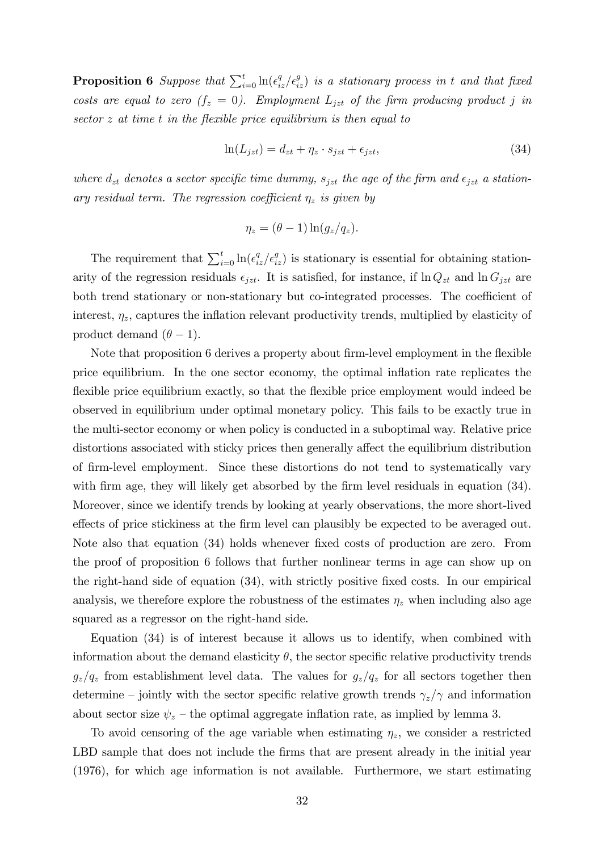**Proposition 6** Suppose that  $\sum_{i=0}^{t} \ln(\epsilon_{iz}^q/\epsilon_{iz}^q)$  is a stationary process in t and that fixed costs are equal to zero  $(f_z = 0)$ . Employment  $L_{jzt}$  of the firm producing product j in sector  $z$  at time  $t$  in the flexible price equilibrium is then equal to

$$
\ln(L_{jzt}) = d_{zt} + \eta_z \cdot s_{jzt} + \epsilon_{jzt},\tag{34}
$$

where  $d_{zt}$  denotes a sector specific time dummy,  $s_{jzt}$  the age of the firm and  $\epsilon_{jzt}$  a stationary residual term. The regression coefficient  $\eta_z$  is given by

$$
\eta_z = (\theta - 1) \ln(g_z / q_z).
$$

The requirement that  $\sum_{i=0}^{t} \ln(\epsilon_{iz}^q/\epsilon_{iz}^q)$  is stationary is essential for obtaining stationarity of the regression residuals  $\epsilon_{jzt}$ . It is satisfied, for instance, if  $\ln Q_{zt}$  and  $\ln G_{jzt}$  are both trend stationary or non-stationary but co-integrated processes. The coefficient of interest,  $\eta_z$ , captures the inflation relevant productivity trends, multiplied by elasticity of product demand  $(\theta - 1)$ .

Note that proposition 6 derives a property about firm-level employment in the flexible price equilibrium. In the one sector economy, the optimal ináation rate replicates the flexible price equilibrium exactly, so that the flexible price employment would indeed be observed in equilibrium under optimal monetary policy. This fails to be exactly true in the multi-sector economy or when policy is conducted in a suboptimal way. Relative price distortions associated with sticky prices then generally affect the equilibrium distribution of Örm-level employment. Since these distortions do not tend to systematically vary with firm age, they will likely get absorbed by the firm level residuals in equation (34). Moreover, since we identify trends by looking at yearly observations, the more short-lived effects of price stickiness at the firm level can plausibly be expected to be averaged out. Note also that equation (34) holds whenever fixed costs of production are zero. From the proof of proposition 6 follows that further nonlinear terms in age can show up on the right-hand side of equation  $(34)$ , with strictly positive fixed costs. In our empirical analysis, we therefore explore the robustness of the estimates  $\eta_z$  when including also age squared as a regressor on the right-hand side.

Equation (34) is of interest because it allows us to identify, when combined with information about the demand elasticity  $\theta$ , the sector specific relative productivity trends  $g_z/q_z$  from establishment level data. The values for  $g_z/q_z$  for all sectors together then determine – jointly with the sector specific relative growth trends  $\gamma_z/\gamma$  and information about sector size  $\psi_z$  – the optimal aggregate inflation rate, as implied by lemma 3.

To avoid censoring of the age variable when estimating  $\eta_z$ , we consider a restricted LBD sample that does not include the firms that are present already in the initial year (1976), for which age information is not available. Furthermore, we start estimating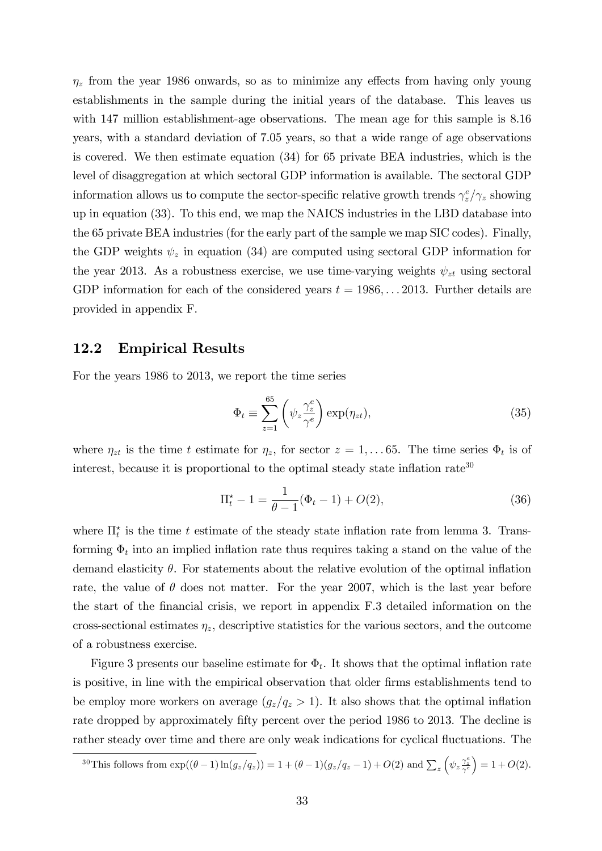$\eta_z$  from the year 1986 onwards, so as to minimize any effects from having only young establishments in the sample during the initial years of the database. This leaves us with 147 million establishment-age observations. The mean age for this sample is  $8.16$ years, with a standard deviation of 7.05 years, so that a wide range of age observations is covered. We then estimate equation (34) for 65 private BEA industries, which is the level of disaggregation at which sectoral GDP information is available. The sectoral GDP information allows us to compute the sector-specific relative growth trends  $\gamma_z^e/\gamma_z$  showing up in equation (33). To this end, we map the NAICS industries in the LBD database into the 65 private BEA industries (for the early part of the sample we map SIC codes). Finally, the GDP weights  $\psi_z$  in equation (34) are computed using sectoral GDP information for the year 2013. As a robustness exercise, we use time-varying weights  $\psi_{zt}$  using sectoral GDP information for each of the considered years  $t = 1986, \ldots 2013$ . Further details are provided in appendix F.

#### 12.2 Empirical Results

For the years 1986 to 2013, we report the time series

$$
\Phi_t \equiv \sum_{z=1}^{65} \left( \psi_z \frac{\gamma_z^e}{\gamma^e} \right) \exp(\eta_{zt}), \tag{35}
$$

where  $\eta_{zt}$  is the time t estimate for  $\eta_z$ , for sector  $z = 1, \ldots 65$ . The time series  $\Phi_t$  is of interest, because it is proportional to the optimal steady state inflation rate<sup>30</sup>

$$
\Pi_t^* - 1 = \frac{1}{\theta - 1} (\Phi_t - 1) + O(2), \tag{36}
$$

where  $\prod_{t=1}^{k}$  is the time t estimate of the steady state inflation rate from lemma 3. Transforming  $\Phi_t$  into an implied inflation rate thus requires taking a stand on the value of the demand elasticity  $\theta$ . For statements about the relative evolution of the optimal inflation rate, the value of  $\theta$  does not matter. For the year 2007, which is the last year before the start of the Önancial crisis, we report in appendix F.3 detailed information on the cross-sectional estimates  $\eta_z$ , descriptive statistics for the various sectors, and the outcome of a robustness exercise.

Figure 3 presents our baseline estimate for  $\Phi_t$ . It shows that the optimal inflation rate is positive, in line with the empirical observation that older firms establishments tend to be employ more workers on average  $(g_z/q_z > 1)$ . It also shows that the optimal inflation rate dropped by approximately fifty percent over the period 1986 to 2013. The decline is rather steady over time and there are only weak indications for cyclical fluctuations. The

<sup>&</sup>lt;sup>30</sup>This follows from  $\exp((\theta-1)\ln(g_z/q_z)) = 1 + (\theta-1)(g_z/q_z-1) + O(2)$  and  $\sum_z (\psi_z \frac{\gamma_z^2}{\gamma^6})$  $= 1 + O(2).$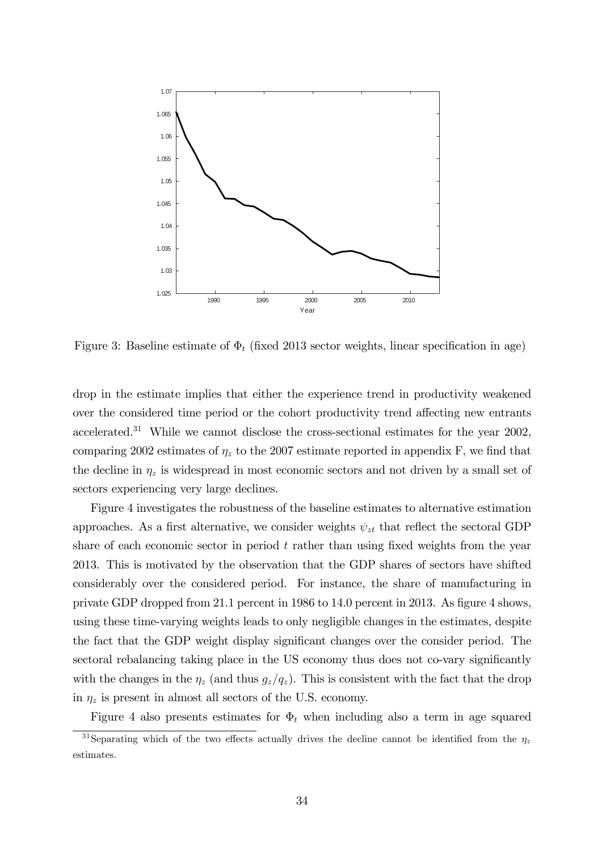

Figure 3: Baseline estimate of  $\Phi_t$  (fixed 2013 sector weights, linear specification in age)

drop in the estimate implies that either the experience trend in productivity weakened over the considered time period or the cohort productivity trend affecting new entrants accelerated.<sup>31</sup> While we cannot disclose the cross-sectional estimates for the year 2002, comparing 2002 estimates of  $\eta_z$  to the 2007 estimate reported in appendix F, we find that the decline in  $\eta_z$  is widespread in most economic sectors and not driven by a small set of sectors experiencing very large declines.

Figure 4 investigates the robustness of the baseline estimates to alternative estimation approaches. As a first alternative, we consider weights  $\psi_{zt}$  that reflect the sectoral GDP share of each economic sector in period  $t$  rather than using fixed weights from the year 2013. This is motivated by the observation that the GDP shares of sectors have shifted considerably over the considered period. For instance, the share of manufacturing in private GDP dropped from 21.1 percent in 1986 to 14.0 percent in 2013. As figure 4 shows, using these time-varying weights leads to only negligible changes in the estimates, despite the fact that the GDP weight display significant changes over the consider period. The sectoral rebalancing taking place in the US economy thus does not co-vary significantly with the changes in the  $\eta_z$  (and thus  $g_z/q_z$ ). This is consistent with the fact that the drop in  $\eta_z$  is present in almost all sectors of the U.S. economy.

Figure 4 also presents estimates for  $\Phi_t$  when including also a term in age squared

<sup>&</sup>lt;sup>31</sup>Separating which of the two effects actually drives the decline cannot be identified from the  $\eta_z$ estimates.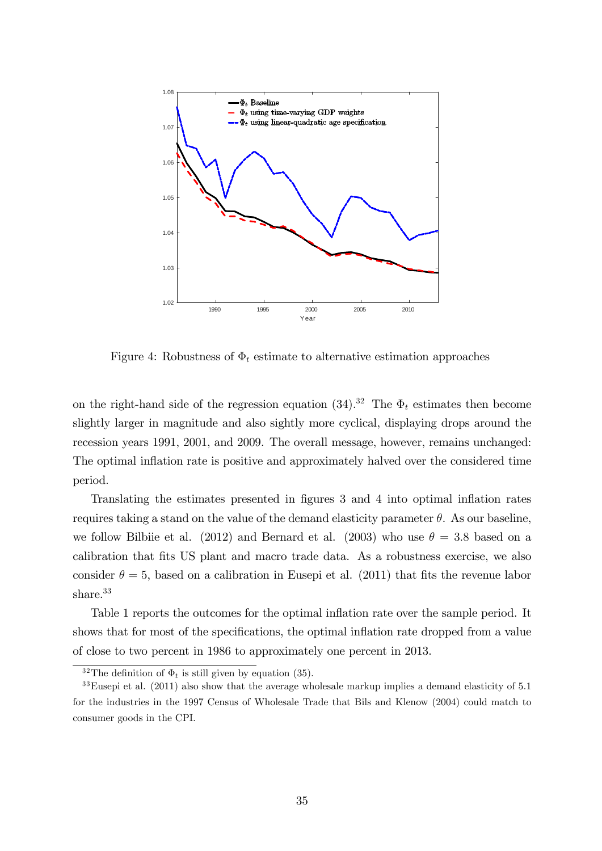

Figure 4: Robustness of  $\Phi_t$  estimate to alternative estimation approaches

on the right-hand side of the regression equation (34).<sup>32</sup> The  $\Phi_t$  estimates then become slightly larger in magnitude and also sightly more cyclical, displaying drops around the recession years 1991, 2001, and 2009. The overall message, however, remains unchanged: The optimal inflation rate is positive and approximately halved over the considered time period.

Translating the estimates presented in figures 3 and 4 into optimal inflation rates requires taking a stand on the value of the demand elasticity parameter  $\theta$ . As our baseline, we follow Bilbiie et al. (2012) and Bernard et al. (2003) who use  $\theta = 3.8$  based on a calibration that fits US plant and macro trade data. As a robustness exercise, we also consider  $\theta = 5$ , based on a calibration in Eusepi et al. (2011) that fits the revenue labor share.<sup>33</sup>

Table 1 reports the outcomes for the optimal inflation rate over the sample period. It shows that for most of the specifications, the optimal inflation rate dropped from a value of close to two percent in 1986 to approximately one percent in 2013.

<sup>&</sup>lt;sup>32</sup>The definition of  $\Phi_t$  is still given by equation (35).

 $33$ Eusepi et al. (2011) also show that the average wholesale markup implies a demand elasticity of 5.1 for the industries in the 1997 Census of Wholesale Trade that Bils and Klenow (2004) could match to consumer goods in the CPI.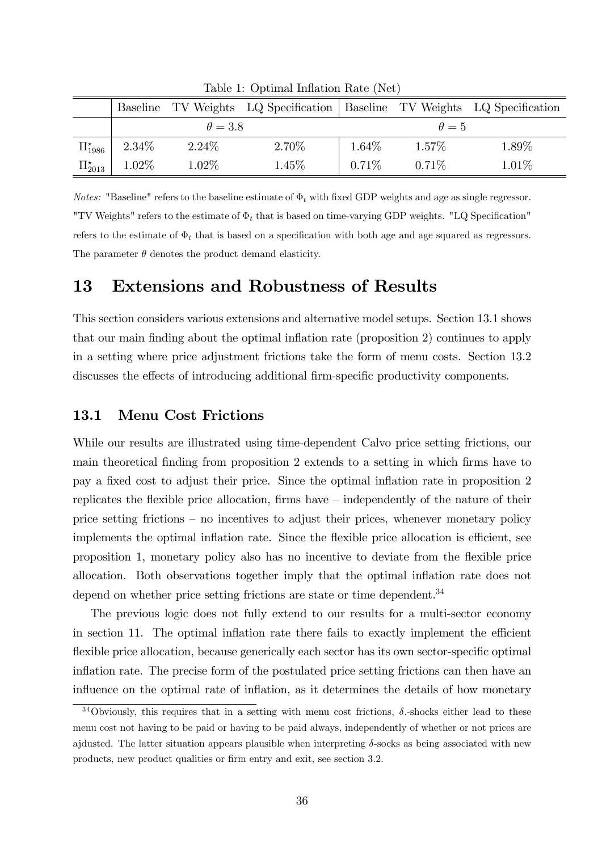|                      |          |                | Baseline TV Weights LQ Specification   Baseline TV Weights LQ Specification |          |              |       |
|----------------------|----------|----------------|-----------------------------------------------------------------------------|----------|--------------|-------|
|                      |          | $\theta = 3.8$ |                                                                             |          | $\theta = 5$ |       |
| $\Pi_{1986}^{\star}$ | $2.34\%$ | $2.24\%$       | 2.70%                                                                       | 1.64%    | 1.57%        | 1.89% |
| $\Pi_{2013}^{\star}$ | $1.02\%$ | 1.02%          | 1.45%                                                                       | $0.71\%$ | $0.71\%$     | 1.01% |

Table 1: Optimal Inflation Rate (Net)

*Notes:* "Baseline" refers to the baseline estimate of  $\Phi_t$  with fixed GDP weights and age as single regressor. "TV Weights" refers to the estimate of  $\Phi_t$  that is based on time-varying GDP weights. "LQ Specification" refers to the estimate of  $\Phi_t$  that is based on a specification with both age and age squared as regressors. The parameter  $\theta$  denotes the product demand elasticity.

### 13 Extensions and Robustness of Results

This section considers various extensions and alternative model setups. Section 13.1 shows that our main finding about the optimal inflation rate (proposition 2) continues to apply in a setting where price adjustment frictions take the form of menu costs. Section 13.2 discusses the effects of introducing additional firm-specific productivity components.

#### 13.1 Menu Cost Frictions

While our results are illustrated using time-dependent Calvo price setting frictions, our main theoretical finding from proposition 2 extends to a setting in which firms have to pay a fixed cost to adjust their price. Since the optimal inflation rate in proposition 2 replicates the flexible price allocation, firms have  $\overline{\phantom{a}}$  independently of the nature of their price setting frictions  $-$  no incentives to adjust their prices, whenever monetary policy implements the optimal inflation rate. Since the flexible price allocation is efficient, see proposition 1, monetary policy also has no incentive to deviate from the flexible price allocation. Both observations together imply that the optimal inflation rate does not depend on whether price setting frictions are state or time dependent.<sup>34</sup>

The previous logic does not fully extend to our results for a multi-sector economy in section 11. The optimal inflation rate there fails to exactly implement the efficient flexible price allocation, because generically each sector has its own sector-specific optimal inflation rate. The precise form of the postulated price setting frictions can then have an influence on the optimal rate of inflation, as it determines the details of how monetary

<sup>&</sup>lt;sup>34</sup>Obviously, this requires that in a setting with menu cost frictions,  $\delta$ -shocks either lead to these menu cost not having to be paid or having to be paid always, independently of whether or not prices are ajdusted. The latter situation appears plausible when interpreting  $\delta$ -socks as being associated with new products, new product qualities or firm entry and exit, see section 3.2.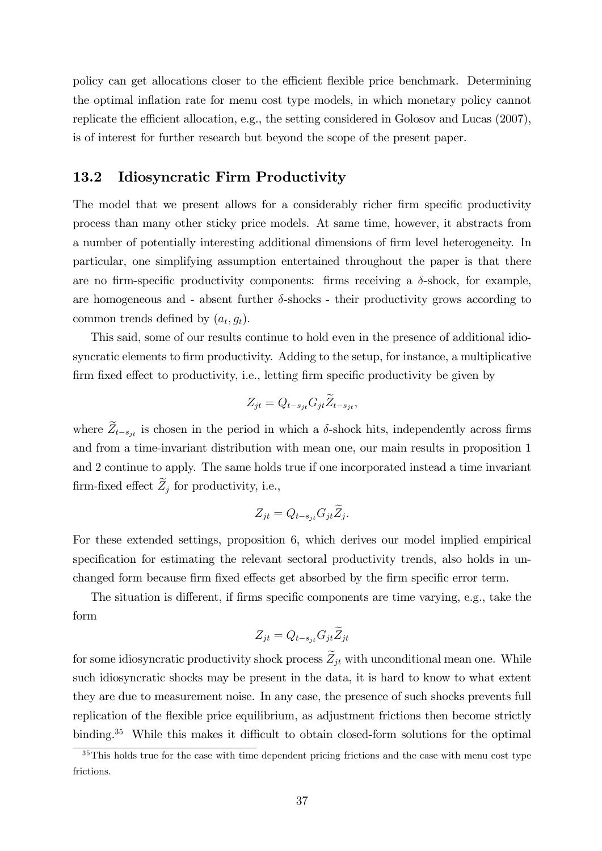policy can get allocations closer to the efficient flexible price benchmark. Determining the optimal inflation rate for menu cost type models, in which monetary policy cannot replicate the efficient allocation, e.g., the setting considered in Golosov and Lucas  $(2007)$ , is of interest for further research but beyond the scope of the present paper.

#### 13.2 Idiosyncratic Firm Productivity

The model that we present allows for a considerably richer firm specific productivity process than many other sticky price models. At same time, however, it abstracts from a number of potentially interesting additional dimensions of firm level heterogeneity. In particular, one simplifying assumption entertained throughout the paper is that there are no firm-specific productivity components: firms receiving a  $\delta$ -shock, for example, are homogeneous and - absent further  $\delta$ -shocks - their productivity grows according to common trends defined by  $(a_t, g_t)$ .

This said, some of our results continue to hold even in the presence of additional idiosyncratic elements to firm productivity. Adding to the setup, for instance, a multiplicative firm fixed effect to productivity, i.e., letting firm specific productivity be given by

$$
Z_{jt} = Q_{t-s_{jt}} G_{jt} \widetilde{Z}_{t-s_{jt}},
$$

where  $\tilde{Z}_{t-s_{jt}}$  is chosen in the period in which a  $\delta$ -shock hits, independently across firms and from a time-invariant distribution with mean one, our main results in proposition 1 and 2 continue to apply. The same holds true if one incorporated instead a time invariant firm-fixed effect  $\widetilde{Z}_j$  for productivity, i.e.,

$$
Z_{jt} = Q_{t-s_{jt}} G_{jt} \widetilde{Z}_j.
$$

For these extended settings, proposition 6, which derives our model implied empirical specification for estimating the relevant sectoral productivity trends, also holds in unchanged form because firm fixed effects get absorbed by the firm specific error term.

The situation is different, if firms specific components are time varying, e.g., take the form

$$
Z_{jt} = Q_{t-s_{jt}} G_{jt} \widetilde{Z}_{jt}
$$

for some idiosyncratic productivity shock process  $\widetilde{Z}_{it}$  with unconditional mean one. While such idiosyncratic shocks may be present in the data, it is hard to know to what extent they are due to measurement noise. In any case, the presence of such shocks prevents full replication of the flexible price equilibrium, as adjustment frictions then become strictly binding.<sup>35</sup> While this makes it difficult to obtain closed-form solutions for the optimal

 $35$ This holds true for the case with time dependent pricing frictions and the case with menu cost type frictions.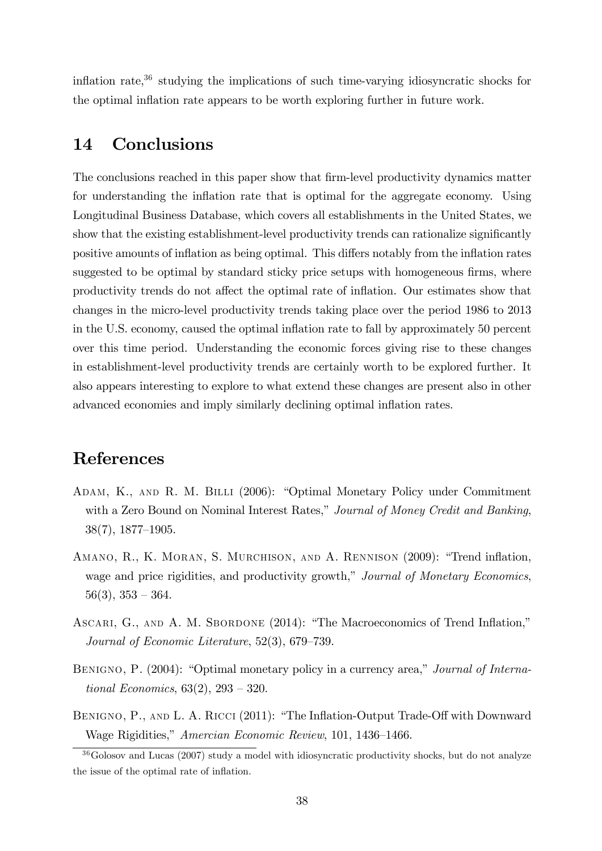inflation rate, $36$  studying the implications of such time-varying idiosyncratic shocks for the optimal inflation rate appears to be worth exploring further in future work.

## 14 Conclusions

The conclusions reached in this paper show that firm-level productivity dynamics matter for understanding the inflation rate that is optimal for the aggregate economy. Using Longitudinal Business Database, which covers all establishments in the United States, we show that the existing establishment-level productivity trends can rationalize significantly positive amounts of inflation as being optimal. This differs notably from the inflation rates suggested to be optimal by standard sticky price setups with homogeneous firms, where productivity trends do not affect the optimal rate of inflation. Our estimates show that changes in the micro-level productivity trends taking place over the period 1986 to 2013 in the U.S. economy, caused the optimal ináation rate to fall by approximately 50 percent over this time period. Understanding the economic forces giving rise to these changes in establishment-level productivity trends are certainly worth to be explored further. It also appears interesting to explore to what extend these changes are present also in other advanced economies and imply similarly declining optimal ináation rates.

### References

- ADAM, K., AND R. M. BILLI (2006): "Optimal Monetary Policy under Commitment with a Zero Bound on Nominal Interest Rates," Journal of Money Credit and Banking,  $38(7), 1877-1905.$
- AMANO, R., K. MORAN, S. MURCHISON, AND A. RENNISON (2009): "Trend inflation, wage and price rigidities, and productivity growth," Journal of Monetary Economics,  $56(3)$ ,  $353 - 364$ .
- ASCARI, G., AND A. M. SBORDONE (2014): "The Macroeconomics of Trend Inflation," Journal of Economic Literature,  $52(3)$ ,  $679-739$ .
- BENIGNO, P. (2004): "Optimal monetary policy in a currency area," Journal of International Economics,  $63(2)$ ,  $293 - 320$ .
- BENIGNO, P., AND L. A. RICCI (2011): "The Inflation-Output Trade-Off with Downward Wage Rigidities," Amercian Economic Review, 101, 1436-1466.

<sup>&</sup>lt;sup>36</sup>Golosov and Lucas (2007) study a model with idiosyncratic productivity shocks, but do not analyze the issue of the optimal rate of inflation.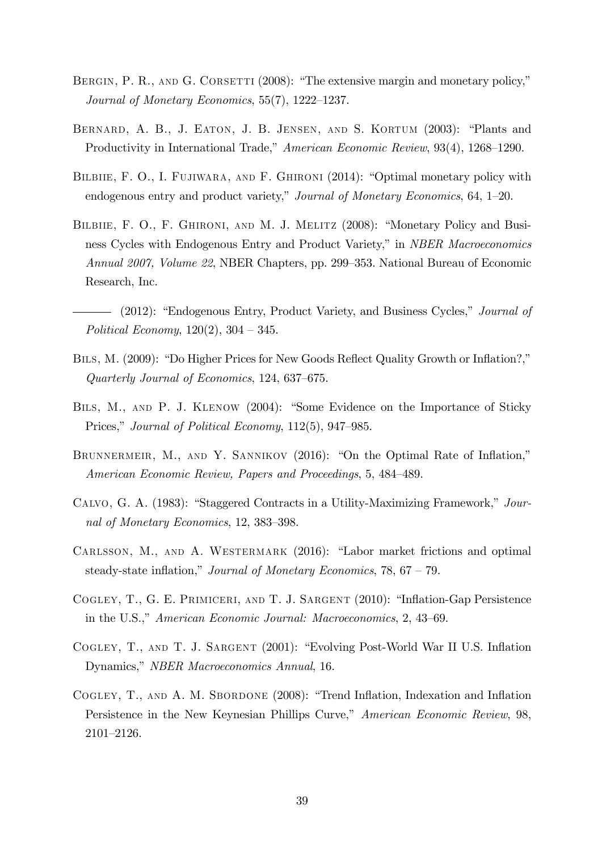- BERGIN, P. R., AND G. CORSETTI  $(2008)$ : "The extensive margin and monetary policy," Journal of Monetary Economics,  $55(7)$ ,  $1222-1237$ .
- BERNARD, A. B., J. EATON, J. B. JENSEN, AND S. KORTUM (2003): "Plants and Productivity in International Trade," American Economic Review, 93(4), 1268–1290.
- BILBIIE, F. O., I. FUJIWARA, AND F. GHIRONI  $(2014)$ : "Optimal monetary policy with endogenous entry and product variety," Journal of Monetary Economics,  $64$ ,  $1-20$ .
- BILBIIE, F. O., F. GHIRONI, AND M. J. MELITZ (2008): "Monetary Policy and Business Cycles with Endogenous Entry and Product Variety," in *NBER Macroeconomics* Annual 2007, Volume 22, NBER Chapters, pp. 299–353. National Bureau of Economic Research, Inc.
- (2012): "Endogenous Entry, Product Variety, and Business Cycles," *Journal of* Political Economy,  $120(2)$ ,  $304 - 345$ .
- BILS, M. (2009): "Do Higher Prices for New Goods Reflect Quality Growth or Inflation?," Quarterly Journal of Economics,  $124, 637-675$ .
- BILS, M., AND P. J. KLENOW (2004): "Some Evidence on the Importance of Sticky Prices," Journal of Political Economy, 112(5), 947–985.
- BRUNNERMEIR, M., AND Y. SANNIKOV  $(2016)$ : "On the Optimal Rate of Inflation," American Economic Review, Papers and Proceedings, 5, 484–489.
- CALVO, G. A. (1983): "Staggered Contracts in a Utility-Maximizing Framework,"  $Jour$ nal of Monetary Economics, 12, 383-398.
- CARLSSON, M., AND A. WESTERMARK (2016): "Labor market frictions and optimal steady-state inflation," Journal of Monetary Economics,  $78, 67 - 79$ .
- COGLEY, T., G. E. PRIMICERI, AND T. J. SARGENT (2010): "Inflation-Gap Persistence in the U.S.," American Economic Journal: Macroeconomics, 2, 43–69.
- COGLEY, T., AND T. J. SARGENT (2001): "Evolving Post-World War II U.S. Inflation Dynamics," *NBER Macroeconomics Annual*, 16.
- COGLEY, T., AND A. M. SBORDONE (2008): "Trend Inflation, Indexation and Inflation Persistence in the New Keynesian Phillips Curve," American Economic Review, 98, 2101-2126.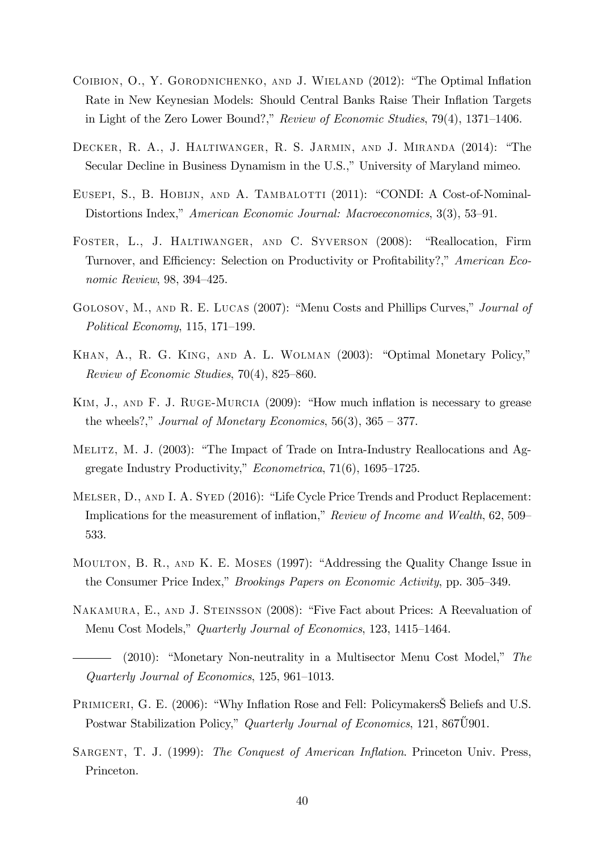- COIBION, O., Y. GORODNICHENKO, AND J. WIELAND (2012): "The Optimal Inflation Rate in New Keynesian Models: Should Central Banks Raise Their Inflation Targets in Light of the Zero Lower Bound?," Review of Economic Studies,  $79(4)$ ,  $1371-1406$ .
- DECKER, R. A., J. HALTIWANGER, R. S. JARMIN, AND J. MIRANDA (2014): "The Secular Decline in Business Dynamism in the U.S.," University of Maryland mimeo.
- EUSEPI, S., B. HOBIJN, AND A. TAMBALOTTI (2011): "CONDI: A Cost-of-Nominal-Distortions Index," American Economic Journal: Macroeconomics, 3(3), 53–91.
- FOSTER, L., J. HALTIWANGER, AND C. SYVERSON (2008): "Reallocation, Firm Turnover, and Efficiency: Selection on Productivity or Profitability?," American Economic Review,  $98, 394-425$ .
- GOLOSOV, M., AND R. E. LUCAS (2007): "Menu Costs and Phillips Curves," *Journal of* Political Economy, 115, 171–199.
- KHAN, A., R. G. KING, AND A. L. WOLMAN (2003): "Optimal Monetary Policy," Review of Economic Studies,  $70(4)$ , 825–860.
- KIM, J., AND F. J. RUGE-MURCIA (2009): "How much inflation is necessary to grease the wheels?," Journal of Monetary Economics, 56(3),  $365 - 377$ .
- MELITZ, M. J.  $(2003)$ : "The Impact of Trade on Intra-Industry Reallocations and Aggregate Industry Productivity,"  $Econometrica$ , 71(6), 1695–1725.
- MELSER, D., AND I. A. SYED (2016): "Life Cycle Price Trends and Product Replacement: Implications for the measurement of inflation,"  $Review of Income and Wealth, 62, 509–$ 533.
- MOULTON, B. R., AND K. E. MOSES (1997): "Addressing the Quality Change Issue in the Consumer Price Index," *Brookings Papers on Economic Activity*, pp. 305–349.
- NAKAMURA, E., AND J. STEINSSON (2008): "Five Fact about Prices: A Reevaluation of Menu Cost Models," Quarterly Journal of Economics, 123, 1415–1464.
- $(2010)$ : "Monetary Non-neutrality in a Multisector Menu Cost Model," The Quarterly Journal of Economics,  $125, 961-1013$ .
- PRIMICERI, G. E. (2006): "Why Inflation Rose and Fell: Policymakers S Beliefs and U.S. Postwar Stabilization Policy," Quarterly Journal of Economics, 121, 867U901.
- SARGENT, T. J. (1999): The Conquest of American Inflation. Princeton Univ. Press, Princeton.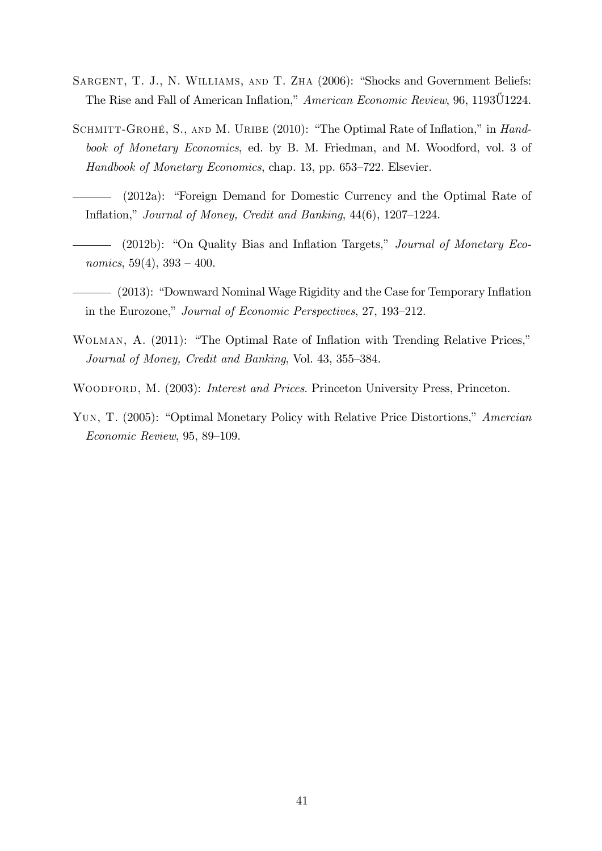- SARGENT, T. J., N. WILLIAMS, AND T. ZHA (2006): "Shocks and Government Beliefs: The Rise and Fall of American Inflation," American Economic Review, 96, 1193U1224.
- SCHMITT-GROHÉ, S., AND M. URIBE (2010): "The Optimal Rate of Inflation," in Handbook of Monetary Economics, ed. by B. M. Friedman, and M. Woodford, vol. 3 of Handbook of Monetary Economics, chap. 13, pp.  $653-722$ . Elsevier.
- (2012a): "Foreign Demand for Domestic Currency and the Optimal Rate of Inflation," Journal of Money, Credit and Banking,  $44(6)$ ,  $1207-1224$ .
- $(2012b)$ : "On Quality Bias and Inflation Targets," Journal of Monetary Economics,  $59(4)$ ,  $393 - 400$ .
- (2013): "Downward Nominal Wage Rigidity and the Case for Temporary Inflation in the Eurozone," Journal of Economic Perspectives, 27, 193–212.
- WOLMAN, A. (2011): "The Optimal Rate of Inflation with Trending Relative Prices," Journal of Money, Credit and Banking, Vol. 43, 355–384.
- WOODFORD, M. (2003): *Interest and Prices*. Princeton University Press, Princeton.
- YUN, T. (2005): "Optimal Monetary Policy with Relative Price Distortions," Amercian  $Economic Review, 95, 89-109.$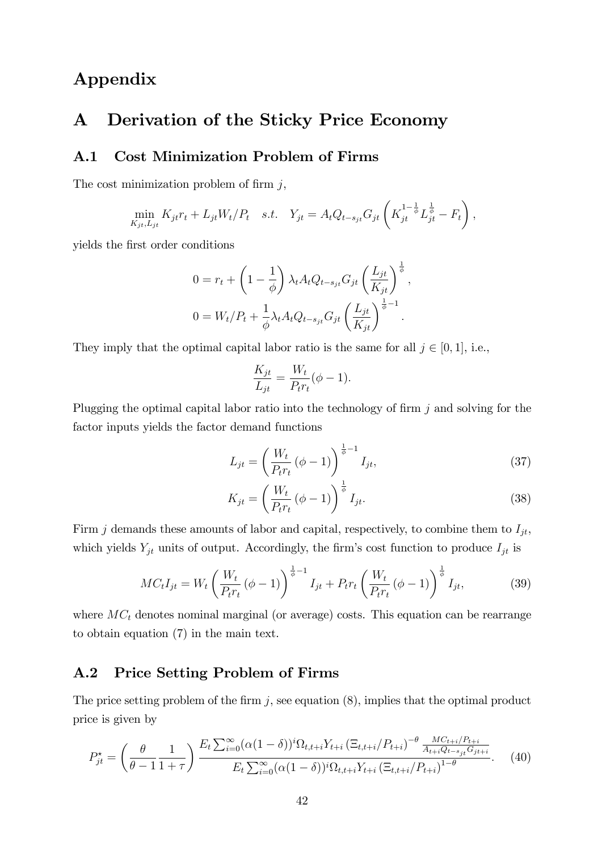# Appendix

## A Derivation of the Sticky Price Economy

### A.1 Cost Minimization Problem of Firms

The cost minimization problem of firm  $j$ ,

$$
\min_{K_{jt}, L_{jt}} K_{jt} r_t + L_{jt} W_t / P_t \quad s.t. \quad Y_{jt} = A_t Q_{t-s_{jt}} G_{jt} \left( K_{jt}^{1-\frac{1}{\phi}} L_{jt}^{\frac{1}{\phi}} - F_t \right),
$$

yields the Örst order conditions

$$
0 = r_t + \left(1 - \frac{1}{\phi}\right) \lambda_t A_t Q_{t-s_{jt}} G_{jt} \left(\frac{L_{jt}}{K_{jt}}\right)^{\frac{1}{\phi}},
$$
  

$$
0 = W_t / P_t + \frac{1}{\phi} \lambda_t A_t Q_{t-s_{jt}} G_{jt} \left(\frac{L_{jt}}{K_{jt}}\right)^{\frac{1}{\phi}-1}.
$$

They imply that the optimal capital labor ratio is the same for all  $j \in [0, 1]$ , i.e.,

$$
\frac{K_{jt}}{L_{jt}} = \frac{W_t}{P_t r_t} (\phi - 1).
$$

Plugging the optimal capital labor ratio into the technology of firm  $j$  and solving for the factor inputs yields the factor demand functions

$$
L_{jt} = \left(\frac{W_t}{P_t r_t} (\phi - 1)\right)^{\frac{1}{\phi} - 1} I_{jt},
$$
\n(37)

$$
K_{jt} = \left(\frac{W_t}{P_t r_t} \left(\phi - 1\right)\right)^{\frac{1}{\phi}} I_{jt}.
$$
\n(38)

Firm  $j$  demands these amounts of labor and capital, respectively, to combine them to  $I_{jt}$ , which yields  $Y_{jt}$  units of output. Accordingly, the firm's cost function to produce  $I_{jt}$  is

$$
MC_t I_{jt} = W_t \left(\frac{W_t}{P_t r_t} (\phi - 1)\right)^{\frac{1}{\phi} - 1} I_{jt} + P_t r_t \left(\frac{W_t}{P_t r_t} (\phi - 1)\right)^{\frac{1}{\phi}} I_{jt},
$$
(39)

where  $MC<sub>t</sub>$  denotes nominal marginal (or average) costs. This equation can be rearrange to obtain equation (7) in the main text.

#### A.2 Price Setting Problem of Firms

The price setting problem of the firm  $j$ , see equation  $(8)$ , implies that the optimal product price is given by

$$
P_{jt}^{\star} = \left(\frac{\theta}{\theta - 1} \frac{1}{1 + \tau}\right) \frac{E_t \sum_{i=0}^{\infty} (\alpha (1 - \delta))^i \Omega_{t, t + i} Y_{t + i} \left(\Xi_{t, t + i} / P_{t + i}\right)^{-\theta} \frac{MC_{t + i} / P_{t + i}}{A_{t + i} Q_{t - s_{jt}} G_{j t + i}}}{E_t \sum_{i=0}^{\infty} (\alpha (1 - \delta))^i \Omega_{t, t + i} Y_{t + i} \left(\Xi_{t, t + i} / P_{t + i}\right)^{1 - \theta}}.
$$
 (40)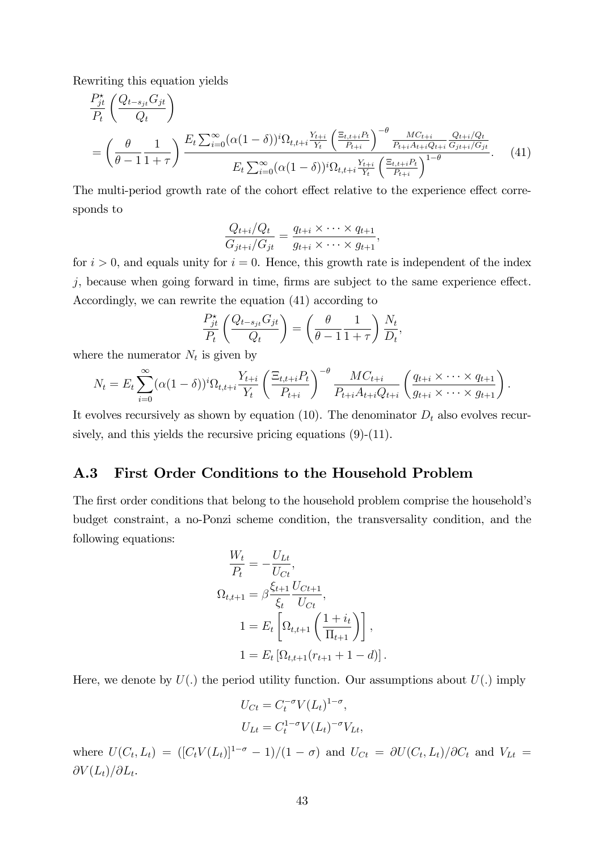Rewriting this equation yields

 $\sqrt{2}$ 

$$
\frac{P_{jt}^{*}}{P_{t}}\left(\frac{Q_{t-s_{jt}}G_{jt}}{Q_{t}}\right)
$$
\n
$$
= \left(\frac{\theta}{\theta-1}\frac{1}{1+\tau}\right) \frac{E_{t}\sum_{i=0}^{\infty}(\alpha(1-\delta))^{i}\Omega_{t,t+i}\frac{Y_{t+i}}{Y_{t}}\left(\frac{\Xi_{t,t+i}P_{t}}{P_{t+i}}\right)^{-\theta}\frac{MC_{t+i}}{P_{t+i}A_{t+i}Q_{t+i}}\frac{Q_{t+i}/Q_{t}}{G_{jt+i}/G_{jt}}}{E_{t}\sum_{i=0}^{\infty}(\alpha(1-\delta))^{i}\Omega_{t,t+i}\frac{Y_{t+i}}{Y_{t}}\left(\frac{\Xi_{t,t+i}P_{t}}{P_{t+i}}\right)^{1-\theta}}.
$$
\n(41)

The multi-period growth rate of the cohort effect relative to the experience effect corresponds to

$$
\frac{Q_{t+i}/Q_t}{G_{jt+i}/G_{jt}} = \frac{q_{t+i} \times \cdots \times q_{t+1}}{g_{t+i} \times \cdots \times g_{t+1}},
$$

for  $i > 0$ , and equals unity for  $i = 0$ . Hence, this growth rate is independent of the index  $j$ , because when going forward in time, firms are subject to the same experience effect. Accordingly, we can rewrite the equation (41) according to

$$
\frac{P_{jt}^{\star}}{P_t} \left( \frac{Q_{t-s_{jt}} G_{jt}}{Q_t} \right) = \left( \frac{\theta}{\theta - 1} \frac{1}{1 + \tau} \right) \frac{N_t}{D_t},
$$

where the numerator  $N_t$  is given by

$$
N_{t} = E_{t} \sum_{i=0}^{\infty} (\alpha (1-\delta))^{i} \Omega_{t,t+i} \frac{Y_{t+i}}{Y_{t}} \left( \frac{\Xi_{t,t+i} P_{t}}{P_{t+i}} \right)^{-\theta} \frac{MC_{t+i}}{P_{t+i} A_{t+i} Q_{t+i}} \left( \frac{q_{t+i} \times \cdots \times q_{t+1}}{g_{t+i} \times \cdots \times g_{t+1}} \right).
$$

It evolves recursively as shown by equation (10). The denominator  $D_t$  also evolves recursively, and this yields the recursive pricing equations  $(9)-(11)$ .

#### A.3 First Order Conditions to the Household Problem

The first order conditions that belong to the household problem comprise the household's budget constraint, a no-Ponzi scheme condition, the transversality condition, and the following equations:

$$
\frac{W_t}{P_t} = -\frac{U_{Lt}}{U_{Ct}},
$$
\n
$$
\Omega_{t,t+1} = \beta \frac{\xi_{t+1}}{\xi_t} \frac{U_{Ct+1}}{U_{Ct}},
$$
\n
$$
1 = E_t \left[ \Omega_{t,t+1} \left( \frac{1+i_t}{\Pi_{t+1}} \right) \right],
$$
\n
$$
1 = E_t \left[ \Omega_{t,t+1} (r_{t+1} + 1 - d) \right].
$$

Here, we denote by  $U(.)$  the period utility function. Our assumptions about  $U(.)$  imply

$$
U_{Ct} = C_t^{-\sigma} V(L_t)^{1-\sigma},
$$
  

$$
U_{Lt} = C_t^{1-\sigma} V(L_t)^{-\sigma} V_{Lt},
$$

where  $U(C_t, L_t) = ( [C_t V(L_t)]^{1-\sigma} - 1)/(1-\sigma)$  and  $U_{C_t} = \partial U(C_t, L_t)/\partial C_t$  and  $V_{Lt} =$  $\partial V(L_t)/\partial L_t.$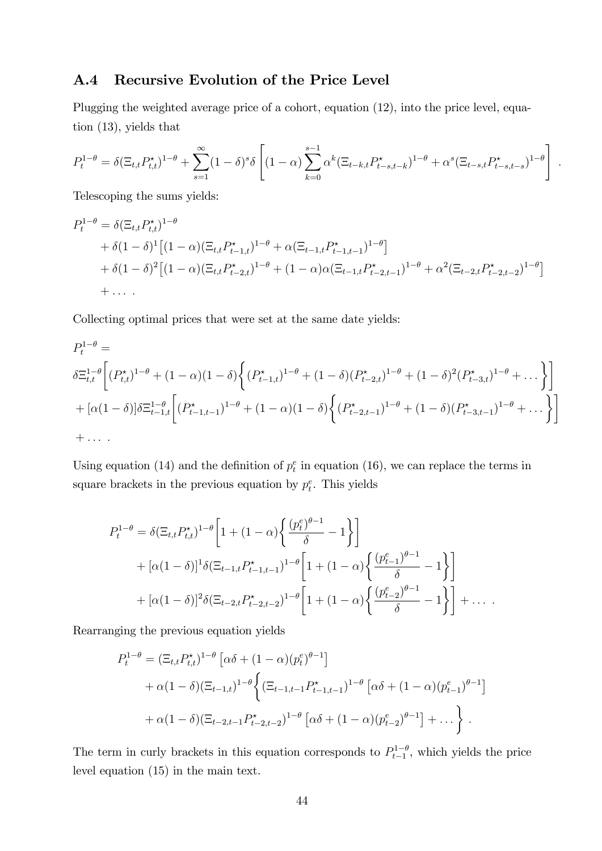### A.4 Recursive Evolution of the Price Level

Plugging the weighted average price of a cohort, equation (12), into the price level, equation (13), yields that

$$
P_t^{1-\theta} = \delta(\Xi_{t,t} P_{t,t}^{\star})^{1-\theta} + \sum_{s=1}^{\infty} (1-\delta)^s \delta\left[ (1-\alpha) \sum_{k=0}^{s-1} \alpha^k (\Xi_{t-k,t} P_{t-s,t-k}^{\star})^{1-\theta} + \alpha^s (\Xi_{t-s,t} P_{t-s,t-s}^{\star})^{1-\theta} \right]
$$

:

Telescoping the sums yields:

$$
P_{t}^{1-\theta} = \delta(\Xi_{t,t}P_{t,t}^{*})^{1-\theta}
$$
  
+  $\delta(1-\delta)^{1}[(1-\alpha)(\Xi_{t,t}P_{t-1,t}^{*})^{1-\theta} + \alpha(\Xi_{t-1,t}P_{t-1,t-1}^{*})^{1-\theta}]$   
+  $\delta(1-\delta)^{2}[(1-\alpha)(\Xi_{t,t}P_{t-2,t}^{*})^{1-\theta} + (1-\alpha)\alpha(\Xi_{t-1,t}P_{t-2,t-1}^{*})^{1-\theta} + \alpha^{2}(\Xi_{t-2,t}P_{t-2,t-2}^{*})^{1-\theta}]$   
+ ...

Collecting optimal prices that were set at the same date yields:

$$
P_{t}^{1-\theta} =
$$
\n
$$
\delta \Xi_{t,t}^{1-\theta} \left[ (P_{t,t}^{\star})^{1-\theta} + (1-\alpha)(1-\delta) \left\{ (P_{t-1,t}^{\star})^{1-\theta} + (1-\delta)(P_{t-2,t}^{\star})^{1-\theta} + (1-\delta)^2 (P_{t-3,t}^{\star})^{1-\theta} + \dots \right\} \right]
$$
\n
$$
+ [\alpha(1-\delta)] \delta \Xi_{t-1,t}^{1-\theta} \left[ (P_{t-1,t-1}^{\star})^{1-\theta} + (1-\alpha)(1-\delta) \left\{ (P_{t-2,t-1}^{\star})^{1-\theta} + (1-\delta)(P_{t-3,t-1}^{\star})^{1-\theta} + \dots \right\} \right]
$$
\n
$$
+ \dots
$$

Using equation (14) and the definition of  $p_t^e$  in equation (16), we can replace the terms in square brackets in the previous equation by  $p_t^e$ . This yields

$$
P_{t}^{1-\theta} = \delta(\Xi_{t,t} P_{t,t}^{\star})^{1-\theta} \left[ 1 + (1-\alpha) \left\{ \frac{(p_{t}^{e})^{\theta-1}}{\delta} - 1 \right\} \right]
$$
  
+  $[\alpha(1-\delta)]^{1} \delta(\Xi_{t-1,t} P_{t-1,t-1}^{\star})^{1-\theta} \left[ 1 + (1-\alpha) \left\{ \frac{(p_{t-1}^{e})^{\theta-1}}{\delta} - 1 \right\} \right]$   
+  $[\alpha(1-\delta)]^{2} \delta(\Xi_{t-2,t} P_{t-2,t-2}^{\star})^{1-\theta} \left[ 1 + (1-\alpha) \left\{ \frac{(p_{t-2}^{e})^{\theta-1}}{\delta} - 1 \right\} \right] + \dots$ 

Rearranging the previous equation yields

$$
P_t^{1-\theta} = (\Xi_{t,t} P_{t,t}^*)^{1-\theta} \left[ \alpha \delta + (1-\alpha) (p_t^e)^{\theta-1} \right]
$$
  
+  $\alpha (1-\delta) (\Xi_{t-1,t})^{1-\theta} \left\{ (\Xi_{t-1,t-1} P_{t-1,t-1}^*)^{1-\theta} \left[ \alpha \delta + (1-\alpha) (p_{t-1}^e)^{\theta-1} \right] \right\}$   
+  $\alpha (1-\delta) (\Xi_{t-2,t-1} P_{t-2,t-2}^*)^{1-\theta} \left[ \alpha \delta + (1-\alpha) (p_{t-2}^e)^{\theta-1} \right] + \dots \right\}.$ 

The term in curly brackets in this equation corresponds to  $P_{t-1}^{1-\theta}$ , which yields the price level equation (15) in the main text.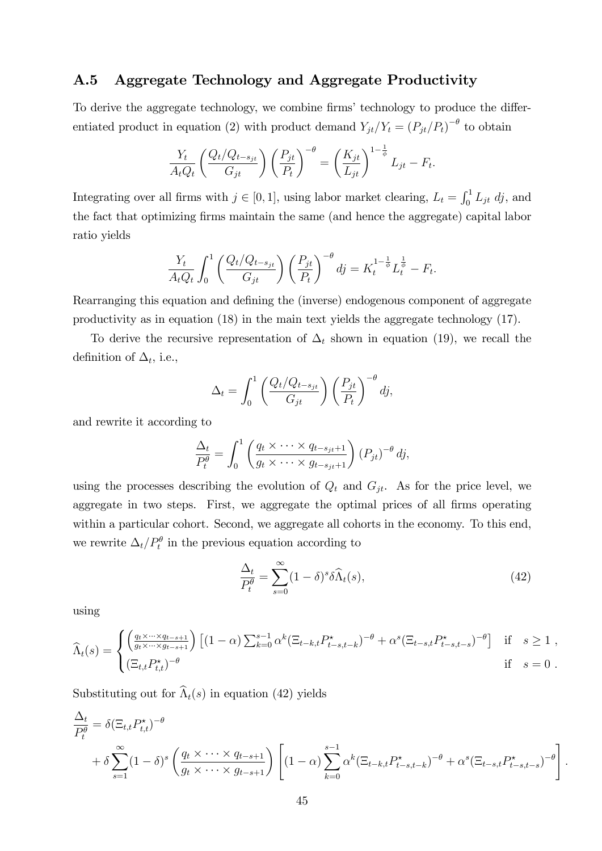#### A.5 Aggregate Technology and Aggregate Productivity

To derive the aggregate technology, we combine firms' technology to produce the differentiated product in equation (2) with product demand  $Y_{jt}/Y_t = (P_{jt}/P_t)^{-\theta}$  to obtain

$$
\frac{Y_t}{A_t Q_t} \left( \frac{Q_t / Q_{t-s_{jt}}}{G_{jt}} \right) \left( \frac{P_{jt}}{P_t} \right)^{-\theta} = \left( \frac{K_{jt}}{L_{jt}} \right)^{1-\frac{1}{\phi}} L_{jt} - F_t.
$$

Integrating over all firms with  $j \in [0, 1]$ , using labor market clearing,  $L_t = \int_0^1 L_{jt} \, dj$ , and the fact that optimizing Örms maintain the same (and hence the aggregate) capital labor ratio yields

$$
\frac{Y_t}{A_t Q_t} \int_0^1 \left( \frac{Q_t / Q_{t - s_{jt}}}{G_{jt}} \right) \left( \frac{P_{jt}}{P_t} \right)^{-\theta} dj = K_t^{1 - \frac{1}{\phi}} L_t^{\frac{1}{\phi}} - F_t.
$$

Rearranging this equation and defining the (inverse) endogenous component of aggregate productivity as in equation (18) in the main text yields the aggregate technology (17).

To derive the recursive representation of  $\Delta_t$  shown in equation (19), we recall the definition of  $\Delta_t$ , i.e.,

$$
\Delta_t = \int_0^1 \left( \frac{Q_t/Q_{t-s_{jt}}}{G_{jt}} \right) \left( \frac{P_{jt}}{P_t} \right)^{-\theta} dj,
$$

and rewrite it according to

$$
\frac{\Delta_t}{P_t^{\theta}} = \int_0^1 \left( \frac{q_t \times \cdots \times q_{t-s_{jt}+1}}{g_t \times \cdots \times g_{t-s_{jt}+1}} \right) (P_{jt})^{-\theta} dj,
$$

using the processes describing the evolution of  $Q_t$  and  $G_{jt}$ . As for the price level, we aggregate in two steps. First, we aggregate the optimal prices of all firms operating within a particular cohort. Second, we aggregate all cohorts in the economy. To this end, we rewrite  $\Delta_t/P_t^{\theta}$  in the previous equation according to

$$
\frac{\Delta_t}{P_t^{\theta}} = \sum_{s=0}^{\infty} (1 - \delta)^s \delta \widehat{\Lambda}_t(s), \tag{42}
$$

using

$$
\widehat{\Lambda}_t(s) = \begin{cases}\n\left(\frac{q_t \times \dots \times q_{t-s+1}}{g_t \times \dots \times g_{t-s+1}}\right) \left[ (1-\alpha) \sum_{k=0}^{s-1} \alpha^k (\Xi_{t-k,t} P^{\star}_{t-s,t-k})^{-\theta} + \alpha^s (\Xi_{t-s,t} P^{\star}_{t-s,t-s})^{-\theta} \right] & \text{if } s \ge 1, \\
(\Xi_{t,t} P^{\star}_{t,t})^{-\theta} & \text{if } s = 0.\n\end{cases}
$$

Substituting out for  $\widehat{\Lambda}_t(s)$  in equation (42) yields

$$
\frac{\Delta_t}{P_t^{\theta}} = \delta \left( \Xi_{t,t} P_{t,t}^{\star} \right)^{-\theta} \n+ \delta \sum_{s=1}^{\infty} (1-\delta)^s \left( \frac{q_t \times \cdots \times q_{t-s+1}}{g_t \times \cdots \times g_{t-s+1}} \right) \left[ (1-\alpha) \sum_{k=0}^{s-1} \alpha^k (\Xi_{t-k,t} P_{t-s,t-k}^{\star})^{-\theta} + \alpha^s (\Xi_{t-s,t} P_{t-s,t-s}^{\star})^{-\theta} \right].
$$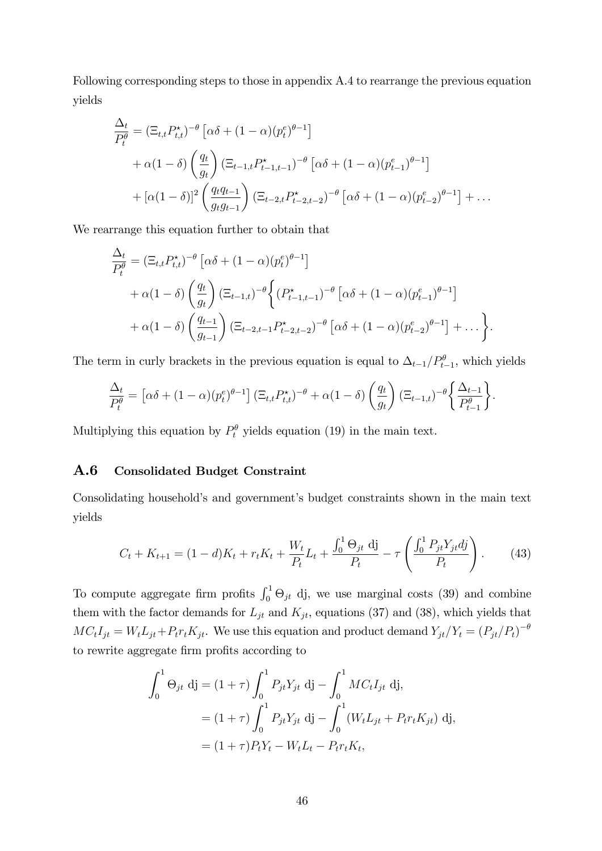Following corresponding steps to those in appendix A.4 to rearrange the previous equation yields

$$
\frac{\Delta_t}{P_t^{\theta}} = (\Xi_{t,t} P_{t,t}^*)^{-\theta} \left[ \alpha \delta + (1 - \alpha)(p_t^e)^{\theta - 1} \right] \n+ \alpha (1 - \delta) \left( \frac{q_t}{g_t} \right) (\Xi_{t-1,t} P_{t-1,t-1}^*)^{-\theta} \left[ \alpha \delta + (1 - \alpha)(p_{t-1}^e)^{\theta - 1} \right] \n+ \left[ \alpha (1 - \delta) \right]^2 \left( \frac{q_t q_{t-1}}{g_t g_{t-1}} \right) (\Xi_{t-2,t} P_{t-2,t-2}^*)^{-\theta} \left[ \alpha \delta + (1 - \alpha)(p_{t-2}^e)^{\theta - 1} \right] + \dots
$$

We rearrange this equation further to obtain that

$$
\frac{\Delta_t}{P_t^{\theta}} = (\Xi_{t,t} P_{t,t}^{\star})^{-\theta} \left[ \alpha \delta + (1 - \alpha)(p_t^e)^{\theta - 1} \right] \n+ \alpha (1 - \delta) \left( \frac{q_t}{q_t} \right) (\Xi_{t-1,t})^{-\theta} \left\{ (P_{t-1,t-1}^{\star})^{-\theta} \left[ \alpha \delta + (1 - \alpha)(p_{t-1}^e)^{\theta - 1} \right] \right. \n+ \alpha (1 - \delta) \left( \frac{q_{t-1}}{q_{t-1}} \right) (\Xi_{t-2,t-1} P_{t-2,t-2}^{\star})^{-\theta} \left[ \alpha \delta + (1 - \alpha)(p_{t-2}^e)^{\theta - 1} \right] + \dots \right\}.
$$

The term in curly brackets in the previous equation is equal to  $\Delta_{t-1}/P_{t-1}^{\theta}$ , which yields

$$
\frac{\Delta_t}{P_t^{\theta}} = \left[ \alpha \delta + (1 - \alpha) (p_t^e)^{\theta - 1} \right] \left( \Xi_{t,t} P_{t,t}^{\star} \right)^{-\theta} + \alpha (1 - \delta) \left( \frac{q_t}{g_t} \right) \left( \Xi_{t-1,t} \right)^{-\theta} \left\{ \frac{\Delta_{t-1}}{P_{t-1}^{\theta}} \right\}.
$$

Multiplying this equation by  $P_t^{\theta}$  yields equation (19) in the main text.

#### A.6 Consolidated Budget Constraint

Consolidating household's and government's budget constraints shown in the main text yields

$$
C_t + K_{t+1} = (1-d)K_t + r_t K_t + \frac{W_t}{P_t} L_t + \frac{\int_0^1 \Theta_{jt} \, \mathrm{d} \mathrm{j}}{P_t} - \tau \left( \frac{\int_0^1 P_{jt} Y_{jt} \, \mathrm{d} \mathrm{j}}{P_t} \right). \tag{43}
$$

To compute aggregate firm profits  $\int_0^1 \Theta_{jt}$  dj, we use marginal costs (39) and combine them with the factor demands for  $L_{jt}$  and  $K_{jt}$ , equations (37) and (38), which yields that  $MC_tI_{jt} = W_tL_{jt} + P_tr_tK_{jt}$ . We use this equation and product demand  $Y_{jt}/Y_t = (P_{jt}/P_t)^{-\theta}$ to rewrite aggregate firm profits according to

$$
\int_0^1 \Theta_{jt} \, \mathrm{d}j = (1 + \tau) \int_0^1 P_{jt} Y_{jt} \, \mathrm{d}j - \int_0^1 M C_t I_{jt} \, \mathrm{d}j,
$$
  
=  $(1 + \tau) \int_0^1 P_{jt} Y_{jt} \, \mathrm{d}j - \int_0^1 (W_t L_{jt} + P_t r_t K_{jt}) \, \mathrm{d}j,$   
=  $(1 + \tau) P_t Y_t - W_t L_t - P_t r_t K_t,$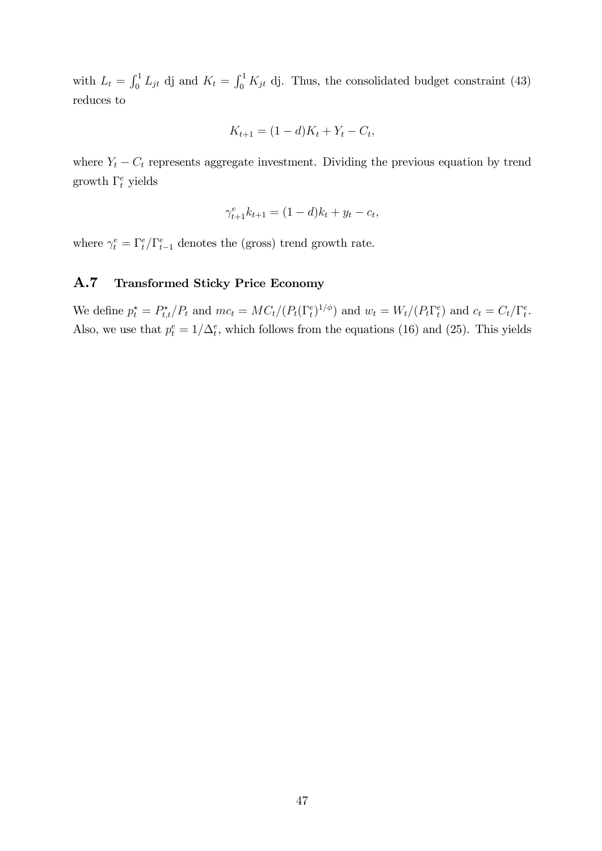with  $L_t = \int_0^1 L_{jt}$  dj and  $K_t = \int_0^1 K_{jt}$  dj. Thus, the consolidated budget constraint (43) reduces to

$$
K_{t+1} = (1 - d)K_t + Y_t - C_t,
$$

where  $Y_t - C_t$  represents aggregate investment. Dividing the previous equation by trend growth  $\Gamma_t^e$  yields

$$
\gamma_{t+1}^e k_{t+1} = (1-d)k_t + y_t - c_t,
$$

where  $\gamma_t^e = \Gamma_t^e / \Gamma_{t-1}^e$  denotes the (gross) trend growth rate.

#### A.7 Transformed Sticky Price Economy

We define  $p_t^* = P_{t,t}^*/P_t$  and  $mc_t = MC_t/(P_t(\Gamma_t^e)^{1/\phi})$  and  $w_t = W_t/(P_t\Gamma_t^e)$  and  $c_t = C_t/\Gamma_t^e$ . Also, we use that  $p_t^e = 1/\Delta_t^e$ , which follows from the equations (16) and (25). This yields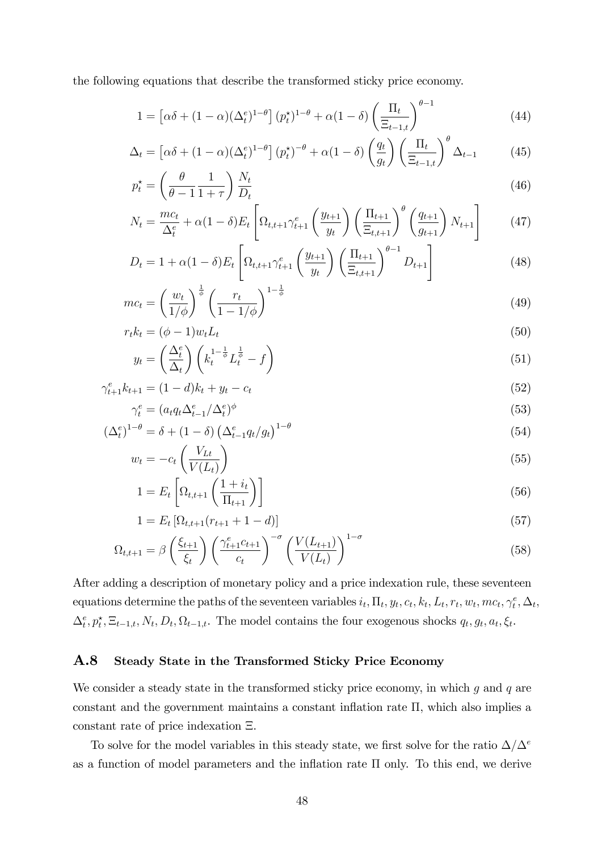the following equations that describe the transformed sticky price economy.

$$
1 = \left[\alpha\delta + (1-\alpha)(\Delta_t^e)^{1-\theta}\right](p_t^{\star})^{1-\theta} + \alpha(1-\delta)\left(\frac{\Pi_t}{\Xi_{t-1,t}}\right)^{\theta-1}
$$
(44)

$$
\Delta_t = \left[ \alpha \delta + (1 - \alpha) (\Delta_t^e)^{1 - \theta} \right] (p_t^{\star})^{-\theta} + \alpha (1 - \delta) \left( \frac{q_t}{g_t} \right) \left( \frac{\Pi_t}{\Xi_{t-1,t}} \right)^{\theta} \Delta_{t-1}
$$
(45)

$$
p_t^* = \left(\frac{\theta}{\theta - 1} \frac{1}{1 + \tau}\right) \frac{N_t}{D_t} \tag{46}
$$

$$
N_{t} = \frac{mc_{t}}{\Delta_{t}^{e}} + \alpha(1-\delta)E_{t} \left[ \Omega_{t,t+1} \gamma_{t+1}^{e} \left( \frac{y_{t+1}}{y_{t}} \right) \left( \frac{\Pi_{t+1}}{\Xi_{t,t+1}} \right)^{\theta} \left( \frac{q_{t+1}}{g_{t+1}} \right) N_{t+1} \right]
$$
(47)

$$
D_{t} = 1 + \alpha (1 - \delta) E_{t} \left[ \Omega_{t,t+1} \gamma_{t+1}^{e} \left( \frac{y_{t+1}}{y_{t}} \right) \left( \frac{\Pi_{t+1}}{\Xi_{t,t+1}} \right)^{\theta - 1} D_{t+1} \right]
$$
(48)

$$
mc_t = \left(\frac{w_t}{1/\phi}\right)^{\frac{1}{\phi}} \left(\frac{r_t}{1 - 1/\phi}\right)^{1 - \frac{1}{\phi}}
$$
\n
$$
(49)
$$

$$
r_t k_t = (\phi - 1) w_t L_t
$$
  

$$
\left(\Delta_t^e\right) \left(\begin{array}{cc} 1 - \frac{1}{\phi} & \frac{1}{\phi} \\ 0 & 0 \end{array}\right)
$$
 (50)

$$
y_t = \left(\frac{\Delta_t^e}{\Delta_t}\right) \left(k_t^{1-\frac{1}{\phi}} L_t^{\frac{1}{\phi}} - f\right) \tag{51}
$$

$$
\gamma_{t+1}^e k_{t+1} = (1-d)k_t + y_t - c_t \tag{52}
$$

$$
\gamma_t^e = (a_t q_t \Delta_{t-1}^e / \Delta_t^e)^{\phi} \tag{53}
$$

$$
\left(\Delta_t^e\right)^{1-\theta} = \delta + (1-\delta) \left(\Delta_{t-1}^e q_t / g_t\right)^{1-\theta} \tag{54}
$$

$$
w_t = -c_t \left(\frac{V_{LL}}{V(L_t)}\right) \tag{55}
$$

$$
1 = E_t \left[ \Omega_{t,t+1} \left( \frac{1 + i_t}{\Pi_{t+1}} \right) \right]
$$
\n
$$
(56)
$$

$$
1 = E_t \left[ \Omega_{t,t+1}(r_{t+1} + 1 - d) \right]
$$
\n<sup>(57)</sup>

$$
\Omega_{t,t+1} = \beta \left(\frac{\xi_{t+1}}{\xi_t}\right) \left(\frac{\gamma_{t+1}^e c_{t+1}}{c_t}\right)^{-\sigma} \left(\frac{V(L_{t+1})}{V(L_t)}\right)^{1-\sigma} \tag{58}
$$

After adding a description of monetary policy and a price indexation rule, these seventeen equations determine the paths of the seventeen variables  $i_t$ ,  $\Pi_t$ ,  $y_t$ ,  $c_t$ ,  $k_t$ ,  $L_t$ ,  $r_t$ ,  $w_t$ ,  $mc_t$ ,  $\gamma_t^e$ ,  $\Delta_t$ ,  $\Delta_t^e, p_t^*, \Xi_{t-1,t}, N_t, D_t, \Omega_{t-1,t}.$  The model contains the four exogenous shocks  $q_t, q_t, a_t, \xi_t$ .

#### A.8 Steady State in the Transformed Sticky Price Economy

We consider a steady state in the transformed sticky price economy, in which  $g$  and  $q$  are constant and the government maintains a constant inflation rate  $\Pi$ , which also implies a constant rate of price indexation  $\Xi$ .

To solve for the model variables in this steady state, we first solve for the ratio  $\Delta/\Delta^e$ as a function of model parameters and the inflation rate  $\Pi$  only. To this end, we derive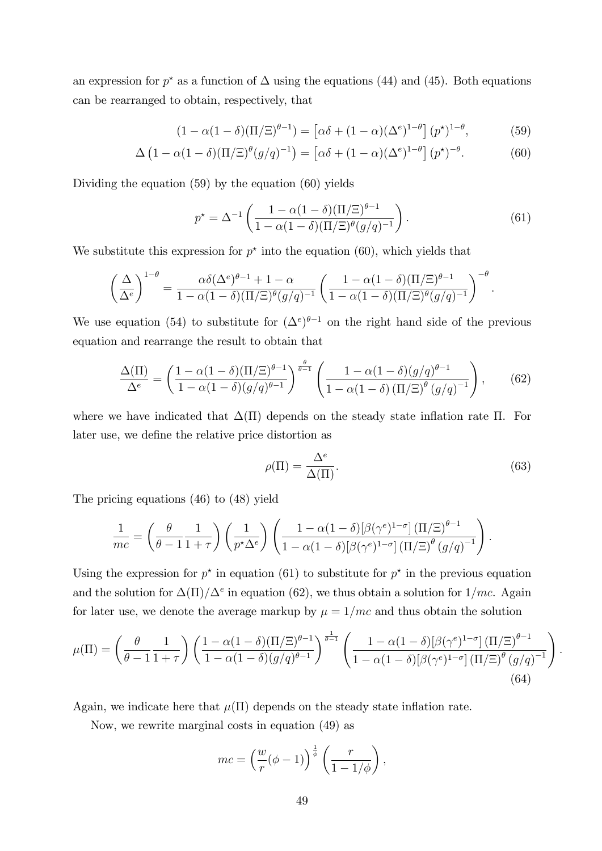an expression for  $p^*$  as a function of  $\Delta$  using the equations (44) and (45). Both equations can be rearranged to obtain, respectively, that

$$
(1 - \alpha(1 - \delta)(\Pi/\Xi)^{\theta - 1}) = \left[\alpha\delta + (1 - \alpha)(\Delta^e)^{1 - \theta}\right](p^{\star})^{1 - \theta},\tag{59}
$$

$$
\Delta \left(1 - \alpha (1 - \delta)(\Pi/\Xi)^{\theta} (g/q)^{-1}\right) = \left[\alpha \delta + (1 - \alpha)(\Delta^e)^{1-\theta}\right] (p^{\star})^{-\theta}.
$$
 (60)

Dividing the equation (59) by the equation (60) yields

$$
p^* = \Delta^{-1} \left( \frac{1 - \alpha (1 - \delta) (\Pi / \Xi)^{\theta - 1}}{1 - \alpha (1 - \delta) (\Pi / \Xi)^{\theta} (g/q)^{-1}} \right).
$$
(61)

We substitute this expression for  $p^*$  into the equation (60), which yields that

$$
\left(\frac{\Delta}{\Delta^e}\right)^{1-\theta} = \frac{\alpha \delta(\Delta^e)^{\theta-1} + 1 - \alpha}{1 - \alpha(1-\delta)(\Pi/\Xi)^{\theta}(g/q)^{-1}} \left(\frac{1 - \alpha(1-\delta)(\Pi/\Xi)^{\theta-1}}{1 - \alpha(1-\delta)(\Pi/\Xi)^{\theta}(g/q)^{-1}}\right)^{-\theta}.
$$

We use equation (54) to substitute for  $({\Delta}^e)^{\theta-1}$  on the right hand side of the previous equation and rearrange the result to obtain that

$$
\frac{\Delta(\Pi)}{\Delta^e} = \left(\frac{1-\alpha(1-\delta)(\Pi/\Xi)^{\theta-1}}{1-\alpha(1-\delta)(g/q)^{\theta-1}}\right)^{\frac{\theta}{\theta-1}} \left(\frac{1-\alpha(1-\delta)(g/q)^{\theta-1}}{1-\alpha(1-\delta)(\Pi/\Xi)^{\theta}(g/q)^{-1}}\right),\tag{62}
$$

where we have indicated that  $\Delta(\Pi)$  depends on the steady state inflation rate  $\Pi$ . For later use, we define the relative price distortion as

$$
\rho(\Pi) = \frac{\Delta^e}{\Delta(\Pi)}.\tag{63}
$$

The pricing equations (46) to (48) yield

$$
\frac{1}{mc} = \left(\frac{\theta}{\theta - 1} \frac{1}{1 + \tau}\right) \left(\frac{1}{p^{\star} \Delta^e}\right) \left(\frac{1 - \alpha (1 - \delta) [\beta (\gamma^e)^{1 - \sigma}] (\Pi/\Xi)^{\theta - 1}}{1 - \alpha (1 - \delta) [\beta (\gamma^e)^{1 - \sigma}] (\Pi/\Xi)^{\theta} (g/q)^{-1}}\right).
$$

Using the expression for  $p^*$  in equation (61) to substitute for  $p^*$  in the previous equation and the solution for  $\Delta(\Pi)/\Delta^e$  in equation (62), we thus obtain a solution for  $1/mc$ . Again for later use, we denote the average markup by  $\mu = 1/mc$  and thus obtain the solution

$$
\mu(\Pi) = \left(\frac{\theta}{\theta - 1} \frac{1}{1 + \tau}\right) \left(\frac{1 - \alpha(1 - \delta)(\Pi/\Xi)^{\theta - 1}}{1 - \alpha(1 - \delta)(g/q)^{\theta - 1}}\right)^{\frac{1}{\theta - 1}} \left(\frac{1 - \alpha(1 - \delta)[\beta(\gamma^e)^{1 - \sigma}](\Pi/\Xi)^{\theta - 1}}{1 - \alpha(1 - \delta)[\beta(\gamma^e)^{1 - \sigma}](\Pi/\Xi)^{\theta}(g/q)^{-1}}\right).
$$
\n(64)

Again, we indicate here that  $\mu(\Pi)$  depends on the steady state inflation rate.

Now, we rewrite marginal costs in equation (49) as

$$
mc = \left(\frac{w}{r}(\phi - 1)\right)^{\frac{1}{\phi}} \left(\frac{r}{1 - 1/\phi}\right),\,
$$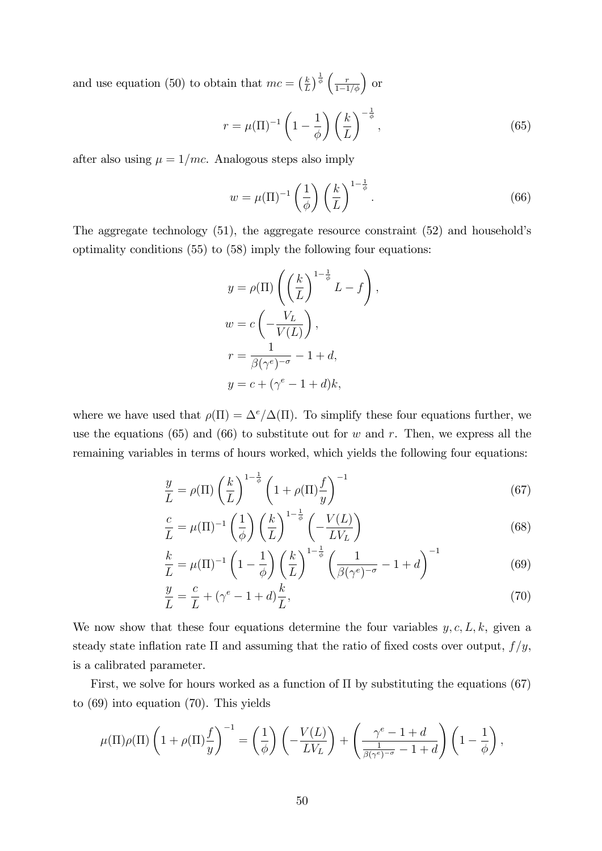and use equation (50) to obtain that  $mc = \left(\frac{k}{l}\right)$  $\frac{k}{L}$ )  $\frac{1}{\phi}$   $\left(\frac{r}{1-1/\phi}\right)$  or

$$
r = \mu(\Pi)^{-1} \left(1 - \frac{1}{\phi}\right) \left(\frac{k}{L}\right)^{-\frac{1}{\phi}},\tag{65}
$$

after also using  $\mu = 1/mc$ . Analogous steps also imply

$$
w = \mu(\Pi)^{-1} \left(\frac{1}{\phi}\right) \left(\frac{k}{L}\right)^{1-\frac{1}{\phi}}.\tag{66}
$$

The aggregate technology  $(51)$ , the aggregate resource constraint  $(52)$  and household's optimality conditions (55) to (58) imply the following four equations:

$$
y = \rho(\Pi) \left( \left( \frac{k}{L} \right)^{1 - \frac{1}{\phi}} L - f \right),
$$
  

$$
w = c \left( -\frac{V_L}{V(L)} \right),
$$
  

$$
r = \frac{1}{\beta(\gamma^e)^{-\sigma}} - 1 + d,
$$
  

$$
y = c + (\gamma^e - 1 + d)k,
$$

where we have used that  $\rho(\Pi) = \Delta^e/\Delta(\Pi)$ . To simplify these four equations further, we use the equations (65) and (66) to substitute out for w and r. Then, we express all the remaining variables in terms of hours worked, which yields the following four equations:

$$
\frac{y}{L} = \rho(\Pi) \left(\frac{k}{L}\right)^{1-\frac{1}{\phi}} \left(1 + \rho(\Pi)\frac{f}{y}\right)^{-1} \tag{67}
$$

$$
\frac{c}{L} = \mu(\Pi)^{-1} \left(\frac{1}{\phi}\right) \left(\frac{k}{L}\right)^{1-\frac{1}{\phi}} \left(-\frac{V(L)}{LV_L}\right)
$$
(68)

$$
\frac{k}{L} = \mu(\Pi)^{-1} \left(1 - \frac{1}{\phi}\right) \left(\frac{k}{L}\right)^{1 - \frac{1}{\phi}} \left(\frac{1}{\beta(\gamma^e)^{-\sigma}} - 1 + d\right)^{-1} \tag{69}
$$

$$
\frac{y}{L} = \frac{c}{L} + (\gamma^e - 1 + d)\frac{k}{L},\tag{70}
$$

We now show that these four equations determine the four variables  $y, c, L, k$ , given a steady state inflation rate  $\Pi$  and assuming that the ratio of fixed costs over output,  $f/y$ , is a calibrated parameter.

First, we solve for hours worked as a function of  $\Pi$  by substituting the equations (67) to (69) into equation (70). This yields

$$
\mu(\Pi)\rho(\Pi)\left(1+\rho(\Pi)\frac{f}{y}\right)^{-1}=\left(\frac{1}{\phi}\right)\left(-\frac{V(L)}{LV_L}\right)+\left(\frac{\gamma^e-1+d}{\frac{1}{\beta(\gamma^e)^{-\sigma}}-1+d}\right)\left(1-\frac{1}{\phi}\right),
$$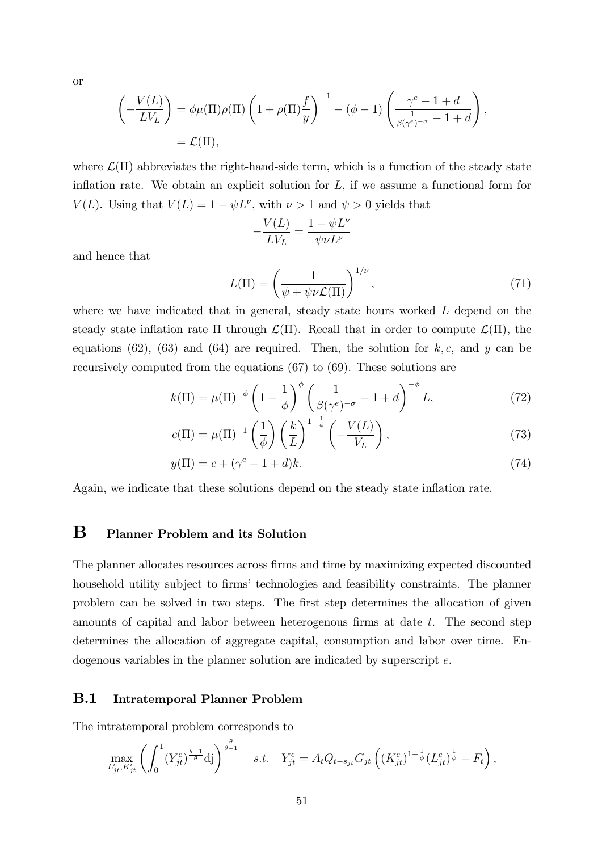or

$$
\left(-\frac{V(L)}{LV_L}\right) = \phi\mu(\Pi)\rho(\Pi)\left(1 + \rho(\Pi)\frac{f}{y}\right)^{-1} - (\phi - 1)\left(\frac{\gamma^e - 1 + d}{\frac{1}{\beta(\gamma^e)^{-\sigma}} - 1 + d}\right),
$$
  
=  $\mathcal{L}(\Pi),$ 

where  $\mathcal{L}(\Pi)$  abbreviates the right-hand-side term, which is a function of the steady state inflation rate. We obtain an explicit solution for  $L$ , if we assume a functional form for  $V(L)$ . Using that  $V(L) = 1 - \psi L^{\nu}$ , with  $\nu > 1$  and  $\psi > 0$  yields that

$$
-\frac{V(L)}{LV_L}=\frac{1-\psi L^{\nu}}{\psi \nu L^{\nu}}
$$

and hence that

$$
L(\Pi) = \left(\frac{1}{\psi + \psi \nu \mathcal{L}(\Pi)}\right)^{1/\nu},\tag{71}
$$

where we have indicated that in general, steady state hours worked L depend on the steady state inflation rate  $\Pi$  through  $\mathcal{L}(\Pi)$ . Recall that in order to compute  $\mathcal{L}(\Pi)$ , the equations (62), (63) and (64) are required. Then, the solution for  $k, c$ , and y can be recursively computed from the equations (67) to (69). These solutions are

$$
k(\Pi) = \mu(\Pi)^{-\phi} \left(1 - \frac{1}{\phi}\right)^{\phi} \left(\frac{1}{\beta(\gamma^e)^{-\sigma}} - 1 + d\right)^{-\phi} L,\tag{72}
$$

$$
c(\Pi) = \mu(\Pi)^{-1} \left(\frac{1}{\phi}\right) \left(\frac{k}{L}\right)^{1-\frac{1}{\phi}} \left(-\frac{V(L)}{V_L}\right),\tag{73}
$$

$$
y(\Pi) = c + (\gamma^e - 1 + d)k.
$$
 (74)

Again, we indicate that these solutions depend on the steady state inflation rate.

### B Planner Problem and its Solution

The planner allocates resources across Örms and time by maximizing expected discounted household utility subject to firms' technologies and feasibility constraints. The planner problem can be solved in two steps. The first step determines the allocation of given amounts of capital and labor between heterogenous firms at date  $t$ . The second step determines the allocation of aggregate capital, consumption and labor over time. Endogenous variables in the planner solution are indicated by superscript e.

#### B.1 Intratemporal Planner Problem

The intratemporal problem corresponds to

$$
\max_{L_{jt}^e, K_{jt}^e} \left( \int_0^1 (Y_{jt}^e)^{\frac{\theta - 1}{\theta}} \, \mathrm{d}j \right)^{\frac{\theta}{\theta - 1}} \quad s.t. \quad Y_{jt}^e = A_t Q_{t - s_{jt}} G_{jt} \left( (K_{jt}^e)^{1 - \frac{1}{\phi}} (L_{jt}^e)^{\frac{1}{\phi}} - F_t \right),
$$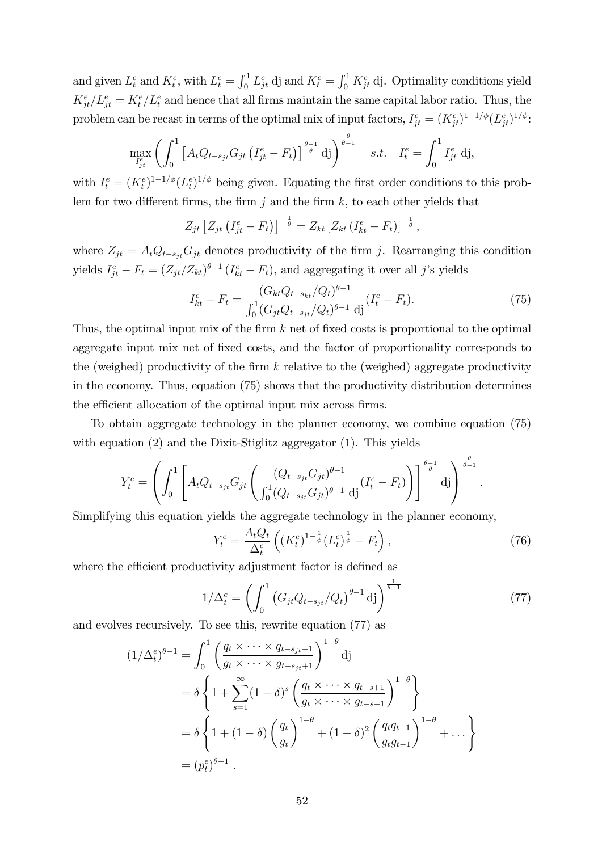and given  $L_t^e$  and  $K_t^e$ , with  $L_t^e = \int_0^1 L_{jt}^e$  dj and  $K_t^e = \int_0^1 K_{jt}^e$  dj. Optimality conditions yield  $K_{jt}^e/L_{jt}^e = K_t^e/L_t^e$  and hence that all firms maintain the same capital labor ratio. Thus, the problem can be recast in terms of the optimal mix of input factors,  $I_{jt}^e = (K_{jt}^e)^{1-1/\phi} (L_{jt}^e)^{1/\phi}$ :

$$
\max_{I_{jt}^e} \left( \int_0^1 \left[ A_t Q_{t-s_{jt}} G_{jt} \left( I_{jt}^e - F_t \right) \right]^{\frac{\theta-1}{\theta}} \mathrm{d}j \right)^{\frac{\theta}{\theta-1}} \quad s.t. \quad I_t^e = \int_0^1 I_{jt}^e \mathrm{d}j,
$$

with  $I_t^e = (K_t^e)^{1-1/\phi} (L_t^e)^{1/\phi}$  being given. Equating the first order conditions to this problem for two different firms, the firm j and the firm  $k$ , to each other yields that

$$
Z_{jt} \left[ Z_{jt} \left( I_{jt}^e - F_t \right) \right]^{-\frac{1}{\theta}} = Z_{kt} \left[ Z_{kt} \left( I_{kt}^e - F_t \right) \right]^{-\frac{1}{\theta}},
$$

where  $Z_{jt} = A_t Q_{t-s_{jt}} G_{jt}$  denotes productivity of the firm j. Rearranging this condition yields  $I_{jt}^e - F_t = (Z_{jt}/Z_{kt})^{\theta-1} (I_{kt}^e - F_t)$ , and aggregating it over all j's yields

$$
I_{kt}^e - F_t = \frac{(G_{kt}Q_{t-s_{kt}}/Q_t)^{\theta-1}}{\int_0^1 (G_{jt}Q_{t-s_{jt}}/Q_t)^{\theta-1} \, \mathrm{d}j} (I_t^e - F_t). \tag{75}
$$

Thus, the optimal input mix of the firm  $k$  net of fixed costs is proportional to the optimal aggregate input mix net of fixed costs, and the factor of proportionality corresponds to the (weighed) productivity of the firm  $k$  relative to the (weighed) aggregate productivity in the economy. Thus, equation (75) shows that the productivity distribution determines the efficient allocation of the optimal input mix across firms.

To obtain aggregate technology in the planner economy, we combine equation (75) with equation (2) and the Dixit-Stiglitz aggregator (1). This yields

$$
Y_t^e = \left( \int_0^1 \left[ A_t Q_{t-s_{jt}} G_{jt} \left( \frac{(Q_{t-s_{jt}} G_{jt})^{\theta-1}}{\int_0^1 (Q_{t-s_{jt}} G_{jt})^{\theta-1} \, \mathrm{d}j} (I_t^e - F_t) \right) \right]^\frac{\theta-1}{\theta} \, \mathrm{d}j \right)^{\frac{\theta}{\theta-1}}
$$

Simplifying this equation yields the aggregate technology in the planner economy,

$$
Y_t^e = \frac{A_t Q_t}{\Delta_t^e} \left( (K_t^e)^{1 - \frac{1}{\phi}} (L_t^e)^{\frac{1}{\phi}} - F_t \right),\tag{76}
$$

:

where the efficient productivity adjustment factor is defined as

$$
1/\Delta_t^e = \left(\int_0^1 \left(G_{jt} Q_{t-s_{jt}} / Q_t\right)^{\theta - 1} \mathrm{d}j\right)^{\frac{1}{\theta - 1}}\tag{77}
$$

and evolves recursively. To see this, rewrite equation (77) as

$$
(1/\Delta_t^e)^{\theta-1} = \int_0^1 \left(\frac{q_t \times \cdots \times q_{t-s_{jt}+1}}{g_t \times \cdots \times g_{t-s_{jt}+1}}\right)^{1-\theta} d\mathbf{j}
$$
  
=  $\delta \left\{1 + \sum_{s=1}^\infty (1-\delta)^s \left(\frac{q_t \times \cdots \times q_{t-s+1}}{g_t \times \cdots \times g_{t-s+1}}\right)^{1-\theta}\right\}$   
=  $\delta \left\{1 + (1-\delta) \left(\frac{q_t}{g_t}\right)^{1-\theta} + (1-\delta)^2 \left(\frac{q_t q_{t-1}}{g_t g_{t-1}}\right)^{1-\theta} + \cdots\right\}$   
=  $(p_t^e)^{\theta-1}$ .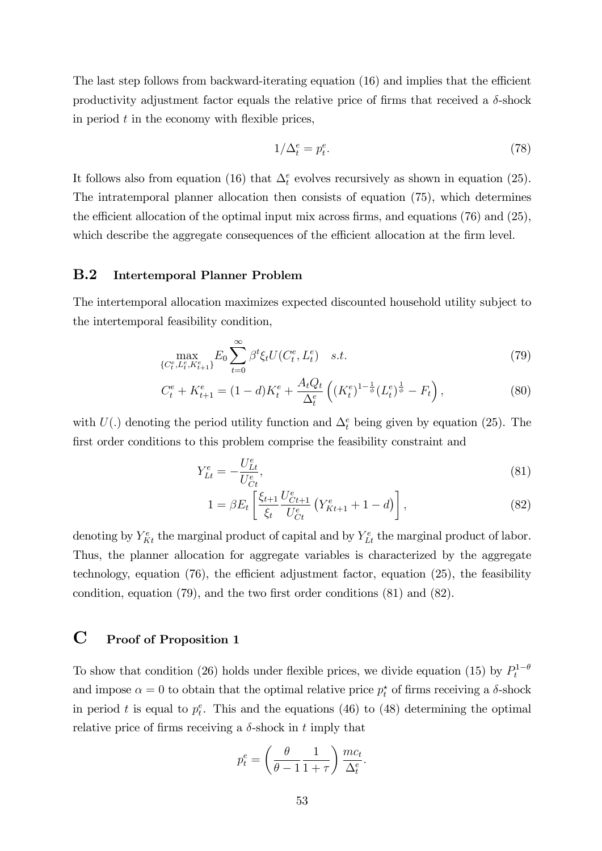The last step follows from backward-iterating equation  $(16)$  and implies that the efficient productivity adjustment factor equals the relative price of firms that received a  $\delta$ -shock in period  $t$  in the economy with flexible prices,

$$
1/\Delta_t^e = p_t^e. \tag{78}
$$

It follows also from equation (16) that  $\Delta_t^e$  evolves recursively as shown in equation (25). The intratemporal planner allocation then consists of equation (75), which determines the efficient allocation of the optimal input mix across firms, and equations  $(76)$  and  $(25)$ , which describe the aggregate consequences of the efficient allocation at the firm level.

#### B.2 Intertemporal Planner Problem

The intertemporal allocation maximizes expected discounted household utility subject to the intertemporal feasibility condition,

$$
\max_{\{C_t^e, L_t^e, K_{t+1}^e\}} E_0 \sum_{t=0}^{\infty} \beta^t \xi_t U(C_t^e, L_t^e) \quad s.t. \tag{79}
$$

$$
C_t^e + K_{t+1}^e = (1 - d)K_t^e + \frac{A_t Q_t}{\Delta_t^e} \left( (K_t^e)^{1 - \frac{1}{\phi}} (L_t^e)^{\frac{1}{\phi}} - F_t \right),\tag{80}
$$

with  $U(.)$  denoting the period utility function and  $\Delta_t^e$  being given by equation (25). The first order conditions to this problem comprise the feasibility constraint and

$$
Y_{Lt}^e = -\frac{U_{Lt}^e}{U_{Ct}^e},\tag{81}
$$

$$
1 = \beta E_t \left[ \frac{\xi_{t+1}}{\xi_t} \frac{U_{Ct+1}^e}{U_{Ct}^e} \left( Y_{Kt+1}^e + 1 - d \right) \right], \tag{82}
$$

denoting by  $Y_{Kt}^e$  the marginal product of capital and by  $Y_{Lt}^e$  the marginal product of labor. Thus, the planner allocation for aggregate variables is characterized by the aggregate technology, equation  $(76)$ , the efficient adjustment factor, equation  $(25)$ , the feasibility condition, equation  $(79)$ , and the two first order conditions  $(81)$  and  $(82)$ .

### C Proof of Proposition 1

To show that condition (26) holds under flexible prices, we divide equation (15) by  $P_t^{1-\theta}$ and impose  $\alpha = 0$  to obtain that the optimal relative price  $p_t^*$  of firms receiving a  $\delta$ -shock in period t is equal to  $p_t^e$ . This and the equations (46) to (48) determining the optimal relative price of firms receiving a  $\delta$ -shock in t imply that

$$
p_t^e = \left(\frac{\theta}{\theta - 1} \frac{1}{1 + \tau}\right) \frac{mc_t}{\Delta_t^e}.
$$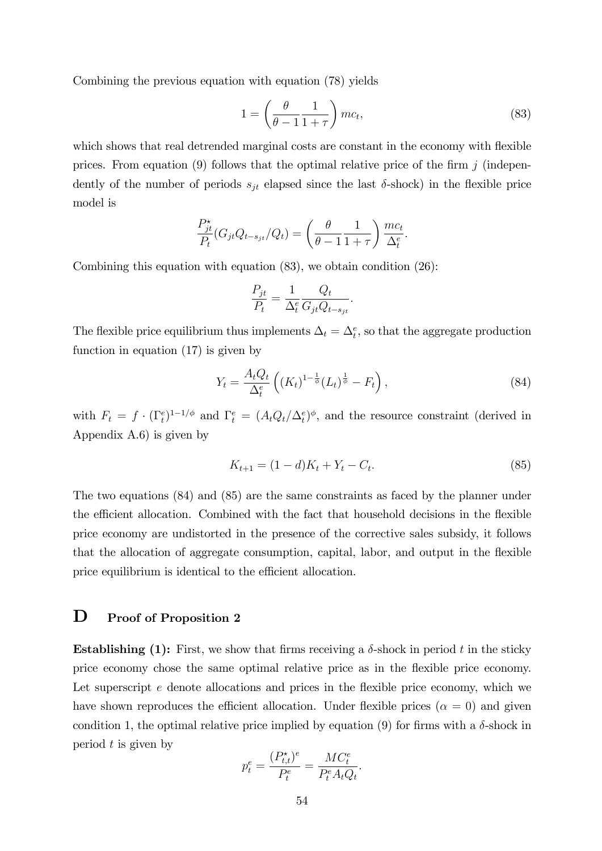Combining the previous equation with equation (78) yields

$$
1 = \left(\frac{\theta}{\theta - 1} \frac{1}{1 + \tau}\right)mc_t,
$$
\n(83)

which shows that real detrended marginal costs are constant in the economy with flexible prices. From equation (9) follows that the optimal relative price of the firm  $j$  (independently of the number of periods  $s_{jt}$  elapsed since the last  $\delta$ -shock) in the flexible price model is

$$
\frac{P_{jt}^{\star}}{P_t}(G_{jt}Q_{t-s_{jt}}/Q_t) = \left(\frac{\theta}{\theta - 1} \frac{1}{1+\tau}\right) \frac{mc_t}{\Delta_t^e}.
$$

Combining this equation with equation  $(83)$ , we obtain condition  $(26)$ :

$$
\frac{P_{jt}}{P_t} = \frac{1}{\Delta_t^e} \frac{Q_t}{G_{jt} Q_{t-s_{jt}}}.
$$

The flexible price equilibrium thus implements  $\Delta_t = \Delta_t^e$ , so that the aggregate production function in equation (17) is given by

$$
Y_t = \frac{A_t Q_t}{\Delta_t^e} \left( (K_t)^{1 - \frac{1}{\phi}} (L_t)^{\frac{1}{\phi}} - F_t \right), \tag{84}
$$

with  $F_t = f \cdot (\Gamma_t^e)^{1-1/\phi}$  and  $\Gamma_t^e = (A_t Q_t / \Delta_t^e)^{\phi}$ , and the resource constraint (derived in Appendix A.6) is given by

$$
K_{t+1} = (1 - d)K_t + Y_t - C_t.
$$
\n(85)

The two equations (84) and (85) are the same constraints as faced by the planner under the efficient allocation. Combined with the fact that household decisions in the flexible price economy are undistorted in the presence of the corrective sales subsidy, it follows that the allocation of aggregate consumption, capital, labor, and output in the flexible price equilibrium is identical to the efficient allocation.

### D Proof of Proposition 2

**Establishing (1):** First, we show that firms receiving a  $\delta$ -shock in period t in the sticky price economy chose the same optimal relative price as in the áexible price economy. Let superscript  $e$  denote allocations and prices in the flexible price economy, which we have shown reproduces the efficient allocation. Under flexible prices  $(\alpha = 0)$  and given condition 1, the optimal relative price implied by equation (9) for firms with a  $\delta$ -shock in period  $t$  is given by

$$
p_t^e = \frac{(P_{t,t}^{\star})^e}{P_t^e} = \frac{MC_t^e}{P_t^e A_t Q_t}.
$$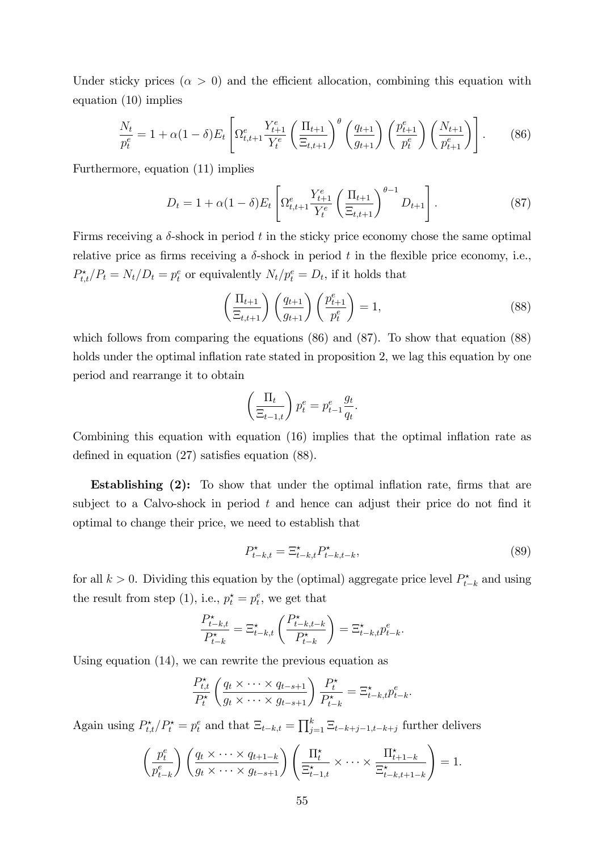Under sticky prices  $(\alpha > 0)$  and the efficient allocation, combining this equation with equation (10) implies

$$
\frac{N_t}{p_t^e} = 1 + \alpha (1 - \delta) E_t \left[ \Omega_{t,t+1}^e \frac{Y_{t+1}^e}{Y_t^e} \left( \frac{\Pi_{t+1}}{\Xi_{t,t+1}} \right)^{\theta} \left( \frac{q_{t+1}}{g_{t+1}} \right) \left( \frac{p_{t+1}^e}{p_t^e} \right) \left( \frac{N_{t+1}}{p_{t+1}^e} \right) \right].
$$
 (86)

Furthermore, equation (11) implies

$$
D_t = 1 + \alpha (1 - \delta) E_t \left[ \Omega_{t, t+1}^e \frac{Y_{t+1}^e}{Y_t^e} \left( \frac{\Pi_{t+1}}{\Xi_{t, t+1}} \right)^{\theta - 1} D_{t+1} \right]. \tag{87}
$$

Firms receiving a  $\delta$ -shock in period t in the sticky price economy chose the same optimal relative price as firms receiving a  $\delta$ -shock in period t in the flexible price economy, i.e.,  $P_{t,t}^{\star}/P_t = N_t/D_t = p_t^e$  or equivalently  $N_t/p_t^e = D_t$ , if it holds that

$$
\left(\frac{\Pi_{t+1}}{\Xi_{t,t+1}}\right)\left(\frac{q_{t+1}}{g_{t+1}}\right)\left(\frac{p_{t+1}^e}{p_t^e}\right) = 1,\tag{88}
$$

which follows from comparing the equations (86) and (87). To show that equation (88) holds under the optimal inflation rate stated in proposition 2, we lag this equation by one period and rearrange it to obtain

$$
\left(\frac{\Pi_t}{\Xi_{t-1,t}}\right) p_t^e = p_{t-1}^e \frac{g_t}{q_t}.
$$

Combining this equation with equation  $(16)$  implies that the optimal inflation rate as defined in equation  $(27)$  satisfies equation  $(88)$ .

Establishing  $(2)$ : To show that under the optimal inflation rate, firms that are subject to a Calvo-shock in period  $t$  and hence can adjust their price do not find it optimal to change their price, we need to establish that

$$
P_{t-k,t}^* = \Xi_{t-k,t}^* P_{t-k,t-k}^*,\tag{89}
$$

for all  $k > 0$ . Dividing this equation by the (optimal) aggregate price level  $P_{t-k}^*$  and using the result from step (1), i.e.,  $p_t^* = p_t^e$ , we get that

$$
\frac{P_{t-k,t}^{\star}}{P_{t-k}^{\star}} = \Xi_{t-k,t}^{\star} \left( \frac{P_{t-k,t-k}^{\star}}{P_{t-k}^{\star}} \right) = \Xi_{t-k,t}^{\star} p_{t-k}^e.
$$

Using equation (14), we can rewrite the previous equation as

$$
\frac{P_{t,t}^{\star}}{P_t^{\star}}\left(\frac{q_t \times \cdots \times q_{t-s+1}}{g_t \times \cdots \times g_{t-s+1}}\right) \frac{P_t^{\star}}{P_{t-k}^{\star}} = \Xi_{t-k,t}^{\star} p_{t-k}^e.
$$

Again using  $P_{t,t}^{\star}/P_t^{\star} = p_t^e$  and that  $\Xi_{t-k,t} = \prod_{j=1}^k \Xi_{t-k+j-1,t-k+j}$  further delivers

$$
\left(\frac{p_t^e}{p_{t-k}^e}\right)\left(\frac{q_t \times \cdots \times q_{t+1-k}}{g_t \times \cdots \times g_{t-s+1}}\right)\left(\frac{\Pi_t^*}{\Xi_{t-1,t}^*} \times \cdots \times \frac{\Pi_{t+1-k}^*}{\Xi_{t-k,t+1-k}^*}\right) = 1.
$$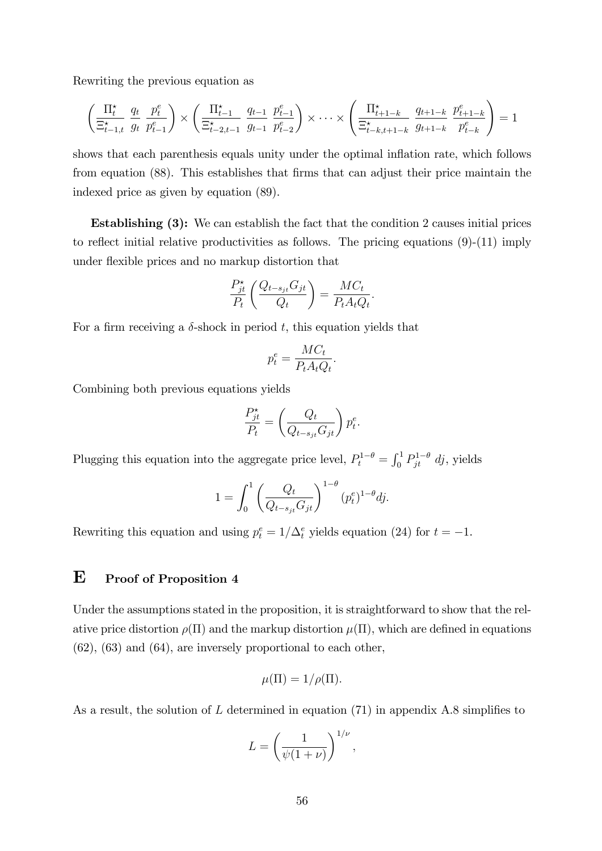Rewriting the previous equation as

$$
\left(\frac{\Pi_t^{\star}}{\Xi_{t-1,t}^{\star}} \frac{q_t}{g_t} \frac{p_t^e}{p_{t-1}^e}\right) \times \left(\frac{\Pi_{t-1}^{\star}}{\Xi_{t-2,t-1}^{\star}} \frac{q_{t-1}}{g_{t-1}} \frac{p_{t-1}^e}{p_{t-2}^e}\right) \times \cdots \times \left(\frac{\Pi_{t+1-k}^{\star}}{\Xi_{t-k,t+1-k}^{\star}} \frac{q_{t+1-k}}{g_{t+1-k}} \frac{p_{t+1-k}^e}{p_{t-k}^e}\right) = 1
$$

shows that each parenthesis equals unity under the optimal inflation rate, which follows from equation (88). This establishes that firms that can adjust their price maintain the indexed price as given by equation (89).

Establishing (3): We can establish the fact that the condition 2 causes initial prices to reflect initial relative productivities as follows. The pricing equations  $(9)-(11)$  imply under flexible prices and no markup distortion that

$$
\frac{P_{jt}^{\star}}{P_t} \left( \frac{Q_{t-s_{jt}} G_{jt}}{Q_t} \right) = \frac{M C_t}{P_t A_t Q_t}.
$$

For a firm receiving a  $\delta$ -shock in period t, this equation yields that

$$
p_t^e = \frac{MC_t}{P_t A_t Q_t}.
$$

Combining both previous equations yields

$$
\frac{P_{jt}^{\star}}{P_t} = \left(\frac{Q_t}{Q_{t-s_{jt}}G_{jt}}\right)p_t^e.
$$

Plugging this equation into the aggregate price level,  $P_t^{1-\theta} = \int_0^1 P_{jt}^{1-\theta} dj$ , yields

$$
1 = \int_0^1 \left( \frac{Q_t}{Q_{t-s_{jt}} G_{jt}} \right)^{1-\theta} (p_t^e)^{1-\theta} dj.
$$

Rewriting this equation and using  $p_t^e = 1/\Delta_t^e$  yields equation (24) for  $t = -1$ .

### E Proof of Proposition 4

Under the assumptions stated in the proposition, it is straightforward to show that the relative price distortion  $\rho(\Pi)$  and the markup distortion  $\mu(\Pi)$ , which are defined in equations (62), (63) and (64), are inversely proportional to each other,

$$
\mu(\Pi) = 1/\rho(\Pi).
$$

As a result, the solution of  $L$  determined in equation (71) in appendix A.8 simplifies to

$$
L = \left(\frac{1}{\psi(1+\nu)}\right)^{1/\nu},\,
$$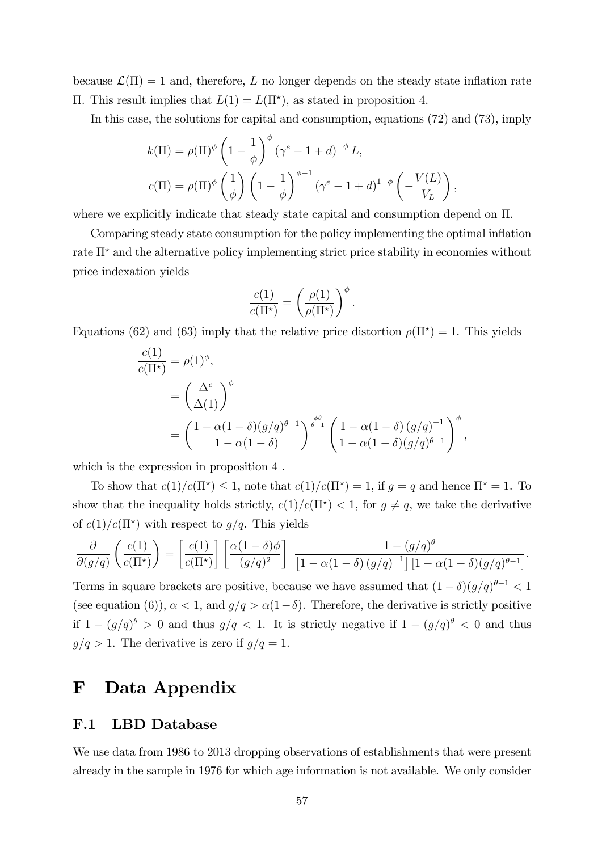because  $\mathcal{L}(\Pi) = 1$  and, therefore, L no longer depends on the steady state inflation rate  $\Pi$ . This result implies that  $L(1) = L(\Pi^*)$ , as stated in proposition 4.

In this case, the solutions for capital and consumption, equations (72) and (73), imply

$$
k(\Pi) = \rho(\Pi)^{\phi} \left(1 - \frac{1}{\phi}\right)^{\phi} \left(\gamma^{e} - 1 + d\right)^{-\phi} L,
$$
  

$$
c(\Pi) = \rho(\Pi)^{\phi} \left(\frac{1}{\phi}\right) \left(1 - \frac{1}{\phi}\right)^{\phi - 1} \left(\gamma^{e} - 1 + d\right)^{1 - \phi} \left(-\frac{V(L)}{V_L}\right),
$$

where we explicitly indicate that steady state capital and consumption depend on  $\Pi$ .

Comparing steady state consumption for the policy implementing the optimal inflation rate  $\Pi^*$  and the alternative policy implementing strict price stability in economies without price indexation yields

$$
\frac{c(1)}{c(\Pi^*)} = \left(\frac{\rho(1)}{\rho(\Pi^*)}\right)^{\phi}.
$$

Equations (62) and (63) imply that the relative price distortion  $\rho(\Pi^*) = 1$ . This yields

$$
\frac{c(1)}{c(\Pi^*)} = \rho(1)^{\phi},
$$
  
=  $\left(\frac{\Delta^e}{\Delta(1)}\right)^{\phi}$   
=  $\left(\frac{1 - \alpha(1 - \delta)(g/q)^{\theta - 1}}{1 - \alpha(1 - \delta)}\right)^{\frac{\phi \theta}{\theta - 1}} \left(\frac{1 - \alpha(1 - \delta)(g/q)^{-1}}{1 - \alpha(1 - \delta)(g/q)^{\theta - 1}}\right)^{\phi},$ 

which is the expression in proposition 4 .

To show that  $c(1)/c(\Pi^*) \leq 1$ , note that  $c(1)/c(\Pi^*) = 1$ , if  $g = q$  and hence  $\Pi^* = 1$ . To show that the inequality holds strictly,  $c(1)/c(\Pi^*) < 1$ , for  $g \neq q$ , we take the derivative of  $c(1)/c(\Pi^*)$  with respect to  $g/q$ . This yields

$$
\frac{\partial}{\partial(g/q)}\left(\frac{c(1)}{c(\Pi^*)}\right) = \left[\frac{c(1)}{c(\Pi^*)}\right] \left[\frac{\alpha(1-\delta)\phi}{(g/q)^2}\right] \frac{1-(g/q)^{\theta}}{\left[1-\alpha(1-\delta)(g/q)^{-1}\right] \left[1-\alpha(1-\delta)(g/q)^{\theta-1}\right]}.
$$

Terms in square brackets are positive, because we have assumed that  $(1 - \delta)(g/q)^{\theta - 1} < 1$ (see equation (6)),  $\alpha < 1$ , and  $g/q > \alpha(1-\delta)$ . Therefore, the derivative is strictly positive if  $1 - (g/q)^{\theta} > 0$  and thus  $g/q < 1$ . It is strictly negative if  $1 - (g/q)^{\theta} < 0$  and thus  $g/q>1$ . The derivative is zero if  $g/q=1$ .

## F Data Appendix

#### F.1 LBD Database

We use data from 1986 to 2013 dropping observations of establishments that were present already in the sample in 1976 for which age information is not available. We only consider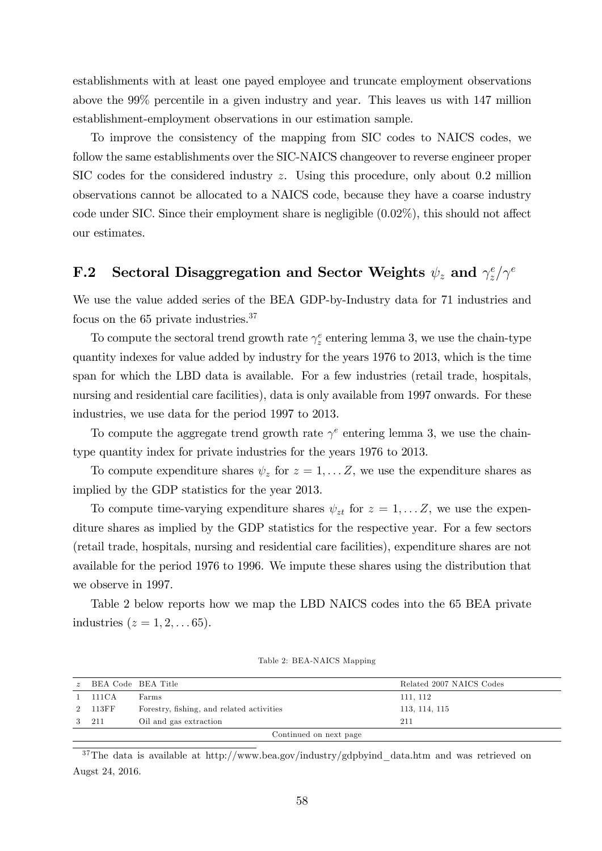establishments with at least one payed employee and truncate employment observations above the 99% percentile in a given industry and year. This leaves us with 147 million establishment-employment observations in our estimation sample.

To improve the consistency of the mapping from SIC codes to NAICS codes, we follow the same establishments over the SIC-NAICS changeover to reverse engineer proper SIC codes for the considered industry z. Using this procedure, only about 0.2 million observations cannot be allocated to a NAICS code, because they have a coarse industry code under SIC. Since their employment share is negligible  $(0.02\%)$ , this should not affect our estimates.

#### F.2 Sectoral Disaggregation and Sector Weights  $\psi_z$  and  $\gamma_z^e$  $\int_z^e/\gamma^e$

We use the value added series of the BEA GDP-by-Industry data for 71 industries and focus on the 65 private industries.<sup>37</sup>

To compute the sectoral trend growth rate  $\gamma_z^e$  entering lemma 3, we use the chain-type quantity indexes for value added by industry for the years 1976 to 2013, which is the time span for which the LBD data is available. For a few industries (retail trade, hospitals, nursing and residential care facilities), data is only available from 1997 onwards. For these industries, we use data for the period 1997 to 2013.

To compute the aggregate trend growth rate  $\gamma^e$  entering lemma 3, we use the chaintype quantity index for private industries for the years 1976 to 2013.

To compute expenditure shares  $\psi_z$  for  $z = 1, \dots Z$ , we use the expenditure shares as implied by the GDP statistics for the year 2013.

To compute time-varying expenditure shares  $\psi_{zt}$  for  $z = 1, \ldots Z$ , we use the expenditure shares as implied by the GDP statistics for the respective year. For a few sectors (retail trade, hospitals, nursing and residential care facilities), expenditure shares are not available for the period 1976 to 1996. We impute these shares using the distribution that we observe in 1997.

Table 2 below reports how we map the LBD NAICS codes into the 65 BEA private industries  $(z = 1, 2, \ldots 65)$ .

| $\tilde{z}$ | BEA Code BEA Title |                                           | Related 2007 NAICS Codes |
|-------------|--------------------|-------------------------------------------|--------------------------|
|             | $1-111CA$          | Farms                                     | 111, 112                 |
|             | 2 113FF            | Forestry, fishing, and related activities | 113, 114, 115            |
|             | 3 211              | Oil and gas extraction                    | 211                      |
|             |                    | Continued on next page                    |                          |

Table 2: BEA-NAICS Mapping

<sup>37</sup>The data is available at http://www.bea.gov/industry/gdpbyind\_data.htm and was retrieved on Augst 24, 2016.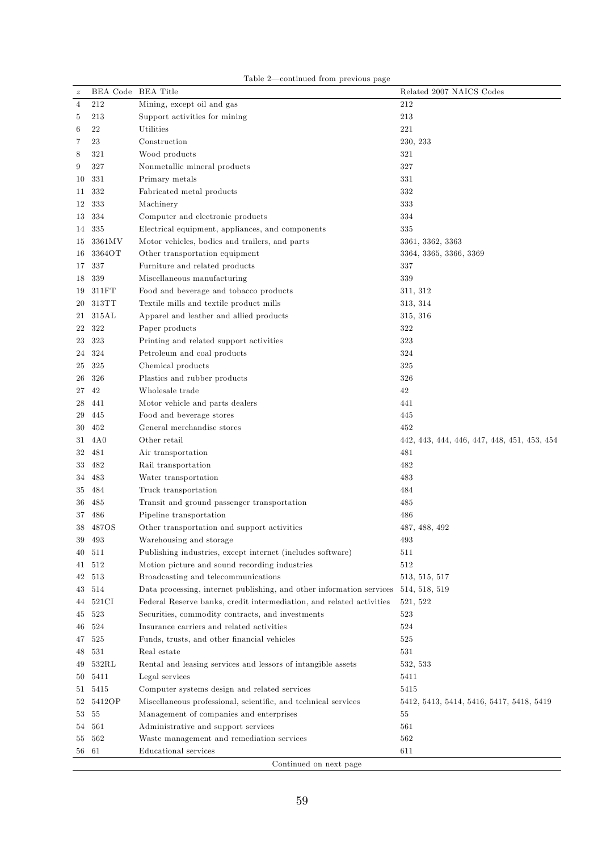|  | Table 2—continued from previous page |  |  |
|--|--------------------------------------|--|--|
|  |                                      |  |  |

| $\boldsymbol{z}$ | BEA Code BEA Title |                                                                      | Related 2007 NAICS Codes                    |
|------------------|--------------------|----------------------------------------------------------------------|---------------------------------------------|
| 4                | 212                | Mining, except oil and gas                                           | 212                                         |
| 5                | 213                | Support activities for mining                                        | 213                                         |
| 6                | 22                 | Utilities                                                            | 221                                         |
| 7                | 23                 | Construction                                                         | 230, 233                                    |
| 8                | 321                | Wood products                                                        | 321                                         |
| 9                | 327                | Nonmetallic mineral products                                         | 327                                         |
| 10               | 331                | Primary metals                                                       | 331                                         |
| 11               | 332                | Fabricated metal products                                            | 332                                         |
| 12               | 333                | Machinery                                                            | 333                                         |
| 13               | 334                | Computer and electronic products                                     | 334                                         |
| 14               | 335                | Electrical equipment, appliances, and components                     | 335                                         |
| 15               | 3361MV             | Motor vehicles, bodies and trailers, and parts                       | 3361, 3362, 3363                            |
| 16               | 3364OT             | Other transportation equipment                                       | 3364, 3365, 3366, 3369                      |
| 17               | 337                | Furniture and related products                                       | 337                                         |
| 18               | 339                | Miscellaneous manufacturing                                          | 339                                         |
| 19               | 311FT              | Food and beverage and tobacco products                               | 311, 312                                    |
| 20               | 313TT              | Textile mills and textile product mills                              | 313, 314                                    |
| 21               | 315AL              | Apparel and leather and allied products                              | 315, 316                                    |
| 22               | 322                | Paper products                                                       | 322                                         |
| 23               | 323                | Printing and related support activities                              | 323                                         |
| 24               | 324                | Petroleum and coal products                                          | 324                                         |
| 25               | 325                | Chemical products                                                    | $325\,$                                     |
| 26               | 326                | Plastics and rubber products                                         | 326                                         |
| 27               | 42                 | Wholesale trade                                                      | 42                                          |
| 28               | 441                | Motor vehicle and parts dealers                                      | 441                                         |
| 29               | 445                | Food and beverage stores                                             | 445                                         |
| 30               | 452                | General merchandise stores                                           | 452                                         |
| 31               | 4A0                | Other retail                                                         | 442, 443, 444, 446, 447, 448, 451, 453, 454 |
| 32               | 481                | Air transportation                                                   | 481                                         |
| 33               | 482                | Rail transportation                                                  | 482                                         |
| 34               | 483                | Water transportation                                                 | 483                                         |
| 35               | 484                | Truck transportation                                                 | 484                                         |
| 36               | 485                | Transit and ground passenger transportation                          | 485                                         |
| 37               | 486                | Pipeline transportation                                              | 486                                         |
|                  | 38 487OS           | Other transportation and support activities                          | 487, 488, 492                               |
| 39               | 493                | Warehousing and storage                                              | 493                                         |
| 40               | 511                | Publishing industries, except internet (includes software)           | 511                                         |
| 41               | 512                | Motion picture and sound recording industries                        | 512                                         |
| 42               | 513                | Broadcasting and telecommunications                                  | 513, 515, 517                               |
| 43               | 514                | Data processing, internet publishing, and other information services | 514, 518, 519                               |
| 44               | 521CI              | Federal Reserve banks, credit intermediation, and related activities | 521, 522                                    |
| 45               | 523                | Securities, commodity contracts, and investments                     | 523                                         |
| 46               | 524                | Insurance carriers and related activities                            | 524                                         |
| 47               | 525                | Funds, trusts, and other financial vehicles                          | 525                                         |
| 48               | 531                | Real estate                                                          | 531                                         |
| 49               | $532\mathrm{RL}$   | Rental and leasing services and lessors of intangible assets         | 532, 533                                    |
| 50               | 5411               | Legal services                                                       | 5411                                        |
| 51               | 5415               | Computer systems design and related services                         | 5415                                        |
| 52               | 5412OP             | Miscellaneous professional, scientific, and technical services       | 5412, 5413, 5414, 5416, 5417, 5418, 5419    |
| 53               | 55                 | Management of companies and enterprises                              | 55                                          |
| 54               | 561                | Administrative and support services                                  | 561                                         |
| 55               | 562                | Waste management and remediation services                            | 562                                         |
| 56               | -61                | Educational services                                                 | 611                                         |
|                  |                    | Continued on next page                                               |                                             |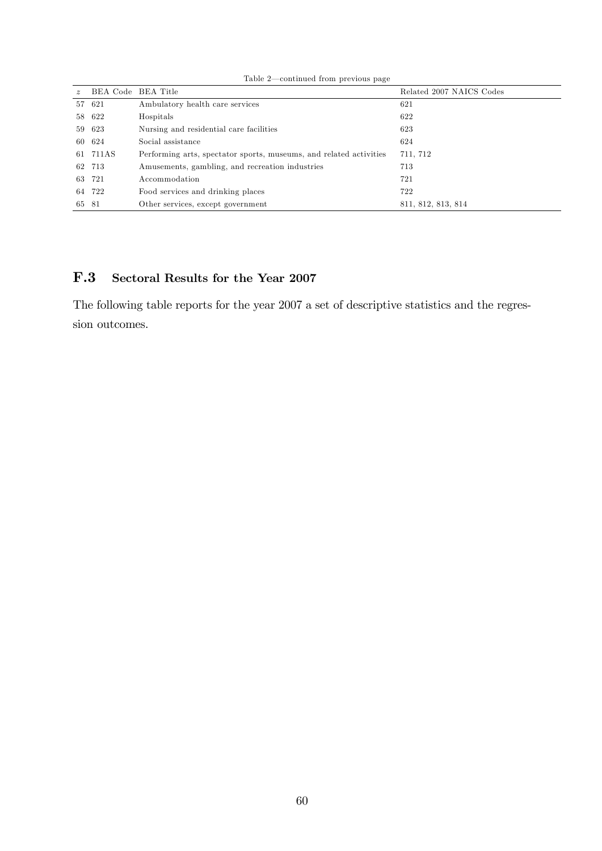|             |                    | <u>comentative</u> moment procedure page                           |                          |
|-------------|--------------------|--------------------------------------------------------------------|--------------------------|
| $\tilde{z}$ | BEA Code BEA Title |                                                                    | Related 2007 NAICS Codes |
|             | 57 621             | Ambulatory health care services                                    | 621                      |
|             | 58 622             | Hospitals                                                          | 622                      |
|             | 59 623             | Nursing and residential care facilities                            | 623                      |
|             | 60 624             | Social assistance                                                  | 624                      |
|             | 61 711AS           | Performing arts, spectator sports, museums, and related activities | 711, 712                 |
|             | 62 713             | Amusements, gambling, and recreation industries                    | 713                      |
|             | 63 721             | Accommodation                                                      | 721                      |
|             | 64 722             | Food services and drinking places                                  | 722                      |
| 65          | - 81               | Other services, except government                                  | 811, 812, 813, 814       |

Table  $2$ —continued from previous page

## F.3 Sectoral Results for the Year 2007

The following table reports for the year 2007 a set of descriptive statistics and the regression outcomes.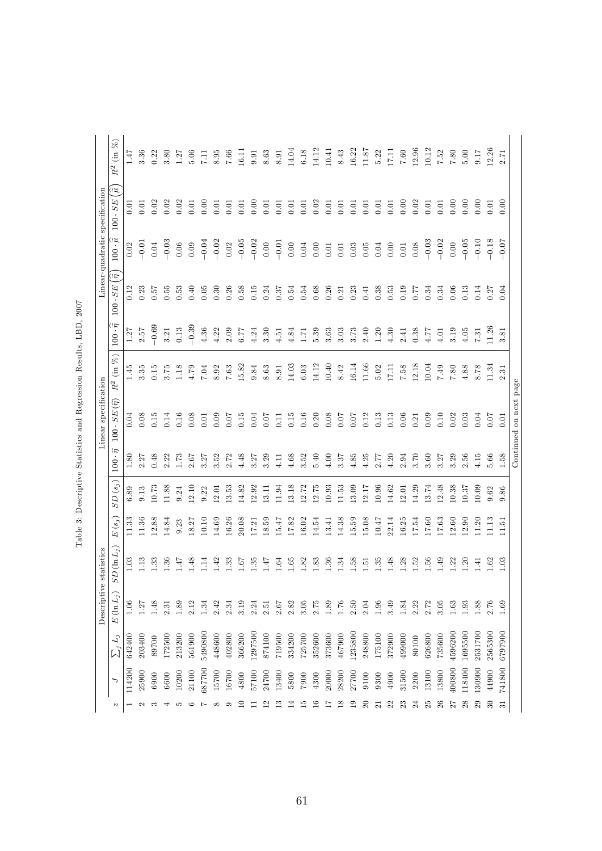|                                          |          |              | Descriptive             | statistics                  |                        |           |                        | Linear specification                        |                 |                           |                             |                             | Linear-quadratic specification |                               |
|------------------------------------------|----------|--------------|-------------------------|-----------------------------|------------------------|-----------|------------------------|---------------------------------------------|-----------------|---------------------------|-----------------------------|-----------------------------|--------------------------------|-------------------------------|
| Ŋ                                        |          | $\sum_j L_j$ | $E\left(\ln L_j\right)$ | $SD\left( \ln L_{j}\right)$ | $E\left( s_{j}\right)$ | $SD(s_j)$ | $100 \cdot \hat{\eta}$ | $\widehat{(\widehat{r})}$<br>$100 \cdot SE$ | $R^2$ (in $%$ ) | $100 \cdot \widetilde{n}$ | $\approx$<br>$100 \cdot SE$ | $100 \cdot \widetilde{\mu}$ | ભેત્ર<br>$100 \cdot SE$        | $\widehat{\%}$<br>$R^2$ (in ) |
|                                          | 114200   | 642400       | 1.06                    | 1.03                        | 11.33                  | 6.89      | 1.80                   | 0.04                                        | 1.45            | 1.27                      | 0.12                        | 0.02                        | 0.01                           | 1.47                          |
| $\mathbf{C}$                             | 25900    | 203400       | 1.27                    | 1.13                        | 11.36                  | 9.13      | 2.27                   | 0.08                                        | 3.35            | 2.57                      | 0.23                        | $-0.01$                     | 0.01                           | 3.36                          |
| S                                        | 6900     | 89700        | 1.48                    | 1.33                        | 12.88                  | 10.73     | 0.48                   | 0.15                                        | 0.15            | $-0.69$                   | 0.57                        | 0.04                        | 0.02                           | 0.22                          |
|                                          | 6600     | 172500       | 2.31                    | 1.36                        | 14.84                  | 11.88     | 2.22                   | 0.14                                        | 3.75            | 3.21                      | 0.55                        | $-0.03$                     | 0.02                           | 3.80                          |
| r.                                       | 10200    | 213200       | 1.89                    | 1.47                        | 9.23                   | 9.24      | 1.73                   | 0.16                                        | 1.18            | 0.13                      | 0.53                        | $0.06\,$                    | 0.02                           | 1.27                          |
| ం                                        | 21100    | 561900       | 2.12                    | 1.48                        | 8.27                   | 12.10     | 2.67                   | 0.08                                        | 4.79            | $-0.39$                   | 0.40                        | 0.09                        | 0.01                           | 5.06                          |
| $\overline{ }$                           | 687700   | 5490800      | 1.34                    | 1.14                        | 10.10                  | 9.22      | 3.27                   | 0.01                                        | 7.04            | 4.36                      | 0.05                        | $-0.04$                     | 0.00                           | 7.11                          |
| $^{\circ}$                               | 15700    | 448600       | 2.42                    | 1.42                        | 14.69                  | 12.01     | 3.52                   | 0.09                                        | 8.92            | 4.22                      | 0.30                        | $-0.02$                     | 0.01                           | 8.95                          |
| $\circ$                                  | 16700    | 402800       | 2.34                    | 1.33                        | 16.26                  | 13.53     | 2.72                   | 0.07                                        | 7.63            | 2.09                      | 0.26                        | 0.02                        | 0.01                           | 7.66                          |
| $\Xi$                                    | 4800     | 366200       | 3.19                    | 1.67                        | 20.08                  | 14.82     | 4.48                   | 0.15                                        | 15.82           | 6.77                      | 0.58                        | $-0.05$                     | 0.01                           | 16.11                         |
|                                          | 57100    | 1297500      | 2.24                    | 1.35                        | 17.21                  | 12.92     | 3.27                   | 0.04                                        | 9.84            | 4.24                      | 0.15                        | $-0.02$                     | 0.00                           | 0.91                          |
| ≌                                        | 24700    | 874100       | 2.51                    | 1.47                        | 18.59                  | 13.11     | 3.29                   | 0.07                                        | 8.63            | 3.30                      | 0.24                        | $0.00$                      | 0.01                           | 8.63                          |
| $\frac{3}{2}$                            | 13400    | 719500       | 2.67                    | 1.64                        | 15.47                  | 11.94     | 4.11                   | 0.11                                        | 8.91            | 4.51                      | 0.37                        | $-0.01$                     | 0.01                           | 8.91                          |
| $\vec{1}$                                | 5800     | 334200       | 2.82                    | 1.65                        | 17.82                  | 13.18     | 4.68                   | 0.15                                        | 14.03           | 4.84                      | 0.54                        | $0.00\,$                    | 0.01                           | 14.04                         |
| $\frac{5}{1}$                            | $7900\,$ | 725700       | 3.05                    | 1.82                        | 16.02                  | 12.72     | 3.52                   | 0.16                                        | 6.03            | 1.71                      | 0.54                        | $0.04\,$                    | 0.01                           | $6.18\,$                      |
| $\stackrel{\circ}{\scriptstyle \square}$ | 4300     | 352600       | $2.75\,$                | 1.83                        | 14.54                  | 12.75     | 5.40                   | 0.20                                        | 14.12           | 5.39                      | 0.68                        | 0.00                        | 0.02                           | 14.12                         |
| H                                        | 20000    | 373600       | 1.89                    | 1.36                        | 13.41                  | 10.93     | 4.00                   | 0.08                                        | 10.40           | 3.63                      | 0.26                        | 0.01                        | 0.01                           | 10.41                         |
| $\frac{8}{18}$                           | 28200    | 467900       | 1.76                    | 1.34                        | 14.38                  | 11.53     | 3.37                   | 0.07                                        | 8.42            | 3.03                      | 0.21                        | 0.01                        | 0.01                           | 8.43                          |
| $\frac{1}{2}$                            | 27700    | 1235800      | 2.50                    | 1.58                        | 15.59                  | 13.09     | 4.85                   | 0.07                                        | 16.14           | 3.73                      | 0.23                        | 0.03                        | 0.01                           | 16.22                         |
| $\approx$                                | 9100     | 248800       | 2.04                    | 1.51                        | 15.08                  | 12.17     | 4.25                   | 0.12                                        | 11.66           | 2.40                      | 0.41                        | $0.05\,$                    | 0.01                           | 11.87                         |
| 51                                       | 9300     | 175100       | 1.96                    | 1.35                        | $10.47\,$              | 10.96     | 2.77                   | 0.13                                        | 5.02            | 1.20                      | 0.38                        | 0.04                        | 0.01                           | 5.22                          |
| 22                                       | 4900     | 372900       | 3.49                    | 1.48                        | 22.14                  | 14.62     | 4.20                   | 0.13                                        | 17.11           | 4.30                      | 0.53                        | $0.00\,$                    | 0.01                           | 17.11                         |
| 23                                       | 31500    | 499000       | 1.84                    | 1.28                        | 16.25                  | 12.01     | 2.94                   | 0.06                                        | 7.58            | 2.41                      | 0.19                        | $0.01\,$                    | 0.00                           | $7.60\,$                      |
| $^{24}$                                  | 2200     | 80100        | 2.22                    | 1.52                        | 17.54                  | 14.29     | 3.70                   | 0.21                                        | 12.18           | 0.38                      | 0.77                        | $0.08\,$                    | 0.02                           | 12.96                         |
| 25                                       | 13100    | 626800       | 2.72                    | $1.56\,$                    | $17.60\,$              | 13.74     | 3.60                   | 0.09                                        | 10.04           | 4.77                      | 0.34                        | $-0.03$                     | 0.01                           | 10.12                         |
| 26                                       | 13800    | 735600       | 3.05                    | 1.49                        | 17.63                  | 12.48     | 3.27                   | 0.10                                        | 7.49            | 4.01                      | 0.34                        | $-0.02$                     | 0.01                           | 7.52                          |
| 27                                       | 400800   | 4596200      | 1.63                    | 1.22                        | 12.60                  | 10.38     | 3.29                   | 0.02                                        | $7.80\,$        | 3.19                      | 0.06                        | $0.00$                      | 0.00                           | $7.80\,$                      |
| 28                                       | 118400   | 1695500      | 1.93                    | 1.20                        | 12.90                  | 10.37     | 2.56                   | 0.03                                        | 4.88            | 4.05                      | 0.13                        | $-0.05$                     | 0.00                           | 5.00                          |
| 29                                       | 130900   | 2531700      | 1.88                    | 1.41                        | 11.20                  | 10.09     | 4.15                   | 0.04                                        | 8.78            | 7.31                      | 0.14                        | $-0.10$                     | 0.00                           | 9.17                          |
| $\overline{30}$                          | 44900    | 2565300      | 2.76                    | 1.62                        | 11.13                  | 9.62      | 5.66                   | 10.07                                       | 11.34           | 11.26                     | 0.27                        | $-0.18$                     | 0.01                           | 12.26                         |
| 55                                       | 741800   | 6797900      | 1.69                    | 1.03                        | 11.51                  | 9.86      | 1.58                   | 0.01                                        | 2.31            | 3.81                      | 0.04                        | $-0.07$                     | 0.00                           | 2.71                          |
|                                          |          |              |                         |                             |                        |           |                        | Continued on next page                      |                 |                           |                             |                             |                                |                               |

| I<br>ı<br>ł              |
|--------------------------|
| í<br>l                   |
| I<br>ׇ֚֬<br>I            |
| ļ<br>ׇ֚֘                 |
| $\overline{\phantom{a}}$ |
| Ï<br>I                   |
| ł<br>I                   |
| l<br>I<br>ׇ֚֘֡           |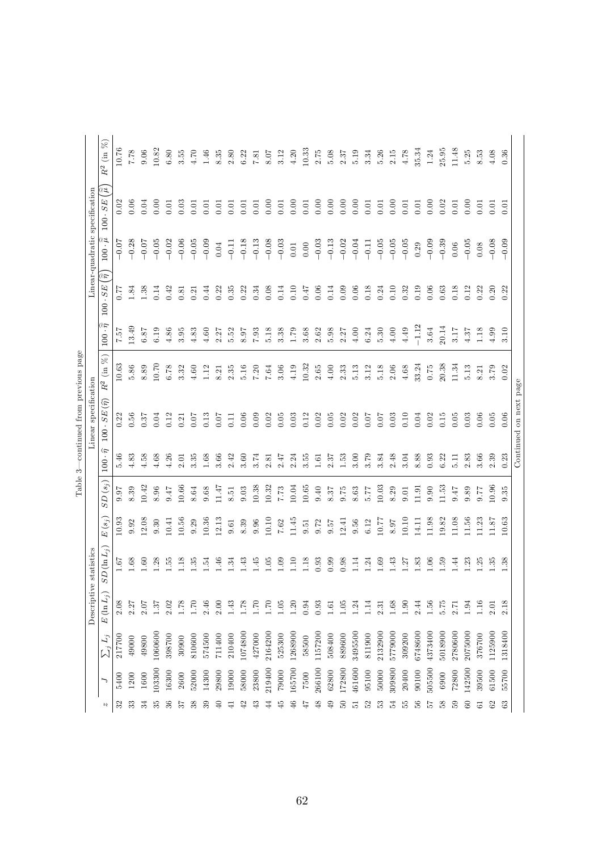|               |        |              | Descriptive      | statistics    |          |           |                         | Linear specification                        |                |                                  |                             |                             | Linear-quadratic specification              |                |
|---------------|--------|--------------|------------------|---------------|----------|-----------|-------------------------|---------------------------------------------|----------------|----------------------------------|-----------------------------|-----------------------------|---------------------------------------------|----------------|
| N             |        | $\sum_j L_j$ | $E(\ln L_i)$     | $SD(\ln L_j)$ | $E(s_j)$ | $SD(s_j)$ | $\hat{\tau}$<br>$100\,$ | $\widehat{(\widehat{r})}$<br>$100 \cdot SE$ | $R^2$ (in $\%$ | $100 \cdot \tilde{\tilde{\eta}}$ | $\approx$<br>$100 \cdot SE$ | $100 \cdot \widetilde{\mu}$ | $\widehat{\widetilde{u}}$<br>$100 \cdot SE$ | $R^2$ (in $\%$ |
| 32            | 5400   | 217700       | 2.08             | 1.67          | 10.93    | 9.97      | 5.46                    | 0.22                                        | 10.63          | 7.57                             | 77                          | $-0.07$                     | 0.02                                        | 10.76          |
| ೫             | 1200   | 49000        | 2.27             | 1.68          | 9.92     | 8.39      | 4.83                    | 0.56                                        | 5.86           | 13.49                            | 1.84                        | $-0.28$                     | 0.06                                        | 7.78           |
| 34            | 1600   | 49800        | 2.07             | 1.60          | 2.08     | 10.42     | 4.58                    | 0.37                                        | 8.89           | $6.87\,$                         | 1.38                        | $-0.07$                     | 0.04                                        | 0.06           |
| 33            | 103300 | 1060600      | 1.37             | 1.28          | 9.30     | 8.96      | 4.68                    | 0.04                                        | 10.70          | 6.19                             | 0.14                        | $-0.05$                     | 0.00                                        | 10.82          |
| 36            | 16300  | 398700       | 2.02             | 1.55          | 10.41    | 77.6      | 4.26                    | 0.12                                        | 6.78           | 4.86                             | 0.42                        | $-0.02$                     | 0.01                                        | 6.80           |
| 57            | 2600   | 30900        | 1.78             | 1.18          | 10.56    | 10.66     | 2.01                    | 0.21                                        | 3.32           | 3.95                             | 0.81                        | $-0.06$                     | 0.03                                        | 3.55           |
| 38            | 52000  | 810600       | 02.1             | 1.35          | 9.29     | 8.64      | 3.35                    | 0.07                                        | 4.60           | 4.83                             | 0.21                        | $-0.05$                     | 0.01                                        | 4.70           |
| 39            | 14300  | 574500       | 2.46             | 1.54          | 10.36    | 9.68      | 1.68                    | 0.13                                        | 1.12           | 4.60                             | 0.44                        | $-0.09$                     | 0.01                                        | 1.46           |
| $\oplus$      | 29800  | 711400       | 2.00             | 1.46          | 12.13    | 11.47     | 3.66                    | 0.07                                        | 8.21           | 2.27                             | 0.22                        | $\ \,0.04$                  | 0.01                                        | 8.35           |
| ਚ             | 19000  | 210400       | 1.43             | 1.34          | 9.61     | 8.51      | 2.42                    | $\overline{11}$                             | $2.35\,$       | 5.52                             | 0.35                        | $-0.11$                     | 0.01                                        | $2.80$         |
| 42            | 58000  | 1074800      | 1.78             | 1.43          | 8.39     | 9.03      | 3.60                    | 0.06                                        | 5.16           | 8.97                             | 0.22                        | $-0.18$                     | 0.01                                        | 6.22           |
| $\ddot{ }$    | 23800  | 427000       | 1.70             | 1.45          | 9.96     | 10.38     | 3.74                    | 0.09                                        | 7.20           | 7.93                             | 0.34                        | $-0.13$                     | 0.01                                        | 7.81           |
| ₹             | 219400 | 2164200      | 1.70             | $1.05\,$      | 10.10    | 10.32     | 2.81                    | 0.02                                        | 7.64           | 5.18                             | 0.08                        | $-0.08$                     | 0.00                                        | 8.07           |
| 45            | 79000  | 525300       | 1.05             | 1.09          | $7.62\,$ | 7.73      | 2.47                    | 0.05                                        | 3.06           | 3.38                             | 0.14                        | $-0.03$                     | 0.01                                        | 3.12           |
| G             | 165700 | 1268900      | 1.20             | 1.10          | 11.45    | 10.04     | 2.24                    | 0.03                                        | 4.19           | 1.79                             | 0.10                        | $0.01\,$                    | 0.00                                        | 4.20           |
| 47            | 7500   | 58500        | 0.94             | 1.18          | 0.51     | 10.65     | 3.55                    | 0.12                                        | 10.32          | 3.68                             | 0.47                        | $0.00$                      | 0.01                                        | 10.33          |
| $\frac{8}{3}$ | 266100 | 1157200      | 0.93             | 0.93          | 9.72     | 04.0      | 1.61                    | 0.02                                        | 2.65           | 2.62                             | 0.06                        | $-0.03$                     | 0.00                                        | 2.75           |
| $\frac{1}{2}$ | 62800  | 508400       | $\overline{1.6}$ | 0.99          | 9.57     | 8.37      | 2.37                    | 0.05                                        | 4.00           | 5.98                             | 0.14                        | $-0.13$                     | 0.00                                        | 5.08           |
| $50\,$        | 172800 | 889600       | 1.05             | 0.98          | 12.41    | 9.75      | 1.53                    | 0.02                                        | 2.33           | 2.27                             | 0.09                        | $-0.02$                     | 0.00                                        | 2.37           |
| 12            | 461600 | 3495500      | 1.24             | 1.14          | 9.56     | 8.63      | 3.00                    | 0.02                                        | 5.13           | $4.00$                           | 0.06                        | $-0.04$                     | 0.00                                        | 5.19           |
| S             | 95100  | 811900       | 1.14             | 1.24          | $6.12\,$ | 5.77      | 3.79                    | 0.07                                        | 3.12           | 6.24                             | 0.18                        | $-0.11$                     | 0.01                                        | 3.34           |
| 53            | 50000  | 2132900      | 2.31             | 1.69          | 10.77    | 10.03     | 3.84                    | 0.07                                        | 5.18           | $5.30\,$                         | 0.24                        | $-0.05$                     | 0.01                                        | 5.26           |
| $\frac{1}{2}$ | 309800 | 5779000      | 1.68             | 1.43          | 8.97     | 8.29      | 2.48                    | 0.03                                        | 2.06           | $4.00$                           | 0.10                        | $-0.05$                     | 0.00                                        | $2.15\,$       |
| Ъ5            | 20400  | 309200       | 1.90             | 1.27          | 10.10    | 9.01      | 3.04                    | 0.10                                        | 4.68           | 4.49                             | 0.32                        | $-0.05$                     | 0.01                                        | 4.78           |
| 56            | 90100  | 6748600      | 2.44             | 1.83          | 14.11    | 11.91     | 8.88                    | 0.04                                        | 33.24          | $-1.12$                          | 0.19                        | 0.29                        | 0.01                                        | 35.34          |
| 57            | 505500 | 4373400      | $1.56\,$         | 1.06          | 11.98    | 0.90      | 0.93                    | 0.02                                        | 0.75           | 3.64                             | 0.06                        | $-0.09$                     | 0.00                                        | 1.24           |
| $\frac{8}{2}$ | 6900   | 5018900      | 5.75             | 1.59          | 19.82    | 11.53     | 6.22                    | 0.15                                        | 20.38          | 20.14                            | 0.63                        | $-0.39$                     | 0.02                                        | 25.95          |
| 59            | 72800  | 2780600      | 2.71             | 1.44          | 11.08    | 747       | 5.11                    | 0.05                                        | 11.34          | 3.17                             | 0.18                        | 0.06                        | 0.01                                        | 11.48          |
| 60            | 142500 | 2075000      | 1.94             | 1.23          | 11.56    | 9.89      | 2.83                    | 0.03                                        | 5.13           | 4.37                             | 0.12                        | $-0.05$                     | 0.00                                        | 5.25           |
| 5             | 39500  | 376700       | 1.16             | 1.25          | 11.23    | 77.6      | 3.66                    | 0.06                                        | 8.21           | 1.18                             | 0.22                        | 0.08                        | 0.01                                        | 8.53           |
| 62            | 61500  | 1125900      | 2.01             | 1.35          | 11.87    | 10.96     | 2.39                    | 0.05                                        | 3.79           | 4.99                             | 0.20                        | $-0.08$                     | 0.01                                        | 4.08           |
| 63            | 55700  | 1318400      | 2.18             | 1.38          | 10.63    | 9.35      | 0.23                    | 0.06                                        | 0.02           | 3.10                             | 0.22                        | $-0.09$                     | 0.01                                        | 0.36           |
|               |        |              |                  |               |          |           |                         | Continued on next page                      |                |                                  |                             |                             |                                             |                |